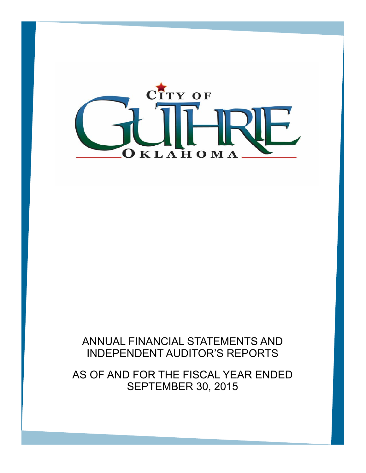

## ANNUAL FINANCIAL STATEMENTS AND INDEPENDENT AUDITOR'S REPORTS

AS OF AND FOR THE FISCAL YEAR ENDED SEPTEMBER 30, 2015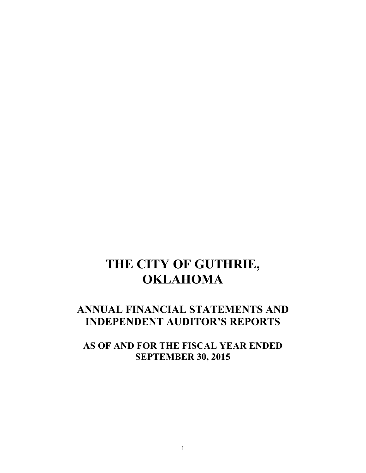# **THE CITY OF GUTHRIE, OKLAHOMA**

## **ANNUAL FINANCIAL STATEMENTS AND INDEPENDENT AUDITOR'S REPORTS**

**AS OF AND FOR THE FISCAL YEAR ENDED SEPTEMBER 30, 2015**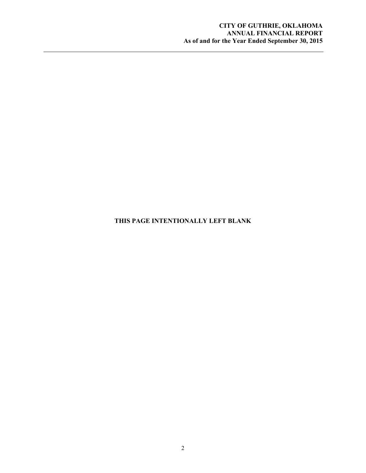## **THIS PAGE INTENTIONALLY LEFT BLANK**

 $\overline{a}$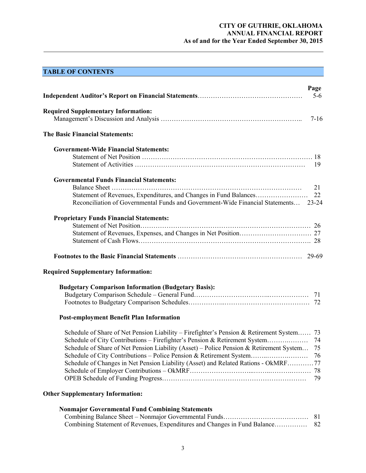## **TABLE OF CONTENTS**

 $\overline{a}$ 

|                                                                                            | Page<br>$5-6$ |
|--------------------------------------------------------------------------------------------|---------------|
| <b>Required Supplementary Information:</b>                                                 | $7 - 16$      |
| <b>The Basic Financial Statements:</b>                                                     |               |
| <b>Government-Wide Financial Statements:</b>                                               |               |
|                                                                                            | 19            |
| <b>Governmental Funds Financial Statements:</b>                                            |               |
|                                                                                            | 21            |
| Statement of Revenues, Expenditures, and Changes in Fund Balances                          | 22            |
| Reconciliation of Governmental Funds and Government-Wide Financial Statements              | $23 - 24$     |
| <b>Proprietary Funds Financial Statements:</b>                                             |               |
|                                                                                            |               |
|                                                                                            |               |
|                                                                                            |               |
|                                                                                            |               |
| <b>Required Supplementary Information:</b>                                                 |               |
| <b>Budgetary Comparison Information (Budgetary Basis):</b>                                 |               |
|                                                                                            |               |
|                                                                                            |               |
| <b>Post-employment Benefit Plan Information</b>                                            |               |
| Schedule of Share of Net Pension Liability – Firefighter's Pension & Retirement System 73  |               |
|                                                                                            |               |
| Schedule of Share of Net Pension Liability (Asset) – Police Pension & Retirement System 75 |               |
| Schedule of City Contributions – Police Pension & Retirement System                        | 76            |
| Schedule of Changes in Net Pension Liability (Asset) and Related Rations - OkMRF           | .77           |
|                                                                                            |               |
|                                                                                            | 79            |
| <b>Other Supplementary Information:</b>                                                    |               |

## **Nonmajor Governmental Fund Combining Statements**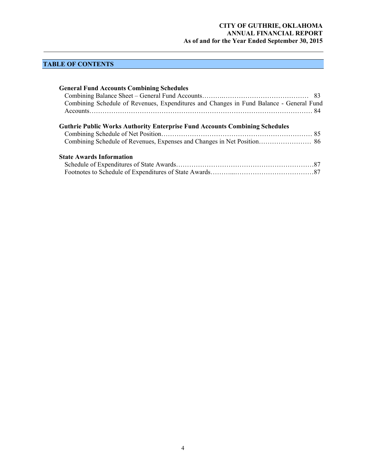## **CITY OF GUTHRIE, OKLAHOMA ANNUAL FINANCIAL REPORT As of and for the Year Ended September 30, 2015**

## **TABLE OF CONTENTS**

 $\overline{a}$ 

| <b>General Fund Accounts Combining Schedules</b>                                        |  |
|-----------------------------------------------------------------------------------------|--|
|                                                                                         |  |
| Combining Schedule of Revenues, Expenditures and Changes in Fund Balance - General Fund |  |
|                                                                                         |  |
| <b>Guthrie Public Works Authority Enterprise Fund Accounts Combining Schedules</b>      |  |
| <b>State Awards Information</b>                                                         |  |
|                                                                                         |  |
|                                                                                         |  |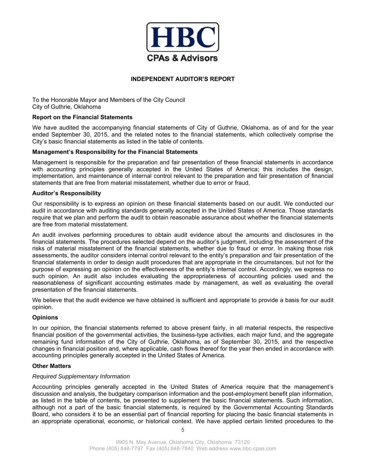

## **INDEPENDENT AUDITOR'S REPORT**

To the Honorable Mayor and Members of the City Council City of Guthrie, Oklahoma

#### **Report on the Financial Statements**

We have audited the accompanying financial statements of City of Guthrie, Oklahoma, as of and for the year ended September 30, 2015, and the related notes to the financial statements, which collectively comprise the City's basic financial statements as listed in the table of contents.

#### **Management's Responsibility for the Financial Statements**

Management is responsible for the preparation and fair presentation of these financial statements in accordance with accounting principles generally accepted in the United States of America; this includes the design, implementation, and maintenance of internal control relevant to the preparation and fair presentation of financial statements that are free from material misstatement, whether due to error or fraud.

#### **Auditor's Responsibility**

Our responsibility is to express an opinion on these financial statements based on our audit. We conducted our audit in accordance with auditing standards generally accepted in the United States of America. Those standards require that we plan and perform the audit to obtain reasonable assurance about whether the financial statements are free from material misstatement.

An audit involves performing procedures to obtain audit evidence about the amounts and disclosures in the financial statements. The procedures selected depend on the auditor's judgment, including the assessment of the risks of material misstatement of the financial statements, whether due to fraud or error. In making those risk assessments, the auditor considers internal control relevant to the entity's preparation and fair presentation of the financial statements in order to design audit procedures that are appropriate in the circumstances, but not for the purpose of expressing an opinion on the effectiveness of the entity's internal control. Accordingly, we express no such opinion. An audit also includes evaluating the appropriateness of accounting policies used and the reasonableness of significant accounting estimates made by management, as well as evaluating the overall presentation of the financial statements.

We believe that the audit evidence we have obtained is sufficient and appropriate to provide a basis for our audit opinion.

#### **Opinions**

In our opinion, the financial statements referred to above present fairly, in all material respects, the respective financial position of the governmental activities, the business-type activities, each major fund, and the aggregate remaining fund information of the City of Guthrie, Oklahoma, as of September 30, 2015, and the respective changes in financial position and, where applicable, cash flows thereof for the year then ended in accordance with accounting principles generally accepted in the United States of America.

#### **Other Matters**

#### *Required Supplementary Information*

Accounting principles generally accepted in the United States of America require that the management's discussion and analysis, the budgetary comparison information and the post-employment benefit plan information, as listed in the table of contents, be presented to supplement the basic financial statements. Such information, although not a part of the basic financial statements, is required by the Governmental Accounting Standards Board, who considers it to be an essential part of financial reporting for placing the basic financial statements in an appropriate operational, economic, or historical context. We have applied certain limited procedures to the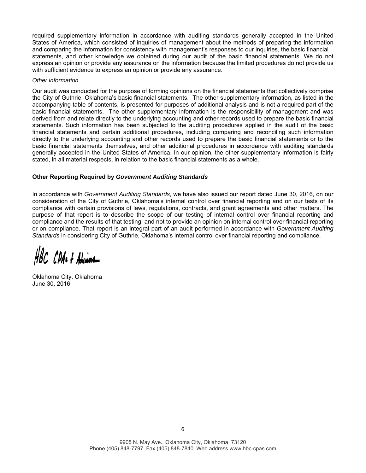required supplementary information in accordance with auditing standards generally accepted in the United States of America, which consisted of inquiries of management about the methods of preparing the information and comparing the information for consistency with management's responses to our inquiries, the basic financial statements, and other knowledge we obtained during our audit of the basic financial statements. We do not express an opinion or provide any assurance on the information because the limited procedures do not provide us with sufficient evidence to express an opinion or provide any assurance.

#### *Other information*

Our audit was conducted for the purpose of forming opinions on the financial statements that collectively comprise the City of Guthrie, Oklahoma's basic financial statements. The other supplementary information, as listed in the accompanying table of contents, is presented for purposes of additional analysis and is not a required part of the basic financial statements. The other supplementary information is the responsibility of management and was derived from and relate directly to the underlying accounting and other records used to prepare the basic financial statements. Such information has been subjected to the auditing procedures applied in the audit of the basic financial statements and certain additional procedures, including comparing and reconciling such information directly to the underlying accounting and other records used to prepare the basic financial statements or to the basic financial statements themselves, and other additional procedures in accordance with auditing standards generally accepted in the United States of America. In our opinion, the other supplementary information is fairly stated, in all material respects, in relation to the basic financial statements as a whole.

## **Other Reporting Required by** *Government Auditing Standards*

In accordance with *Government Auditing Standards*, we have also issued our report dated June 30, 2016, on our consideration of the City of Guthrie, Oklahoma's internal control over financial reporting and on our tests of its compliance with certain provisions of laws, regulations, contracts, and grant agreements and other matters. The purpose of that report is to describe the scope of our testing of internal control over financial reporting and compliance and the results of that testing, and not to provide an opinion on internal control over financial reporting or on compliance. That report is an integral part of an audit performed in accordance with *Government Auditing Standards* in considering City of Guthrie, Oklahoma's internal control over financial reporting and compliance.

C CDAs + Advisor

Oklahoma City, Oklahoma June 30, 2016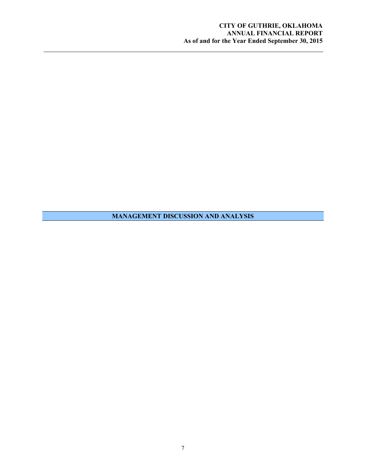**MANAGEMENT DISCUSSION AND ANALYSIS** 

 $\overline{a}$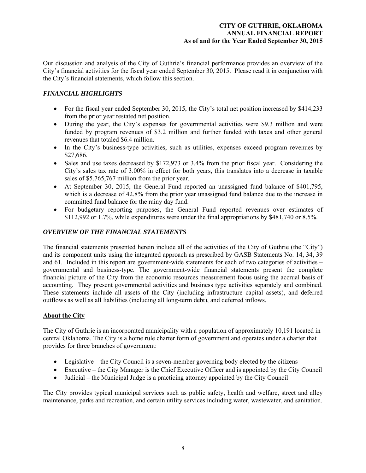Our discussion and analysis of the City of Guthrie's financial performance provides an overview of the City's financial activities for the fiscal year ended September 30, 2015. Please read it in conjunction with the City's financial statements, which follow this section.

## *FINANCIAL HIGHLIGHTS*

 $\overline{a}$ 

- For the fiscal year ended September 30, 2015, the City's total net position increased by \$414,233 from the prior year restated net position.
- During the year, the City's expenses for governmental activities were \$9.3 million and were funded by program revenues of \$3.2 million and further funded with taxes and other general revenues that totaled \$6.4 million.
- In the City's business-type activities, such as utilities, expenses exceed program revenues by \$27,686.
- Sales and use taxes decreased by \$172,973 or 3.4% from the prior fiscal year. Considering the City's sales tax rate of 3.00% in effect for both years, this translates into a decrease in taxable sales of \$5,765,767 million from the prior year.
- At September 30, 2015, the General Fund reported an unassigned fund balance of \$401,795, which is a decrease of 42.8% from the prior year unassigned fund balance due to the increase in committed fund balance for the rainy day fund.
- For budgetary reporting purposes, the General Fund reported revenues over estimates of \$112,992 or 1.7%, while expenditures were under the final appropriations by \$481,740 or 8.5%.

## *OVERVIEW OF THE FINANCIAL STATEMENTS*

The financial statements presented herein include all of the activities of the City of Guthrie (the "City") and its component units using the integrated approach as prescribed by GASB Statements No. 14, 34, 39 and 61. Included in this report are government-wide statements for each of two categories of activities – governmental and business-type. The government-wide financial statements present the complete financial picture of the City from the economic resources measurement focus using the accrual basis of accounting. They present governmental activities and business type activities separately and combined. These statements include all assets of the City (including infrastructure capital assets), and deferred outflows as well as all liabilities (including all long-term debt), and deferred inflows.

## **About the City**

The City of Guthrie is an incorporated municipality with a population of approximately 10,191 located in central Oklahoma. The City is a home rule charter form of government and operates under a charter that provides for three branches of government:

- Legislative the City Council is a seven-member governing body elected by the citizens
- Executive the City Manager is the Chief Executive Officer and is appointed by the City Council
- Judicial the Municipal Judge is a practicing attorney appointed by the City Council

The City provides typical municipal services such as public safety, health and welfare, street and alley maintenance, parks and recreation, and certain utility services including water, wastewater, and sanitation.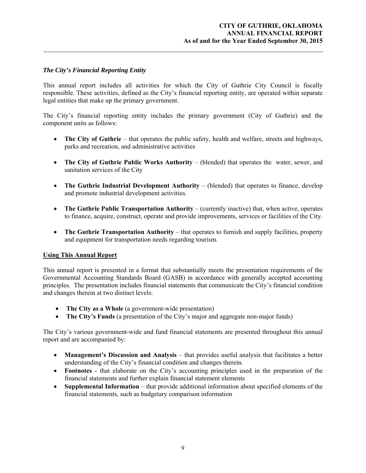## *The City's Financial Reporting Entity*

 $\overline{a}$ 

This annual report includes all activities for which the City of Guthrie City Council is fiscally responsible. These activities, defined as the City's financial reporting entity, are operated within separate legal entities that make up the primary government.

The City's financial reporting entity includes the primary government (City of Guthrie) and the component units as follows:

- The City of Guthrie that operates the public safety, health and welfare, streets and highways, parks and recreation, and administrative activities
- **The City of Guthrie Public Works Authority** (blended) that operates the water, sewer, and sanitation services of the City
- The Guthrie Industrial Development Authority (blended) that operates to finance, develop and promote industrial development activities.
- The Guthrie Public Transportation Authority (currently inactive) that, when active, operates to finance, acquire, construct, operate and provide improvements, services or facilities of the City.
- The Guthrie Transportation Authority that operates to furnish and supply facilities, property and equipment for transportation needs regarding tourism.

## **Using This Annual Report**

This annual report is presented in a format that substantially meets the presentation requirements of the Governmental Accounting Standards Board (GASB) in accordance with generally accepted accounting principles. The presentation includes financial statements that communicate the City's financial condition and changes therein at two distinct levels:

- The City as a Whole (a government-wide presentation)
- **The City's Funds** (a presentation of the City's major and aggregate non-major funds)

The City's various government-wide and fund financial statements are presented throughout this annual report and are accompanied by:

- **Management's Discussion and Analysis** that provides useful analysis that facilitates a better understanding of the City's financial condition and changes therein.
- **Footnotes** that elaborate on the City's accounting principles used in the preparation of the financial statements and further explain financial statement elements
- **Supplemental Information** that provide additional information about specified elements of the financial statements, such as budgetary comparison information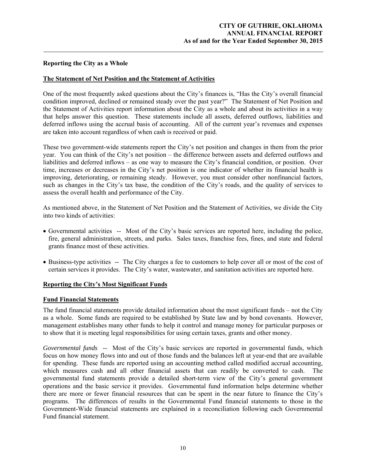#### **Reporting the City as a Whole**

 $\overline{a}$ 

#### **The Statement of Net Position and the Statement of Activities**

One of the most frequently asked questions about the City's finances is, "Has the City's overall financial condition improved, declined or remained steady over the past year?" The Statement of Net Position and the Statement of Activities report information about the City as a whole and about its activities in a way that helps answer this question. These statements include all assets, deferred outflows, liabilities and deferred inflows using the accrual basis of accounting. All of the current year's revenues and expenses are taken into account regardless of when cash is received or paid.

These two government-wide statements report the City's net position and changes in them from the prior year. You can think of the City's net position – the difference between assets and deferred outflows and liabilities and deferred inflows – as one way to measure the City's financial condition, or position. Over time, increases or decreases in the City's net position is one indicator of whether its financial health is improving, deteriorating, or remaining steady. However, you must consider other nonfinancial factors, such as changes in the City's tax base, the condition of the City's roads, and the quality of services to assess the overall health and performance of the City.

As mentioned above, in the Statement of Net Position and the Statement of Activities, we divide the City into two kinds of activities:

- Governmental activities -- Most of the City's basic services are reported here, including the police, fire, general administration, streets, and parks. Sales taxes, franchise fees, fines, and state and federal grants finance most of these activities.
- Business-type activities -- The City charges a fee to customers to help cover all or most of the cost of certain services it provides. The City's water, wastewater, and sanitation activities are reported here.

## **Reporting the City's Most Significant Funds**

#### **Fund Financial Statements**

The fund financial statements provide detailed information about the most significant funds – not the City as a whole. Some funds are required to be established by State law and by bond covenants. However, management establishes many other funds to help it control and manage money for particular purposes or to show that it is meeting legal responsibilities for using certain taxes, grants and other money.

*Governmental funds* -- Most of the City's basic services are reported in governmental funds, which focus on how money flows into and out of those funds and the balances left at year-end that are available for spending. These funds are reported using an accounting method called modified accrual accounting, which measures cash and all other financial assets that can readily be converted to cash. The governmental fund statements provide a detailed short-term view of the City's general government operations and the basic service it provides. Governmental fund information helps determine whether there are more or fewer financial resources that can be spent in the near future to finance the City's programs. The differences of results in the Governmental Fund financial statements to those in the Government-Wide financial statements are explained in a reconciliation following each Governmental Fund financial statement.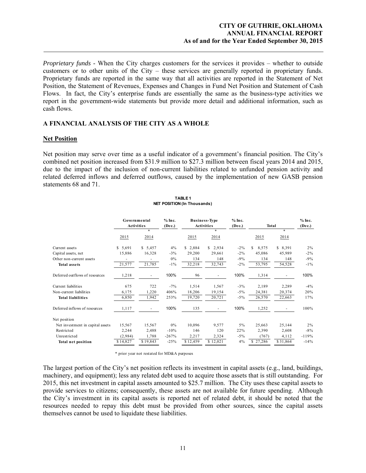*Proprietary funds* - When the City charges customers for the services it provides – whether to outside customers or to other units of the City – these services are generally reported in proprietary funds. Proprietary funds are reported in the same way that all activities are reported in the Statement of Net Position, the Statement of Revenues, Expenses and Changes in Fund Net Position and Statement of Cash Flows. In fact, the City's enterprise funds are essentially the same as the business-type activities we report in the government-wide statements but provide more detail and additional information, such as cash flows.

## **A FINANCIAL ANALYSIS OF THE CITY AS A WHOLE**

#### **Net Position**

 $\overline{a}$ 

Net position may serve over time as a useful indicator of a government's financial position. The City's combined net position increased from \$31.9 million to \$27.3 million between fiscal years 2014 and 2015, due to the impact of the inclusion of non-current liabilities related to unfunded pension activity and related deferred inflows and deferred outflows, caused by the implementation of new GASB pension statements 68 and 71.

#### **TABLE 1 NET POSITION (In Thousands)**

|                                  | Governmental<br><b>Activities</b> |          | $%$ Inc.<br>(Dec.) |          | <b>Business-Type</b><br><b>Activities</b> | $%$ Inc.<br>(Dec.) | <b>Total</b> | $%$ Inc.<br>(Dec.) |         |
|----------------------------------|-----------------------------------|----------|--------------------|----------|-------------------------------------------|--------------------|--------------|--------------------|---------|
|                                  |                                   | $\ast$   |                    |          | $\ast$                                    |                    |              | $\ast$             |         |
|                                  | 2015                              | 2014     |                    | 2015     | 2014                                      |                    | 2015         | 2014               |         |
| Current assets                   | \$5,691                           | \$5,457  | 4%                 | \$2,884  | \$<br>2,934                               | $-2\%$             | \$<br>8,575  | \$8,391            | 2%      |
| Capital assets, net              | 15,886                            | 16,328   | $-3%$              | 29,200   | 29,661                                    | $-2\%$             | 45,086       | 45,989             | $-2\%$  |
| Other non-current assets         |                                   |          | $0\%$              | 134      | 148                                       | $-9%$              | 134          | 148                | $-9%$   |
| <b>Total assets</b>              | 21,577                            | 21,785   | $-1\%$             | 32,218   | 32,743                                    | $-2\%$             | 53,795       | 54,528             | $-1\%$  |
| Deferred out flows of resources  | 1,218                             | ٠        | 100%               | 96       | $\sim$                                    | 100%               | 1,314        |                    | 100%    |
| Current liabilities              | 675                               | 722      | $-7%$              | 1,514    | 1,567                                     | $-3%$              | 2,189        | 2,289              | $-4%$   |
| Non-current liabilities          | 6,175                             | 1,220    | 406%               | 18,206   | 19,154                                    | $-5%$              | 24,381       | 20,374             | 20%     |
| <b>Total liabilities</b>         | 6,850                             | 1,942    | 253%               | 19,720   | 20,721                                    | $-5%$              | 26,570       | 22,663             | 17%     |
| Deferred inflows of resources    | 1,117                             |          | 100%               | 135      |                                           | 100%               | 1,252        |                    | 100%    |
| Net position                     |                                   |          |                    |          |                                           |                    |              |                    |         |
| Net investment in capital assets | 15,567                            | 15,567   | $0\%$              | 10,096   | 9,577                                     | 5%                 | 25,663       | 25,144             | 2%      |
| Restricted                       | 2,244                             | 2,488    | $-10%$             | 146      | 120                                       | 22%                | 2,390        | 2,608              | -8%     |
| Unrestricted                     | (2,984)                           | 1,788    | $-267%$            | 2,217    | 2,324                                     | $-5%$              | (767)        | 4,112              | $-119%$ |
| <b>Total net position</b>        | \$14,827                          | \$19,843 | $-25%$             | \$12,459 | \$12,021                                  | 4%                 | \$27,286     | \$31,864           | $-14%$  |

\* prior year not restated for MD&A purposes

The largest portion of the City's net position reflects its investment in capital assets (e.g., land, buildings, machinery, and equipment); less any related debt used to acquire those assets that is still outstanding. For 2015, this net investment in capital assets amounted to \$25.7 million. The City uses these capital assets to provide services to citizens; consequently, these assets are not available for future spending. Although the City's investment in its capital assets is reported net of related debt, it should be noted that the resources needed to repay this debt must be provided from other sources, since the capital assets themselves cannot be used to liquidate these liabilities.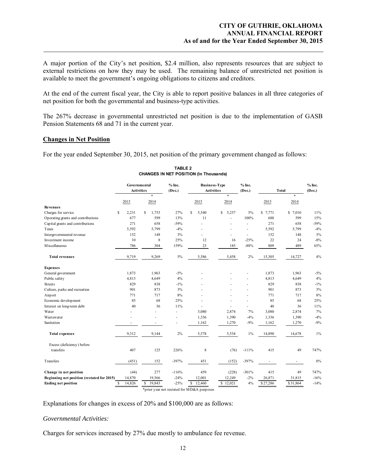A major portion of the City's net position, \$2.4 million, also represents resources that are subject to external restrictions on how they may be used. The remaining balance of unrestricted net position is available to meet the government's ongoing obligations to citizens and creditors.

At the end of the current fiscal year, the City is able to report positive balances in all three categories of net position for both the governmental and business-type activities.

The 267% decrease in governmental unrestricted net position is due to the implementation of GASB Pension Statements 68 and 71 in the current year.

#### **Changes in Net Position**

 $\overline{a}$ 

For the year ended September 30, 2015, net position of the primary government changed as follows:

|                                            | Governmental<br><b>Activities</b> |        | $%$ Inc.<br><b>Business-Type</b><br>(Dec.)<br>$\ast$ |        |                                            | <b>Activities</b> | $\ast$      | $%$ Inc.<br>(Dec.) | <b>Total</b> | $%$ Inc.<br>(Dec.) |          |                |        |  |
|--------------------------------------------|-----------------------------------|--------|------------------------------------------------------|--------|--------------------------------------------|-------------------|-------------|--------------------|--------------|--------------------|----------|----------------|--------|--|
|                                            |                                   | 2015   |                                                      | 2014   |                                            |                   | 2015        |                    | 2014         |                    | 2015     | $\ast$<br>2014 |        |  |
| <b>Revenues</b>                            |                                   |        |                                                      |        |                                            |                   |             |                    |              |                    |          |                |        |  |
| Charges for service                        | \$                                | 2,231  | \$                                                   | 1,753  | 27%                                        | \$                | 5,540       | \$                 | 5,257        | 5%                 | \$7,771  | \$ 7,010       | 11%    |  |
| Operating grants and contributions         |                                   | 677    |                                                      | 599    | 13%                                        |                   | 11          |                    |              | 100%               | 688      | 599            | 15%    |  |
| Capital grants and contributions           |                                   | 271    |                                                      | 658    | $-59%$                                     |                   |             |                    |              |                    | 271      | 658            | $-59%$ |  |
| Taxes                                      |                                   | 5,592  |                                                      | 5,799  | $-4%$                                      |                   |             |                    |              |                    | 5,592    | 5,799          | $-4%$  |  |
| Intergovernmental revenue                  |                                   | 152    |                                                      | 148    | 3%                                         |                   |             |                    |              |                    | 152      | 148            | 3%     |  |
| Investment income                          |                                   | 10     |                                                      | 8      | 25%                                        |                   | 12          |                    | 16           | $-25%$             | 22       | 24             | $-8%$  |  |
| M iscellaneous                             |                                   | 786    |                                                      | 304    | 159%                                       |                   | 23          |                    | 185          | $-88%$             | 809      | 489            | 65%    |  |
| <b>Total revenues</b>                      |                                   | 9,719  |                                                      | 9,269  | 5%                                         |                   | 5,586       |                    | 5,458        | 2%                 | 15,305   | 14,727         | 4%     |  |
| <b>Expenses</b>                            |                                   |        |                                                      |        |                                            |                   |             |                    |              |                    |          |                |        |  |
| General government                         |                                   | 1,873  |                                                      | 1,963  | $-5%$                                      |                   |             |                    |              |                    | 1,873    | 1,963          | $-5%$  |  |
| Public safety                              |                                   | 4,813  |                                                      | 4,649  | 4%                                         |                   |             |                    |              |                    | 4,813    | 4,649          | 4%     |  |
| <b>Streets</b>                             |                                   | 829    |                                                      | 838    | $-1\%$                                     |                   |             |                    |              |                    | 829      | 838            | $-1\%$ |  |
| Culture, parks and recreation              |                                   | 901    |                                                      | 873    | 3%                                         |                   |             |                    |              |                    | 901      | 873            | 3%     |  |
| Airport                                    |                                   | 771    |                                                      | 717    | $8\%$                                      |                   |             |                    |              |                    | 771      | 717            | 8%     |  |
| Economic development                       |                                   | 85     |                                                      | 68     | 25%                                        |                   |             |                    |              |                    | 85       | 68             | 25%    |  |
| Interest on long-term debt                 |                                   | 40     |                                                      | 36     | 11%                                        |                   |             |                    |              |                    | 40       | 36             | 11%    |  |
| Water                                      |                                   |        |                                                      |        |                                            |                   | 3,080       |                    | 2,874        | 7%                 | 3,080    | 2,874          | 7%     |  |
| Wastewater                                 |                                   |        |                                                      |        |                                            |                   | 1,336       |                    | 1,390        | $-4%$              | 1,336    | 1,390          | $-4%$  |  |
| Sanitation                                 |                                   |        |                                                      |        |                                            |                   | 1,162       |                    | 1,270        | $-9%$              | 1,162    | 1,270          | $-9%$  |  |
| <b>Total expenses</b>                      |                                   | 9,312  |                                                      | 9.144  | 2%                                         |                   | 5,578       |                    | 5,534        | 1%                 | 14,890   | 14,678         | 1%     |  |
| Excess (deficiency) before                 |                                   |        |                                                      |        |                                            |                   |             |                    |              |                    |          |                |        |  |
| transfers                                  |                                   | 407    |                                                      | 125    | 226%                                       |                   | $\,$ 8 $\,$ |                    | (76)         | $-111%$            | 415      | 49             | 747%   |  |
| Transfers                                  |                                   | (451)  |                                                      | 152    | $-397%$                                    |                   | 451         |                    | (152)        | $-397%$            |          |                | 0%     |  |
| Change in net position                     |                                   | (44)   |                                                      | 277    | $-116%$                                    |                   | 459         |                    | (228)        | $-301%$            | 415      | 49             | 747%   |  |
| Beginning net position (restated for 2015) |                                   | 14,870 |                                                      | 19,566 | $-24%$                                     |                   | 12,001      |                    | 12,249       | $-2%$              | 26,871   | 31,815         | $-16%$ |  |
| <b>Ending net position</b>                 | \$                                | 14,826 | \$                                                   | 19,843 | $-25%$                                     |                   | \$12,460    |                    | \$12,021     | 4%                 | \$27,286 | \$31,864       | $-14%$ |  |
|                                            |                                   |        |                                                      |        | *prior year not restated for MD&A purposes |                   |             |                    |              |                    |          |                |        |  |

#### **TABLE 2 CHANGES IN NET POSITION (In Thousands)**

Explanations for changes in excess of 20% and \$100,000 are as follows:

#### *Governmental Activities:*

Charges for services increased by 27% due mostly to ambulance fee revenue.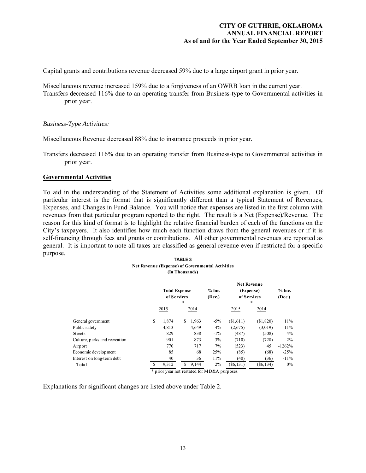Capital grants and contributions revenue decreased 59% due to a large airport grant in prior year.

Miscellaneous revenue increased 159% due to a forgiveness of an OWRB loan in the current year.

Transfers decreased 116% due to an operating transfer from Business-type to Governmental activities in prior year.

## *Business-Type Activities:*

 $\overline{a}$ 

Miscellaneous Revenue decreased 88% due to insurance proceeds in prior year.

Transfers decreased 116% due to an operating transfer from Business-type to Governmental activities in prior year.

## **Governmental Activities**

To aid in the understanding of the Statement of Activities some additional explanation is given. Of particular interest is the format that is significantly different than a typical Statement of Revenues, Expenses, and Changes in Fund Balance. You will notice that expenses are listed in the first column with revenues from that particular program reported to the right. The result is a Net (Expense)/Revenue. The reason for this kind of format is to highlight the relative financial burden of each of the functions on the City's taxpayers. It also identifies how much each function draws from the general revenues or if it is self-financing through fees and grants or contributions. All other governmental revenues are reported as general. It is important to note all taxes are classified as general revenue even if restricted for a specific purpose.

| TABLE 3                                                 |  |  |  |  |  |  |  |
|---------------------------------------------------------|--|--|--|--|--|--|--|
| <b>Net Revenue (Expense) of Governmental Activities</b> |  |  |  |  |  |  |  |
| (In Thousands)                                          |  |  |  |  |  |  |  |

|                               | <b>Total Expense</b><br>of Services | $\ast$ |       | $%$ Inc.<br>(Dec.) | <b>Net Revenue</b><br>(Expense)<br>of Services | $%$ Inc.<br>(Dec.) |          |
|-------------------------------|-------------------------------------|--------|-------|--------------------|------------------------------------------------|--------------------|----------|
|                               | 2015                                | 2014   |       |                    | 2015                                           |                    |          |
| General government            | \$<br>1.874                         | S.     | 1,963 | $-5\%$             | (S1,611)                                       | (\$1,820)          | 11%      |
| Public safety                 | 4.813                               |        | 4,649 | $4\%$              | (2,675)                                        | (3,019)            | 11%      |
| <b>Streets</b>                | 829                                 |        | 838   | $-1\%$             | (487)                                          | (508)              | $4\%$    |
| Culture, parks and recreation | 901                                 |        | 873   | 3%                 | (710)                                          | (728)              | $2\%$    |
| Airport                       | 770                                 |        | 717   | $7\%$              | (523)                                          | 45                 | $-1262%$ |
| Economic development          | 85                                  |        | 68    | 25%                | (85)                                           | (68)               | $-25%$   |
| Interest on long-term debt    | 40                                  |        | 36    | 11%                | (40)                                           | (36)               | $-11\%$  |
| <b>Total</b>                  | 9.312                               |        | 9.144 | $2\%$              | (S6.131)                                       | (S6.134)           | $0\%$    |

\* prior year not restated for MD&A purposes

Explanations for significant changes are listed above under Table 2.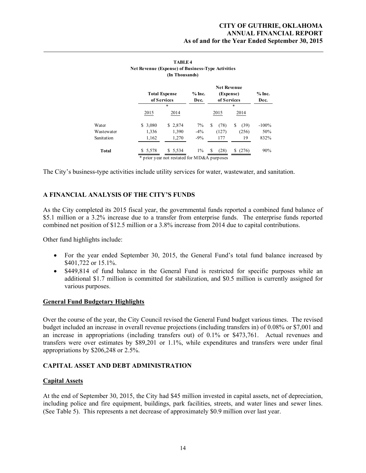|              |         | <b>Total Expense</b><br>of Services                                    | $%$ Inc.<br>Dec. | <b>Net Revenue</b><br>(Expense)<br>of Services |                | $%$ Inc.<br>Dec. |
|--------------|---------|------------------------------------------------------------------------|------------------|------------------------------------------------|----------------|------------------|
|              | 2015    | $\ast$<br>2014                                                         |                  | 2015                                           | $\ast$<br>2014 |                  |
| Water        | \$3,080 | \$2,874                                                                | 7%               | S<br>(78)                                      | (39)<br>\$     | $-100\%$         |
| Wastewater   | 1,336   | 1,390                                                                  | $-4\%$           | (127)                                          | (256)          | 50%              |
| Sanitation   | 1,162   | 1,270                                                                  | $-9%$            | 177                                            | 19             | 832%             |
| <b>Total</b> | \$5,578 | \$5,534<br>$*$ <i>number 3200 most montated fou MD 8-A maxime gage</i> | $1\%$            | (28)<br>S                                      | S<br>(276)     | 90%              |

#### **TABLE 4 Net Revenue (Expense) of Business-Type Activities (In Thousands)**

prior year not restated for MD&A purposes

The City's business-type activities include utility services for water, wastewater, and sanitation.

## **A FINANCIAL ANALYSIS OF THE CITY'S FUNDS**

As the City completed its 2015 fiscal year, the governmental funds reported a combined fund balance of \$5.1 million or a 3.2% increase due to a transfer from enterprise funds. The enterprise funds reported combined net position of \$12.5 million or a 3.8% increase from 2014 due to capital contributions.

Other fund highlights include:

 $\overline{a}$ 

- For the year ended September 30, 2015, the General Fund's total fund balance increased by \$401,722 or 15.1%.
- \$449,814 of fund balance in the General Fund is restricted for specific purposes while an additional \$1.7 million is committed for stabilization, and \$0.5 million is currently assigned for various purposes.

#### **General Fund Budgetary Highlights**

Over the course of the year, the City Council revised the General Fund budget various times. The revised budget included an increase in overall revenue projections (including transfers in) of 0.08% or \$7,001 and an increase in appropriations (including transfers out) of 0.1% or \$473,761. Actual revenues and transfers were over estimates by \$89,201 or 1.1%, while expenditures and transfers were under final appropriations by \$206,248 or 2.5%.

## **CAPITAL ASSET AND DEBT ADMINISTRATION**

#### **Capital Assets**

At the end of September 30, 2015, the City had \$45 million invested in capital assets, net of depreciation, including police and fire equipment, buildings, park facilities, streets, and water lines and sewer lines. (See Table 5). This represents a net decrease of approximately \$0.9 million over last year.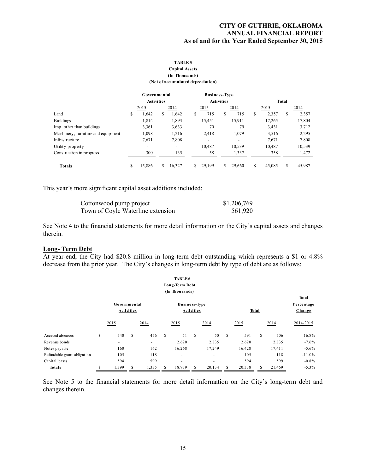#### **Capital Assets (In Thousands) (Net of accumulated depreciation) TABLE 5**

|                                    | Governmental |            |      |        | <b>Business-Type</b> |                   |      |                          |      |        |    |        |  |
|------------------------------------|--------------|------------|------|--------|----------------------|-------------------|------|--------------------------|------|--------|----|--------|--|
|                                    |              | Activities |      |        |                      | <b>Activities</b> |      |                          |      | Total  |    |        |  |
|                                    | 2015         |            | 2014 |        | 2015                 |                   | 2014 |                          | 2015 |        |    | 2014   |  |
| Land                               | \$           | 1,642      | \$   | 1,642  | \$.                  | 715               | S    | 715                      | S    | 2,357  | \$ | 2,357  |  |
| <b>Buildings</b>                   |              | 1,814      |      | 1,893  |                      | 15.451            |      | 15,911                   |      | 17,265 |    | 17,804 |  |
| Imp. other than buildings          |              | 3,361      |      | 3,633  |                      | 70                |      | 79                       |      | 3,431  |    | 3,712  |  |
| Machinery, furniture and equipment |              | 1,098      |      | 1.216  |                      | 2.418             |      | 1.079                    |      | 3,516  |    | 2,295  |  |
| Infrastructure                     |              | 7,671      |      | 7.808  |                      |                   |      | $\overline{\phantom{0}}$ |      | 7,671  |    | 7,808  |  |
| Utility property                   |              |            |      | ۰      |                      | 10,487            |      | 10,539                   |      | 10,487 |    | 10,539 |  |
| Construction in progress           |              | 300        |      | 135    |                      | 58                |      | 1,337                    |      | 358    |    | 1,472  |  |
|                                    |              |            |      |        |                      |                   |      |                          |      |        |    |        |  |
| <b>Totals</b>                      | ¢            | 15,886     |      | 16,327 |                      | 29,199            | S    | 29,660                   | \$   | 45,085 |    | 45,987 |  |

This year's more significant capital asset additions included:

| Cottonwood pump project           | \$1,206,769 |
|-----------------------------------|-------------|
| Town of Coyle Waterline extension | 561,920     |

See Note 4 to the financial statements for more detail information on the City's capital assets and changes therein.

## **Long- Term Debt**

 $\overline{a}$ 

At year-end, the City had \$20.8 million in long-term debt outstanding which represents a \$1 or 4.8% decrease from the prior year. The City's changes in long-term debt by type of debt are as follows:

|                             |    |                            |   |       |             | TABLE 6<br>Long-Term Debt<br>(In Thousands) |   |                          |       |                                      |             |        |           |
|-----------------------------|----|----------------------------|---|-------|-------------|---------------------------------------------|---|--------------------------|-------|--------------------------------------|-------------|--------|-----------|
|                             |    | Governmental<br>Activities |   |       |             | <b>Business-Type</b><br><b>Activities</b>   |   |                          | Total | <b>Total</b><br>Percentage<br>Change |             |        |           |
|                             |    | 2015                       |   | 2014  |             | 2015                                        |   | 2014                     |       | 2015                                 |             | 2014   | 2014-2015 |
| Accrued absences            | \$ | 540                        | S | 456   | $\mathbf S$ | 51                                          | S | 50                       | \$    | 591                                  | $\mathbb S$ | 506    | 16.8%     |
| Revenue bonds               |    | $\overline{\phantom{a}}$   |   | ٠     |             | 2,620                                       |   | 2,835                    |       | 2,620                                |             | 2,835  | $-7.6%$   |
| Notes payable               |    | 160                        |   | 162   |             | 16,268                                      |   | 17,249                   |       | 16,428                               |             | 17,411 | $-5.6\%$  |
| Refundable grant obligation |    | 105                        |   | 118   |             | ۰                                           |   | $\overline{\phantom{a}}$ |       | 105                                  |             | 118    | $-11.0\%$ |
| Capital leases              |    | 594                        |   | 599   |             | ۰                                           |   | ۰                        |       | 594                                  |             | 599    | $-0.8\%$  |
| <b>Totals</b>               | S  | 1,399                      | S | 1,335 | \$          | 18,939                                      | S | 20,134                   | S     | 20,338                               | S           | 21,469 | $-5.3\%$  |

See Note 5 to the financial statements for more detail information on the City's long-term debt and changes therein.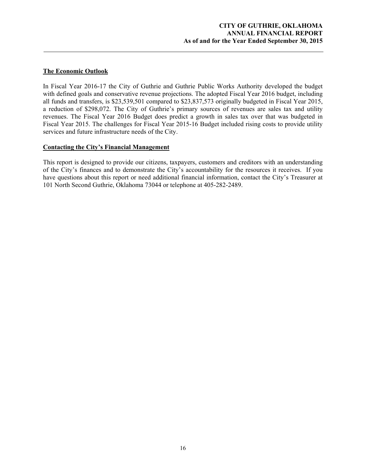## **The Economic Outlook**

 $\overline{a}$ 

In Fiscal Year 2016-17 the City of Guthrie and Guthrie Public Works Authority developed the budget with defined goals and conservative revenue projections. The adopted Fiscal Year 2016 budget, including all funds and transfers, is \$23,539,501 compared to \$23,837,573 originally budgeted in Fiscal Year 2015, a reduction of \$298,072. The City of Guthrie's primary sources of revenues are sales tax and utility revenues. The Fiscal Year 2016 Budget does predict a growth in sales tax over that was budgeted in Fiscal Year 2015. The challenges for Fiscal Year 2015-16 Budget included rising costs to provide utility services and future infrastructure needs of the City.

## **Contacting the City's Financial Management**

This report is designed to provide our citizens, taxpayers, customers and creditors with an understanding of the City's finances and to demonstrate the City's accountability for the resources it receives. If you have questions about this report or need additional financial information, contact the City's Treasurer at 101 North Second Guthrie, Oklahoma 73044 or telephone at 405-282-2489.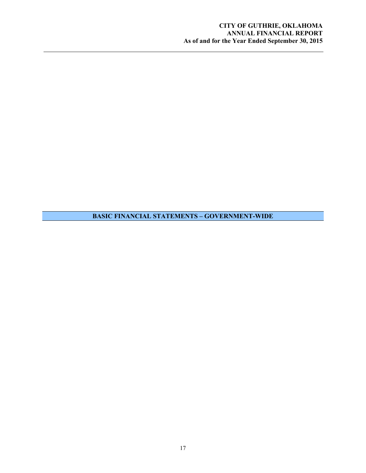**BASIC FINANCIAL STATEMENTS – GOVERNMENT-WIDE** 

 $\overline{a}$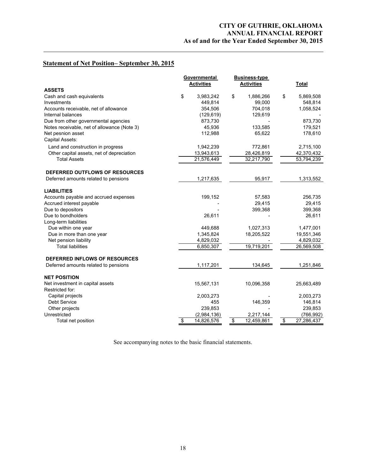## **Statement of Net Position– September 30, 2015**

 $\overline{a}$ 

|                                             | Governmental<br><b>Activities</b> |                 | <b>Business-type</b><br><b>Activities</b> | <b>Total</b>     |
|---------------------------------------------|-----------------------------------|-----------------|-------------------------------------------|------------------|
| <b>ASSETS</b>                               |                                   |                 |                                           |                  |
| Cash and cash equivalents                   | \$<br>3,983,242                   | \$              | 1,886,266                                 | \$<br>5,869,508  |
| Investments                                 | 449,814                           |                 | 99,000                                    | 548,814          |
| Accounts receivable, net of allowance       | 354,506                           |                 | 704,018                                   | 1,058,524        |
| Internal balances                           | (129, 619)                        |                 | 129,619                                   |                  |
| Due from other governmental agencies        | 873,730                           |                 |                                           | 873,730          |
| Notes receivable, net of allowance (Note 3) | 45,936                            |                 | 133,585                                   | 179,521          |
| Net pesnion asset                           | 112,988                           |                 | 65,622                                    | 178,610          |
| Capital Assets:                             |                                   |                 |                                           |                  |
| Land and construction in progress           | 1,942,239                         |                 | 772,861                                   | 2,715,100        |
| Other capital assets, net of depreciation   | 13,943,613                        |                 | 28,426,819                                | 42,370,432       |
| <b>Total Assets</b>                         | 21,576,449                        |                 | 32,217,790                                | 53,794,239       |
| DEFERRED OUTFLOWS OF RESOURCES              |                                   |                 |                                           |                  |
| Deferred amounts related to pensions        | 1,217,635                         |                 | 95,917                                    | 1,313,552        |
| <b>LIABILITIES</b>                          |                                   |                 |                                           |                  |
| Accounts payable and accrued expenses       | 199,152                           |                 | 57,583                                    | 256,735          |
| Accrued interest payable                    |                                   |                 | 29,415                                    | 29,415           |
| Due to depositors                           |                                   |                 | 399,368                                   | 399,368          |
| Due to bondholders                          | 26,611                            |                 |                                           | 26,611           |
| Long-term liabilities                       |                                   |                 |                                           |                  |
| Due within one year                         | 449,688                           |                 | 1,027,313                                 | 1,477,001        |
| Due in more than one year                   | 1,345,824                         |                 | 18,205,522                                | 19,551,346       |
| Net pension liability                       | 4,829,032                         |                 |                                           | 4,829,032        |
| <b>Total liabilities</b>                    | 6,850,307                         |                 | 19,719,201                                | 26,569,508       |
| DEFERRED INFLOWS OF RESOURCES               |                                   |                 |                                           |                  |
| Deferred amounts related to pensions        | 1,117,201                         |                 | 134,645                                   | 1,251,846        |
| <b>NET POSITION</b>                         |                                   |                 |                                           |                  |
| Net investment in capital assets            | 15,567,131                        |                 | 10,096,358                                | 25,663,489       |
| Restricted for:                             |                                   |                 |                                           |                  |
| Capital projects                            | 2,003,273                         |                 |                                           | 2,003,273        |
| <b>Debt Service</b>                         | 455                               |                 | 146,359                                   | 146,814          |
| Other projects                              | 239,853                           |                 |                                           | 239,853          |
| Unrestricted                                | (2,984,136)                       |                 | 2,217,144                                 | (766, 992)       |
| Total net position                          | \$<br>14,826,576                  | $\overline{\$}$ | 12,459,861                                | \$<br>27,286,437 |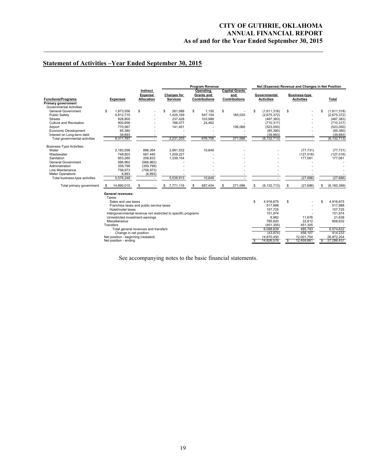## **Statement of Activities –Year Ended September 30, 2015**

 $\overline{a}$ 

|                                                                                                                                                                                                       |                     |                                                                                                                                                                                                                                                                                                                                                                          |                                          |                                                                                    | <b>Program Revenue</b> |                                                       |    | Net (Expense) Revenue and Changes in Net Position      |                                               |    |                                                                                                                                    |    |                                                                               |         |                                                                                                                     |
|-------------------------------------------------------------------------------------------------------------------------------------------------------------------------------------------------------|---------------------|--------------------------------------------------------------------------------------------------------------------------------------------------------------------------------------------------------------------------------------------------------------------------------------------------------------------------------------------------------------------------|------------------------------------------|------------------------------------------------------------------------------------|------------------------|-------------------------------------------------------|----|--------------------------------------------------------|-----------------------------------------------|----|------------------------------------------------------------------------------------------------------------------------------------|----|-------------------------------------------------------------------------------|---------|---------------------------------------------------------------------------------------------------------------------|
| <b>Functions/Programs</b><br>Primary government                                                                                                                                                       |                     | <b>Expenses</b>                                                                                                                                                                                                                                                                                                                                                          | Indirect<br><b>Expense</b><br>Allocation |                                                                                    |                        | <b>Charges for</b><br><b>Services</b>                 |    | Operating<br><b>Grants and</b><br><b>Contributions</b> | <b>Capital Grants</b><br>and<br>Contributions |    | Governmental<br><b>Activities</b>                                                                                                  |    | <b>Business-type</b><br><b>Activities</b>                                     |         | Total                                                                                                               |
| <b>Governmental Activities</b>                                                                                                                                                                        |                     |                                                                                                                                                                                                                                                                                                                                                                          |                                          |                                                                                    |                        |                                                       |    |                                                        |                                               |    |                                                                                                                                    |    |                                                                               |         |                                                                                                                     |
| <b>General Government</b><br><b>Public Safety</b><br><b>Streets</b><br>Culture and Recreation<br>Airport<br>Economic Development<br>Interest on Long-term debt                                        | \$                  | 1.873.556<br>4.812.715<br>828,800<br>900.856<br>770.567<br>85,380<br>39,893                                                                                                                                                                                                                                                                                              | \$                                       |                                                                                    | \$                     | 261.088<br>1,425,159<br>237.428<br>166,077<br>141,451 | \$ | 1.150<br>547.154<br>103.989<br>24,462                  | \$<br>165,030<br>106,066                      | \$ | (1,611,318)<br>(2,675,372)<br>(487.383)<br>(710, 317)<br>(523,050)<br>(85, 380)<br>(39, 893)                                       | \$ |                                                                               |         | (1,611,318)<br>(2,675,372)<br>(487, 383)<br>(710, 317)<br>(523,050)<br>(85, 380)<br>(39, 893)                       |
| Total governmental activities                                                                                                                                                                         |                     | 9,311,767                                                                                                                                                                                                                                                                                                                                                                |                                          |                                                                                    |                        | 2,231,203                                             |    | 676,755                                                | 271,096                                       |    | (6, 132, 713)                                                                                                                      |    |                                                                               |         | (6, 132, 713)                                                                                                       |
| <b>Business-Type Activities:</b><br>Water<br>Wastewater<br>Sanitation<br><b>General Government</b><br>Administration<br>Line Maintenance<br><b>Meter Operations</b><br>Total business-type activities |                     | 2,183,558<br>748,803<br>953.260<br>566,962<br>359.799<br>758,973<br>6.893<br>5,578,248                                                                                                                                                                                                                                                                                   |                                          | 896,354<br>587,440<br>208.833<br>(566, 962)<br>(359, 799)<br>(758, 973)<br>(6,893) |                        | 2,991,532<br>1,209,227<br>1,339,154<br>5,539,913      |    | 10,649<br>10,649                                       |                                               |    |                                                                                                                                    |    | (77, 731)<br>(127, 016)<br>177,061<br>(27, 686)                               |         | (77, 731)<br>(127, 016)<br>177,061<br>(27, 686)                                                                     |
| Total primary government                                                                                                                                                                              | -S                  | 14,890,015                                                                                                                                                                                                                                                                                                                                                               | S                                        |                                                                                    | \$                     | 7,771,116                                             | S  | 687,404                                                | \$<br>271,096                                 | \$ | (6, 132, 713)                                                                                                                      | \$ | (27, 686)                                                                     | \$      | (6, 160, 399)                                                                                                       |
|                                                                                                                                                                                                       | Taxes:<br>Transfers | <b>General revenues:</b><br>Sales and use taxes<br>Franchise taxes and public service taxes<br>Hotel/motel taxes<br>Intergovernmental revenue not restricted to specific programs<br>Unrestricted investment earnings<br>Miscellaneous<br>Total general revenues and transfers<br>Change in net position<br>Net position - beginning (restated)<br>Net position - ending |                                          |                                                                                    |                        |                                                       |    |                                                        |                                               | \$ | 4.916.675<br>517.988<br>157.725<br>151,974<br>9,962<br>785.820<br>(451, 305)<br>6.088.839<br>(43, 874)<br>14.870.450<br>14,826,576 | \$ | 11,676<br>22.812<br>451.305<br>485.793<br>458.107<br>12.001.754<br>12,459,861 | \$<br>S | 4,916,675<br>517,988<br>157,725<br>151,974<br>21,638<br>808,632<br>6,574,632<br>414.233<br>26.872.204<br>27,286,437 |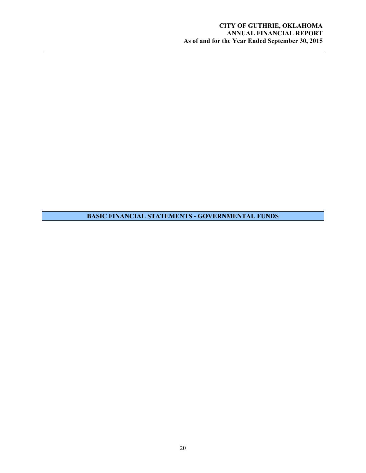**BASIC FINANCIAL STATEMENTS - GOVERNMENTAL FUNDS**

 $\overline{a}$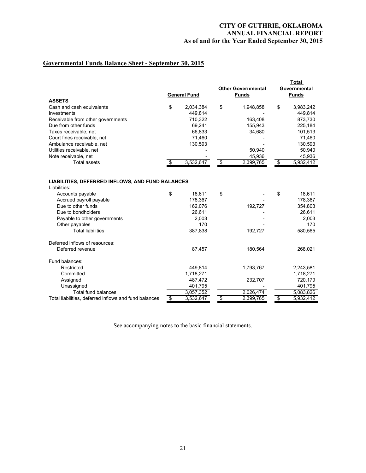## **Governmental Funds Balance Sheet - September 30, 2015**

 $\overline{a}$ 

|                                                                                                                                                                                                                      | <b>General Fund</b>                                          | <b>Other Governmental</b><br><b>Funds</b> | <b>Total</b><br>Governmental<br><b>Funds</b>                 |
|----------------------------------------------------------------------------------------------------------------------------------------------------------------------------------------------------------------------|--------------------------------------------------------------|-------------------------------------------|--------------------------------------------------------------|
| <b>ASSETS</b>                                                                                                                                                                                                        |                                                              |                                           |                                                              |
| Cash and cash equivalents                                                                                                                                                                                            | \$<br>2,034,384                                              | \$<br>1,948,858                           | \$<br>3,983,242                                              |
| Investments                                                                                                                                                                                                          | 449,814                                                      |                                           | 449,814                                                      |
| Receivable from other governments                                                                                                                                                                                    | 710,322                                                      | 163,408                                   | 873,730                                                      |
| Due from other funds                                                                                                                                                                                                 | 69.241                                                       | 155,943                                   | 225,184                                                      |
| Taxes receivable, net                                                                                                                                                                                                | 66,833                                                       | 34,680                                    | 101,513                                                      |
| Court fines receivable, net                                                                                                                                                                                          | 71,460                                                       |                                           | 71,460                                                       |
| Ambulance receivable, net                                                                                                                                                                                            | 130,593                                                      |                                           | 130,593                                                      |
| Utilities receivable, net                                                                                                                                                                                            |                                                              | 50,940                                    | 50,940                                                       |
| Note receivable, net                                                                                                                                                                                                 |                                                              | 45,936                                    | 45,936                                                       |
| <b>Total assets</b>                                                                                                                                                                                                  | \$<br>3,532,647                                              | \$<br>2,399,765                           | \$<br>5,932,412                                              |
| <b>LIABILITIES, DEFERRED INFLOWS, AND FUND BALANCES</b><br>Liabilities:<br>Accounts payable<br>Accrued payroll payable<br>Due to other funds<br>Due to bondholders<br>Payable to other governments<br>Other payables | \$<br>18,611<br>178,367<br>162,076<br>26,611<br>2,003<br>170 | \$<br>192,727                             | \$<br>18,611<br>178,367<br>354,803<br>26,611<br>2,003<br>170 |
| <b>Total liabilities</b>                                                                                                                                                                                             | 387,838                                                      | 192,727                                   | 580,565                                                      |
| Deferred inflows of resources:                                                                                                                                                                                       |                                                              |                                           |                                                              |
| Deferred revenue                                                                                                                                                                                                     | 87,457                                                       | 180,564                                   | 268,021                                                      |
| Fund balances:                                                                                                                                                                                                       |                                                              |                                           |                                                              |
| Restricted                                                                                                                                                                                                           | 449,814                                                      | 1,793,767                                 | 2,243,581                                                    |
| Committed                                                                                                                                                                                                            | 1,718,271                                                    |                                           | 1,718,271                                                    |
| Assigned                                                                                                                                                                                                             | 487,472                                                      | 232,707                                   | 720,179                                                      |
| Unassigned                                                                                                                                                                                                           | 401,795                                                      |                                           | 401,795                                                      |
| Total fund balances                                                                                                                                                                                                  | 3,057,352                                                    | 2,026,474                                 | 5,083,826                                                    |
| Total liabilities, deferred inflows and fund balances                                                                                                                                                                | \$<br>3,532,647                                              | \$<br>2,399,765                           | \$<br>5,932,412                                              |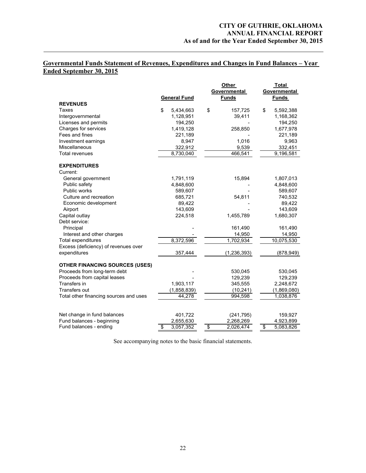## **Governmental Funds Statement of Revenues, Expenditures and Changes in Fund Balances – Year Ended September 30, 2015**

 $\overline{a}$ 

|                                                     | <b>General Fund</b> | Other<br>Governmental<br><b>Funds</b> | Total<br>Governmental<br><b>Funds</b> |
|-----------------------------------------------------|---------------------|---------------------------------------|---------------------------------------|
| <b>REVENUES</b>                                     |                     |                                       |                                       |
| Taxes                                               | \$<br>5,434,663     | \$<br>157,725                         | \$<br>5,592,388                       |
| Intergovernmental                                   | 1,128,951           | 39,411                                | 1,168,362                             |
| Licenses and permits                                | 194,250             |                                       | 194,250                               |
| Charges for services                                | 1,419,128           | 258,850                               | 1,677,978                             |
| Fees and fines                                      | 221,189             |                                       | 221,189                               |
| Investment earnings                                 | 8,947               | 1,016                                 | 9,963                                 |
| <b>Miscellaneous</b>                                | 322,912             | 9,539                                 | 332,451                               |
| <b>Total revenues</b>                               | 8,730,040           | 466,541                               | $\overline{9,}196,581$                |
| <b>EXPENDITURES</b>                                 |                     |                                       |                                       |
| Current:                                            |                     |                                       |                                       |
| General government                                  | 1,791,119           | 15,894                                | 1,807,013                             |
| Public safety                                       | 4,848,600           |                                       | 4,848,600                             |
| Public works                                        | 589,607             |                                       | 589,607                               |
| Culture and recreation                              | 685,721             | 54,811                                | 740,532                               |
| Economic development                                | 89,422              |                                       | 89,422                                |
| Airport                                             | 143,609             |                                       | 143,609                               |
| Capital outlay                                      | 224,518             | 1,455,789                             | 1,680,307                             |
| Debt service:                                       |                     |                                       |                                       |
| Principal                                           |                     | 161,490                               | 161,490                               |
| Interest and other charges                          |                     | 14,950                                | 14,950                                |
| <b>Total expenditures</b>                           | 8,372,596           | 1,702,934                             | 10,075,530                            |
| Excess (deficiency) of revenues over                |                     |                                       |                                       |
| expenditures                                        | 357,444             | (1, 236, 393)                         | (878,949)                             |
| <b>OTHER FINANCING SOURCES (USES)</b>               |                     |                                       |                                       |
| Proceeds from long-term debt                        |                     | 530,045                               | 530,045                               |
| Proceeds from capital leases                        |                     | 129,239                               | 129,239                               |
| Transfers in                                        | 1,903,117           | 345,555                               | 2,248,672                             |
| Transfers out                                       | (1,858,839)         | (10, 241)                             | (1,869,080)                           |
| Total other financing sources and uses              | 44,278              | 994,598                               | 1,038,876                             |
|                                                     |                     |                                       |                                       |
| Net change in fund balances                         | 401,722             | (241, 795)                            | 159,927                               |
| Fund balances - beginning<br>Fund balances - ending | 2,655,630           | 2,268,269                             | 4,923,899                             |
|                                                     | \$<br>3,057,352     | \$<br>2,026,474                       | \$<br>5,083,826                       |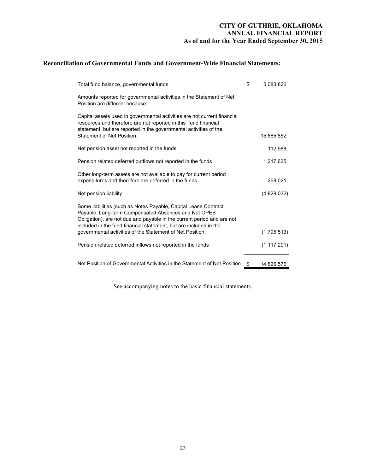## **Reconciliation of Governmental Funds and Government-Wide Financial Statements:**

 $\overline{a}$ 

| Total fund balance, governmental funds                                                                                                                                                                                                                                 | \$<br>5,083,826  |
|------------------------------------------------------------------------------------------------------------------------------------------------------------------------------------------------------------------------------------------------------------------------|------------------|
| Amounts reported for governmental activities in the Statement of Net<br>Position are different because:                                                                                                                                                                |                  |
| Capital assets used in governmental activities are not current financial<br>resources and therefore are not reported in this fund financial<br>statement, but are reported in the governmental activities of the                                                       |                  |
| Statement of Net Position.                                                                                                                                                                                                                                             | 15,885,852       |
| Net pension asset not reported in the funds                                                                                                                                                                                                                            | 112,988          |
| Pension related deferred outflows not reported in the funds                                                                                                                                                                                                            | 1,217,635        |
| Other long-term assets are not available to pay for current period<br>expenditures and therefore are deferred in the funds.                                                                                                                                            | 268,021          |
| Net pension liability                                                                                                                                                                                                                                                  | (4,829,032)      |
| Some liabilities (such as Notes Payable, Capital Lease Contract<br>Payable, Long-term Compensated Absences and Net OPEB<br>Obligation), are not due and payable in the current period and are not<br>included in the fund financial statement, but are included in the |                  |
| governmental activities of the Statement of Net Position.                                                                                                                                                                                                              | (1,795,513)      |
| Pension related deferred inflows not reported in the funds                                                                                                                                                                                                             | (1, 117, 201)    |
| Net Position of Governmental Activities in the Statement of Net Position                                                                                                                                                                                               | \$<br>14,826,576 |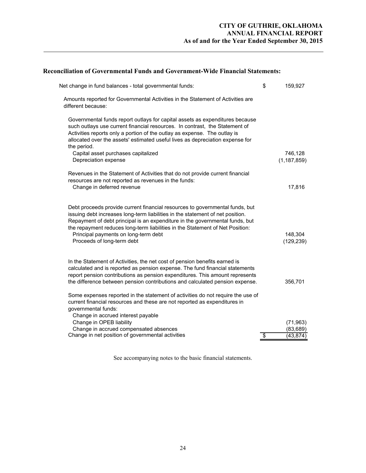## **Reconciliation of Governmental Funds and Government-Wide Financial Statements:**

 $\overline{a}$ 

| Amounts reported for Governmental Activities in the Statement of Activities are<br>different because:<br>Governmental funds report outlays for capital assets as expenditures because<br>such outlays use current financial resources. In contrast, the Statement of<br>Activities reports only a portion of the outlay as expense. The outlay is<br>allocated over the assets' estimated useful lives as depreciation expense for<br>the period.<br>Capital asset purchases capitalized<br>746,128<br>Depreciation expense<br>Revenues in the Statement of Activities that do not provide current financial<br>resources are not reported as revenues in the funds:<br>Change in deferred revenue<br>17,816<br>Debt proceeds provide current financial resources to governmental funds, but<br>issuing debt increases long-term liabilities in the statement of net position.<br>Repayment of debt principal is an expenditure in the governmental funds, but<br>the repayment reduces long-term liabilities in the Statement of Net Position:<br>Principal payments on long-term debt<br>148,304<br>Proceeds of long-term debt<br>In the Statement of Activities, the net cost of pension benefits earned is<br>calculated and is reported as pension expense. The fund financial statements<br>report pension contributions as pension expenditures. This amount represents<br>the difference between pension contributions and calculated pension expense.<br>356,701<br>Some expenses reported in the statement of activities do not require the use of<br>current financial resources and these are not reported as expenditures in<br>governmental funds:<br>Change in accrued interest payable<br>Change in OPEB liability<br>(71, 963)<br>Change in accrued compensated absences<br>(83, 689)<br>Change in net position of governmental activities | Net change in fund balances - total governmental funds: | \$<br>159,927  |
|-------------------------------------------------------------------------------------------------------------------------------------------------------------------------------------------------------------------------------------------------------------------------------------------------------------------------------------------------------------------------------------------------------------------------------------------------------------------------------------------------------------------------------------------------------------------------------------------------------------------------------------------------------------------------------------------------------------------------------------------------------------------------------------------------------------------------------------------------------------------------------------------------------------------------------------------------------------------------------------------------------------------------------------------------------------------------------------------------------------------------------------------------------------------------------------------------------------------------------------------------------------------------------------------------------------------------------------------------------------------------------------------------------------------------------------------------------------------------------------------------------------------------------------------------------------------------------------------------------------------------------------------------------------------------------------------------------------------------------------------------------------------------------------------------------------------------------------------------------------|---------------------------------------------------------|----------------|
|                                                                                                                                                                                                                                                                                                                                                                                                                                                                                                                                                                                                                                                                                                                                                                                                                                                                                                                                                                                                                                                                                                                                                                                                                                                                                                                                                                                                                                                                                                                                                                                                                                                                                                                                                                                                                                                             |                                                         |                |
|                                                                                                                                                                                                                                                                                                                                                                                                                                                                                                                                                                                                                                                                                                                                                                                                                                                                                                                                                                                                                                                                                                                                                                                                                                                                                                                                                                                                                                                                                                                                                                                                                                                                                                                                                                                                                                                             |                                                         |                |
|                                                                                                                                                                                                                                                                                                                                                                                                                                                                                                                                                                                                                                                                                                                                                                                                                                                                                                                                                                                                                                                                                                                                                                                                                                                                                                                                                                                                                                                                                                                                                                                                                                                                                                                                                                                                                                                             |                                                         | (1, 187, 859)  |
|                                                                                                                                                                                                                                                                                                                                                                                                                                                                                                                                                                                                                                                                                                                                                                                                                                                                                                                                                                                                                                                                                                                                                                                                                                                                                                                                                                                                                                                                                                                                                                                                                                                                                                                                                                                                                                                             |                                                         |                |
|                                                                                                                                                                                                                                                                                                                                                                                                                                                                                                                                                                                                                                                                                                                                                                                                                                                                                                                                                                                                                                                                                                                                                                                                                                                                                                                                                                                                                                                                                                                                                                                                                                                                                                                                                                                                                                                             |                                                         | (129, 239)     |
|                                                                                                                                                                                                                                                                                                                                                                                                                                                                                                                                                                                                                                                                                                                                                                                                                                                                                                                                                                                                                                                                                                                                                                                                                                                                                                                                                                                                                                                                                                                                                                                                                                                                                                                                                                                                                                                             |                                                         |                |
|                                                                                                                                                                                                                                                                                                                                                                                                                                                                                                                                                                                                                                                                                                                                                                                                                                                                                                                                                                                                                                                                                                                                                                                                                                                                                                                                                                                                                                                                                                                                                                                                                                                                                                                                                                                                                                                             |                                                         |                |
|                                                                                                                                                                                                                                                                                                                                                                                                                                                                                                                                                                                                                                                                                                                                                                                                                                                                                                                                                                                                                                                                                                                                                                                                                                                                                                                                                                                                                                                                                                                                                                                                                                                                                                                                                                                                                                                             |                                                         |                |
|                                                                                                                                                                                                                                                                                                                                                                                                                                                                                                                                                                                                                                                                                                                                                                                                                                                                                                                                                                                                                                                                                                                                                                                                                                                                                                                                                                                                                                                                                                                                                                                                                                                                                                                                                                                                                                                             |                                                         | \$<br>(43,874) |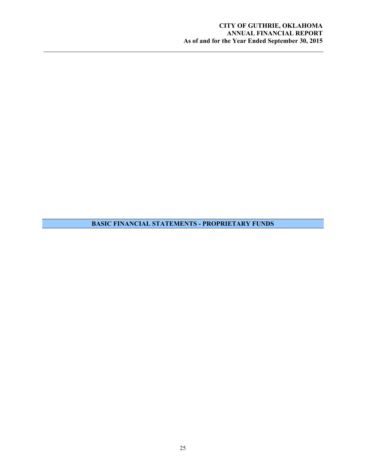**BASIC FINANCIAL STATEMENTS - PROPRIETARY FUNDS**

 $\overline{a}$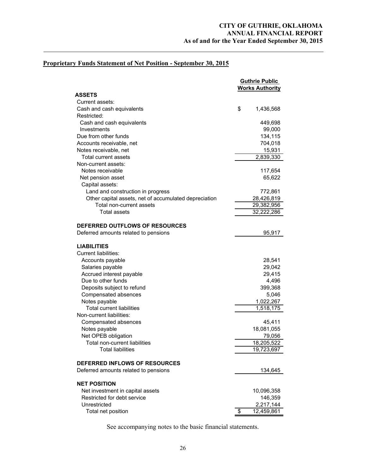## **Proprietary Funds Statement of Net Position - September 30, 2015**

 $\overline{a}$ 

|                                                                                                                                                                           | <b>Guthrie Public</b><br><b>Works Authority</b> |                                                |  |
|---------------------------------------------------------------------------------------------------------------------------------------------------------------------------|-------------------------------------------------|------------------------------------------------|--|
| <b>ASSETS</b>                                                                                                                                                             |                                                 |                                                |  |
| Current assets:                                                                                                                                                           |                                                 |                                                |  |
| Cash and cash equivalents                                                                                                                                                 | \$                                              | 1,436,568                                      |  |
| Restricted:                                                                                                                                                               |                                                 |                                                |  |
| Cash and cash equivalents                                                                                                                                                 |                                                 | 449,698                                        |  |
| Investments                                                                                                                                                               |                                                 | 99,000                                         |  |
| Due from other funds                                                                                                                                                      |                                                 | 134,115                                        |  |
| Accounts receivable, net                                                                                                                                                  |                                                 | 704,018                                        |  |
| Notes receivable, net                                                                                                                                                     |                                                 | 15,931                                         |  |
| <b>Total current assets</b>                                                                                                                                               |                                                 | 2,839,330                                      |  |
| Non-current assets:                                                                                                                                                       |                                                 |                                                |  |
| Notes receivable                                                                                                                                                          |                                                 | 117,654                                        |  |
| Net pension asset                                                                                                                                                         |                                                 | 65,622                                         |  |
| Capital assets:                                                                                                                                                           |                                                 |                                                |  |
| Land and construction in progress                                                                                                                                         |                                                 | 772,861                                        |  |
| Other capital assets, net of accumulated depreciation                                                                                                                     |                                                 | 28,426,819                                     |  |
| Total non-current assets                                                                                                                                                  |                                                 | 29,382,956                                     |  |
| Total assets                                                                                                                                                              |                                                 | 32,222,286                                     |  |
|                                                                                                                                                                           |                                                 |                                                |  |
| DEFERRED OUTFLOWS OF RESOURCES                                                                                                                                            |                                                 |                                                |  |
| Deferred amounts related to pensions                                                                                                                                      |                                                 | 95,917                                         |  |
| <b>LIABILITIES</b><br><b>Current liabilities:</b><br>Accounts payable<br>Salaries payable<br>Accrued interest payable<br>Due to other funds<br>Deposits subject to refund |                                                 | 28,541<br>29,042<br>29,415<br>4,496<br>399,368 |  |
| Compensated absences                                                                                                                                                      |                                                 | 5,046                                          |  |
| Notes payable<br><b>Total current liabilities</b>                                                                                                                         |                                                 | 1,022,267                                      |  |
| Non-current liabilities:                                                                                                                                                  |                                                 | 1,518,175                                      |  |
| Compensated absences                                                                                                                                                      |                                                 | 45,411                                         |  |
| Notes payable                                                                                                                                                             |                                                 | 18,081,055                                     |  |
| Net OPEB obligation                                                                                                                                                       |                                                 | 79,056                                         |  |
| <b>Total non-current liabilities</b>                                                                                                                                      |                                                 | 18,205,522                                     |  |
| <b>Total liabilities</b>                                                                                                                                                  |                                                 | 19,723,697                                     |  |
| DEFERRED INFLOWS OF RESOURCES<br>Deferred amounts related to pensions                                                                                                     |                                                 | 134,645                                        |  |
| <b>NET POSITION</b>                                                                                                                                                       |                                                 |                                                |  |
| Net investment in capital assets                                                                                                                                          |                                                 | 10,096,358                                     |  |
| Restricted for debt service                                                                                                                                               |                                                 | 146,359                                        |  |
| Unrestricted                                                                                                                                                              |                                                 | 2,217,144                                      |  |
| Total net position                                                                                                                                                        | \$                                              | 12,459,861                                     |  |
|                                                                                                                                                                           |                                                 |                                                |  |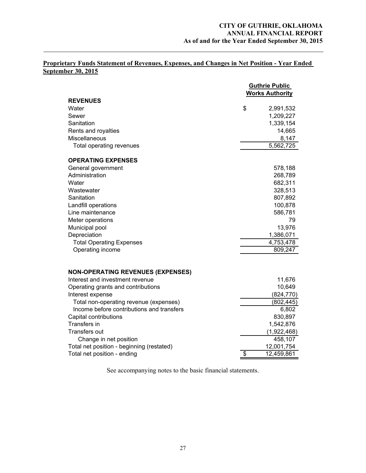## **Proprietary Funds Statement of Revenues, Expenses, and Changes in Net Position - Year Ended September 30, 2015**

 $\overline{a}$ 

|                                           | <b>Guthrie Public</b><br><b>Works Authority</b> |             |
|-------------------------------------------|-------------------------------------------------|-------------|
| <b>REVENUES</b>                           |                                                 |             |
| Water                                     | \$                                              | 2,991,532   |
| Sewer                                     |                                                 | 1,209,227   |
| Sanitation                                |                                                 | 1,339,154   |
| Rents and royalties                       |                                                 | 14,665      |
| Miscellaneous                             |                                                 | 8,147       |
| Total operating revenues                  |                                                 | 5,562,725   |
| <b>OPERATING EXPENSES</b>                 |                                                 |             |
| General government                        |                                                 | 578,188     |
| Administration                            |                                                 | 268,789     |
| Water                                     |                                                 | 682,311     |
| Wastewater                                |                                                 | 328,513     |
| Sanitation                                |                                                 | 807,892     |
| Landfill operations                       |                                                 | 100,878     |
| Line maintenance                          |                                                 | 586,781     |
| Meter operations                          |                                                 | 79          |
| Municipal pool                            |                                                 | 13,976      |
| Depreciation                              |                                                 | 1,386,071   |
| <b>Total Operating Expenses</b>           |                                                 | 4,753,478   |
| Operating income                          |                                                 | 809,247     |
|                                           |                                                 |             |
| <b>NON-OPERATING REVENUES (EXPENSES)</b>  |                                                 |             |
| Interest and investment revenue           |                                                 | 11,676      |
| Operating grants and contributions        |                                                 | 10,649      |
| Interest expense                          |                                                 | (824, 770)  |
| Total non-operating revenue (expenses)    |                                                 | (802, 445)  |
| Income before contributions and transfers |                                                 | 6,802       |
| Capital contributions                     |                                                 | 830,897     |
| Transfers in                              |                                                 | 1,542,876   |
| <b>Transfers out</b>                      |                                                 | (1,922,468) |
| Change in net position                    |                                                 | 458,107     |
| Total net position - beginning (restated) |                                                 | 12,001,754  |
| Total net position - ending               | \$                                              | 12,459,861  |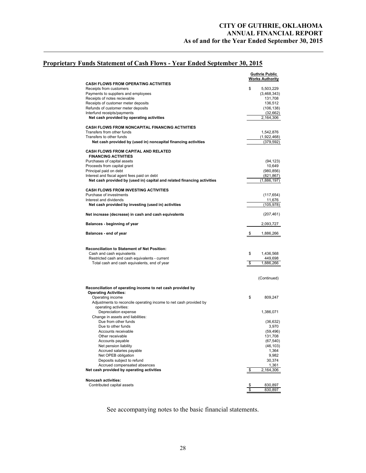## **Proprietary Funds Statement of Cash Flows - Year Ended September 30, 2015**

 $\overline{a}$ 

|                                                                                                                        |          | <b>Guthrie Public</b><br><b>Works Authority</b> |
|------------------------------------------------------------------------------------------------------------------------|----------|-------------------------------------------------|
| <b>CASH FLOWS FROM OPERATING ACTIVITIES</b>                                                                            |          |                                                 |
| Receipts from customers                                                                                                | \$       | 5,503,229                                       |
| Payments to suppliers and employees                                                                                    |          | (3,468,343)                                     |
| Receipts of notes recievable<br>Receipts of customer meter deposits                                                    |          | 131,708<br>136,512                              |
| Refunds of customer meter deposits                                                                                     |          | (106, 138)                                      |
| Interfund receipts/payments                                                                                            |          | (32, 662)                                       |
| Net cash provided by operating activities                                                                              |          | 2,164,306                                       |
| <b>CASH FLOWS FROM NONCAPITAL FINANCING ACTIVITIES</b>                                                                 |          |                                                 |
| Transfers from other funds                                                                                             |          | 1,542,876                                       |
| Transfers to other funds<br>Net cash provided by (used in) noncapital financing activities                             |          | (1,922,468)<br>(379, 592)                       |
| <b>CASH FLOWS FROM CAPITAL AND RELATED</b><br><b>FINANCING ACTIVITIES</b>                                              |          |                                                 |
| Purchases of capital assets                                                                                            |          | (94, 123)                                       |
| Proceeds from capital grant                                                                                            |          | 10,649                                          |
| Principal paid on debt                                                                                                 |          | (980, 856)                                      |
| Interest and fiscal agent fees paid on debt<br>Net cash provided by (used in) capital and related financing activities |          | (821, 867)<br>(1,886,197)                       |
| <b>CASH FLOWS FROM INVESTING ACTIVITIES</b>                                                                            |          |                                                 |
| Purchase of investments                                                                                                |          | (117, 654)                                      |
| Interest and dividends                                                                                                 |          | 11,676                                          |
| Net cash provided by investing (used in) activities                                                                    |          | (105, 978)                                      |
| Net increase (decrease) in cash and cash equivalents                                                                   |          | (207, 461)                                      |
| <b>Balances - beginning of year</b>                                                                                    |          | 2,093,727                                       |
| Balances - end of year                                                                                                 | \$       | 1,886,266                                       |
| <b>Reconciliation to Statement of Net Position:</b>                                                                    |          |                                                 |
| Cash and cash equivalents                                                                                              | \$       | 1,436,568                                       |
| Restricted cash and cash equivalents - current                                                                         |          | 449,698                                         |
| Total cash and cash equivalents, end of year                                                                           | \$       | 1,886,266                                       |
|                                                                                                                        |          |                                                 |
|                                                                                                                        |          | (Continued)                                     |
| Reconciliation of operating income to net cash provided by<br><b>Operating Activities:</b>                             |          |                                                 |
| Operating income<br>Adjustments to reconcile operating income to net cash provided by                                  | \$       | 809,247                                         |
| operating activities:                                                                                                  |          |                                                 |
| Depreciation expense                                                                                                   |          | 1,386,071                                       |
| Change in assets and liabilities:<br>Due from other funds                                                              |          |                                                 |
| Due to other funds                                                                                                     |          | (36, 632)<br>3,970                              |
| Accounts receivable                                                                                                    |          | (59, 496)                                       |
| Other receivable                                                                                                       |          | 131,708                                         |
| Accounts payable                                                                                                       |          | (67, 540)                                       |
| Net pension liability<br>Accrued salaries payable                                                                      |          | (46, 103)<br>1,364                              |
| Net OPEB obligation                                                                                                    |          | 9,982                                           |
| Deposits subject to refund                                                                                             |          | 30,374                                          |
| Accrued compensated absences<br>Net cash provided by operating activities                                              | \$       | 1,361<br>2,164,306                              |
|                                                                                                                        |          |                                                 |
| <b>Noncash activities:</b>                                                                                             |          |                                                 |
| Contributed capital assets                                                                                             | \$<br>\$ | 830,897<br>830,897                              |
|                                                                                                                        |          |                                                 |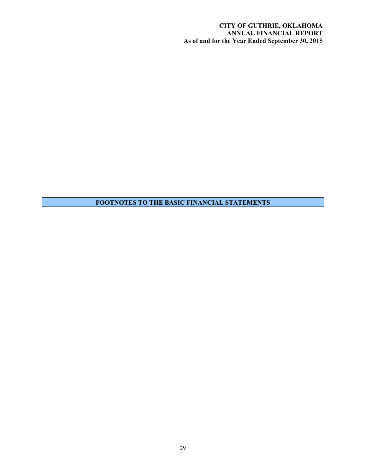**FOOTNOTES TO THE BASIC FINANCIAL STATEMENTS**

 $\overline{a}$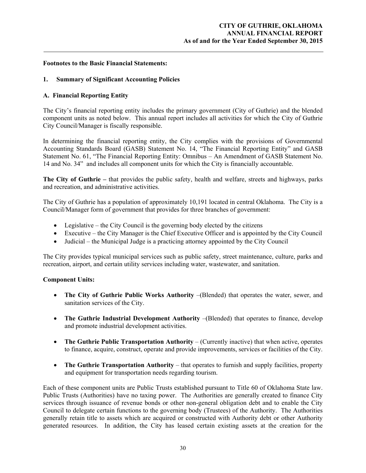#### **Footnotes to the Basic Financial Statements:**

#### **1. Summary of Significant Accounting Policies**

## **A. Financial Reporting Entity**

 $\overline{a}$ 

 The City's financial reporting entity includes the primary government (City of Guthrie) and the blended component units as noted below. This annual report includes all activities for which the City of Guthrie City Council/Manager is fiscally responsible.

In determining the financial reporting entity, the City complies with the provisions of Governmental Accounting Standards Board (GASB) Statement No. 14, "The Financial Reporting Entity" and GASB Statement No. 61, "The Financial Reporting Entity: Omnibus – An Amendment of GASB Statement No. 14 and No. 34" and includes all component units for which the City is financially accountable.

**The City of Guthrie –** that provides the public safety, health and welfare, streets and highways, parks and recreation, and administrative activities.

The City of Guthrie has a population of approximately 10,191 located in central Oklahoma. The City is a Council/Manager form of government that provides for three branches of government:

- Legislative the City Council is the governing body elected by the citizens
- Executive the City Manager is the Chief Executive Officer and is appointed by the City Council
- Judicial the Municipal Judge is a practicing attorney appointed by the City Council

The City provides typical municipal services such as public safety, street maintenance, culture, parks and recreation, airport, and certain utility services including water, wastewater, and sanitation.

## **Component Units:**

- **The City of Guthrie Public Works Authority** –(Blended) that operates the water, sewer, and sanitation services of the City.
- The Guthrie Industrial Development Authority –(Blended) that operates to finance, develop and promote industrial development activities.
- The Guthrie Public Transportation Authority (Currently inactive) that when active, operates to finance, acquire, construct, operate and provide improvements, services or facilities of the City.
- The Guthrie Transportation Authority that operates to furnish and supply facilities, property and equipment for transportation needs regarding tourism.

Each of these component units are Public Trusts established pursuant to Title 60 of Oklahoma State law. Public Trusts (Authorities) have no taxing power. The Authorities are generally created to finance City services through issuance of revenue bonds or other non-general obligation debt and to enable the City Council to delegate certain functions to the governing body (Trustees) of the Authority. The Authorities generally retain title to assets which are acquired or constructed with Authority debt or other Authority generated resources. In addition, the City has leased certain existing assets at the creation for the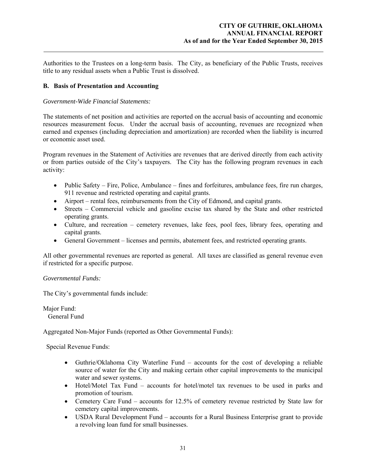Authorities to the Trustees on a long-term basis. The City, as beneficiary of the Public Trusts, receives title to any residual assets when a Public Trust is dissolved.

## **B. Basis of Presentation and Accounting**

#### *Government-Wide Financial Statements:*

 $\overline{a}$ 

 The statements of net position and activities are reported on the accrual basis of accounting and economic resources measurement focus. Under the accrual basis of accounting, revenues are recognized when earned and expenses (including depreciation and amortization) are recorded when the liability is incurred or economic asset used.

Program revenues in the Statement of Activities are revenues that are derived directly from each activity or from parties outside of the City's taxpayers. The City has the following program revenues in each activity:

- Public Safety Fire, Police, Ambulance fines and forfeitures, ambulance fees, fire run charges, 911 revenue and restricted operating and capital grants.
- Airport rental fees, reimbursements from the City of Edmond, and capital grants.
- Streets Commercial vehicle and gasoline excise tax shared by the State and other restricted operating grants.
- Culture, and recreation cemetery revenues, lake fees, pool fees, library fees, operating and capital grants.
- General Government licenses and permits, abatement fees, and restricted operating grants.

All other governmental revenues are reported as general. All taxes are classified as general revenue even if restricted for a specific purpose.

#### *Governmental Funds:*

The City's governmental funds include:

Major Fund: General Fund

Aggregated Non-Major Funds (reported as Other Governmental Funds):

Special Revenue Funds:

- Guthrie/Oklahoma City Waterline Fund accounts for the cost of developing a reliable source of water for the City and making certain other capital improvements to the municipal water and sewer systems.
- Hotel/Motel Tax Fund accounts for hotel/motel tax revenues to be used in parks and promotion of tourism.
- Cemetery Care Fund accounts for 12.5% of cemetery revenue restricted by State law for cemetery capital improvements.
- USDA Rural Development Fund accounts for a Rural Business Enterprise grant to provide a revolving loan fund for small businesses.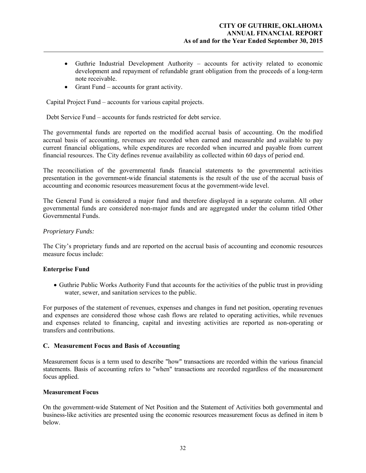- Guthrie Industrial Development Authority accounts for activity related to economic development and repayment of refundable grant obligation from the proceeds of a long-term note receivable.
- Grant Fund accounts for grant activity.

Capital Project Fund – accounts for various capital projects.

Debt Service Fund – accounts for funds restricted for debt service.

The governmental funds are reported on the modified accrual basis of accounting. On the modified accrual basis of accounting, revenues are recorded when earned and measurable and available to pay current financial obligations, while expenditures are recorded when incurred and payable from current financial resources. The City defines revenue availability as collected within 60 days of period end.

The reconciliation of the governmental funds financial statements to the governmental activities presentation in the government-wide financial statements is the result of the use of the accrual basis of accounting and economic resources measurement focus at the government-wide level.

The General Fund is considered a major fund and therefore displayed in a separate column. All other governmental funds are considered non-major funds and are aggregated under the column titled Other Governmental Funds.

#### *Proprietary Funds:*

 $\overline{a}$ 

The City's proprietary funds and are reported on the accrual basis of accounting and economic resources measure focus include:

## **Enterprise Fund**

 Guthrie Public Works Authority Fund that accounts for the activities of the public trust in providing water, sewer, and sanitation services to the public.

For purposes of the statement of revenues, expenses and changes in fund net position, operating revenues and expenses are considered those whose cash flows are related to operating activities, while revenues and expenses related to financing, capital and investing activities are reported as non-operating or transfers and contributions.

#### **C. Measurement Focus and Basis of Accounting**

Measurement focus is a term used to describe "how" transactions are recorded within the various financial statements. Basis of accounting refers to "when" transactions are recorded regardless of the measurement focus applied.

#### **Measurement Focus**

On the government-wide Statement of Net Position and the Statement of Activities both governmental and business-like activities are presented using the economic resources measurement focus as defined in item b below.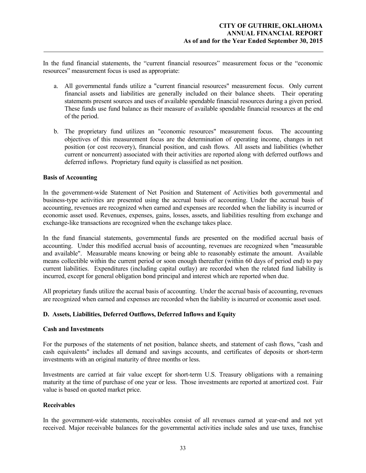In the fund financial statements, the "current financial resources" measurement focus or the "economic resources" measurement focus is used as appropriate:

- a. All governmental funds utilize a "current financial resources" measurement focus. Only current financial assets and liabilities are generally included on their balance sheets. Their operating statements present sources and uses of available spendable financial resources during a given period. These funds use fund balance as their measure of available spendable financial resources at the end of the period.
- b. The proprietary fund utilizes an "economic resources" measurement focus. The accounting objectives of this measurement focus are the determination of operating income, changes in net position (or cost recovery), financial position, and cash flows. All assets and liabilities (whether current or noncurrent) associated with their activities are reported along with deferred outflows and deferred inflows. Proprietary fund equity is classified as net position.

#### **Basis of Accounting**

 $\overline{a}$ 

In the government-wide Statement of Net Position and Statement of Activities both governmental and business-type activities are presented using the accrual basis of accounting. Under the accrual basis of accounting, revenues are recognized when earned and expenses are recorded when the liability is incurred or economic asset used. Revenues, expenses, gains, losses, assets, and liabilities resulting from exchange and exchange-like transactions are recognized when the exchange takes place.

In the fund financial statements, governmental funds are presented on the modified accrual basis of accounting. Under this modified accrual basis of accounting, revenues are recognized when "measurable and available". Measurable means knowing or being able to reasonably estimate the amount. Available means collectible within the current period or soon enough thereafter (within 60 days of period end) to pay current liabilities. Expenditures (including capital outlay) are recorded when the related fund liability is incurred, except for general obligation bond principal and interest which are reported when due.

All proprietary funds utilize the accrual basis of accounting. Under the accrual basis of accounting, revenues are recognized when earned and expenses are recorded when the liability is incurred or economic asset used.

#### **D. Assets, Liabilities, Deferred Outflows, Deferred Inflows and Equity**

#### **Cash and Investments**

For the purposes of the statements of net position, balance sheets, and statement of cash flows, "cash and cash equivalents" includes all demand and savings accounts, and certificates of deposits or short-term investments with an original maturity of three months or less.

Investments are carried at fair value except for short-term U.S. Treasury obligations with a remaining maturity at the time of purchase of one year or less. Those investments are reported at amortized cost. Fair value is based on quoted market price.

#### **Receivables**

In the government-wide statements, receivables consist of all revenues earned at year-end and not yet received. Major receivable balances for the governmental activities include sales and use taxes, franchise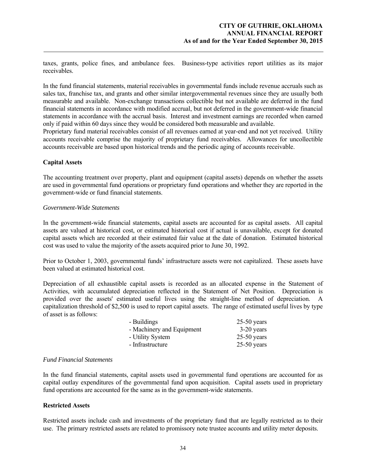taxes, grants, police fines, and ambulance fees. Business-type activities report utilities as its major receivables.

In the fund financial statements, material receivables in governmental funds include revenue accruals such as sales tax, franchise tax, and grants and other similar intergovernmental revenues since they are usually both measurable and available. Non-exchange transactions collectible but not available are deferred in the fund financial statements in accordance with modified accrual, but not deferred in the government-wide financial statements in accordance with the accrual basis. Interest and investment earnings are recorded when earned only if paid within 60 days since they would be considered both measurable and available.

Proprietary fund material receivables consist of all revenues earned at year-end and not yet received. Utility accounts receivable comprise the majority of proprietary fund receivables. Allowances for uncollectible accounts receivable are based upon historical trends and the periodic aging of accounts receivable.

## **Capital Assets**

 $\overline{a}$ 

 The accounting treatment over property, plant and equipment (capital assets) depends on whether the assets are used in governmental fund operations or proprietary fund operations and whether they are reported in the government-wide or fund financial statements.

## *Government-Wide Statements*

In the government-wide financial statements, capital assets are accounted for as capital assets. All capital assets are valued at historical cost, or estimated historical cost if actual is unavailable, except for donated capital assets which are recorded at their estimated fair value at the date of donation. Estimated historical cost was used to value the majority of the assets acquired prior to June 30, 1992.

 Prior to October 1, 2003, governmental funds' infrastructure assets were not capitalized. These assets have been valued at estimated historical cost.

Depreciation of all exhaustible capital assets is recorded as an allocated expense in the Statement of Activities, with accumulated depreciation reflected in the Statement of Net Position. Depreciation is provided over the assets' estimated useful lives using the straight-line method of depreciation. A capitalization threshold of \$2,500 is used to report capital assets. The range of estimated useful lives by type of asset is as follows:

| - Buildings               | $25-50$ years |
|---------------------------|---------------|
| - Machinery and Equipment | $3-20$ years  |
| - Utility System          | $25-50$ years |
| - Infrastructure          | $25-50$ years |

## *Fund Financial Statements*

 In the fund financial statements, capital assets used in governmental fund operations are accounted for as capital outlay expenditures of the governmental fund upon acquisition. Capital assets used in proprietary fund operations are accounted for the same as in the government-wide statements.

## **Restricted Assets**

 Restricted assets include cash and investments of the proprietary fund that are legally restricted as to their use. The primary restricted assets are related to promissory note trustee accounts and utility meter deposits.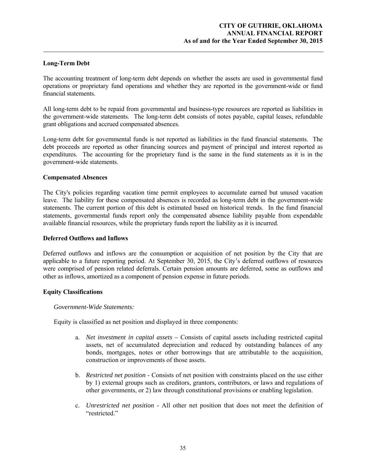## **Long-Term Debt**

 $\overline{a}$ 

 The accounting treatment of long-term debt depends on whether the assets are used in governmental fund operations or proprietary fund operations and whether they are reported in the government-wide or fund financial statements.

All long-term debt to be repaid from governmental and business-type resources are reported as liabilities in the government-wide statements. The long-term debt consists of notes payable, capital leases, refundable grant obligations and accrued compensated absences.

Long-term debt for governmental funds is not reported as liabilities in the fund financial statements. The debt proceeds are reported as other financing sources and payment of principal and interest reported as expenditures. The accounting for the proprietary fund is the same in the fund statements as it is in the government-wide statements.

#### **Compensated Absences**

 The City's policies regarding vacation time permit employees to accumulate earned but unused vacation leave. The liability for these compensated absences is recorded as long-term debt in the government-wide statements. The current portion of this debt is estimated based on historical trends. In the fund financial statements, governmental funds report only the compensated absence liability payable from expendable available financial resources, while the proprietary funds report the liability as it is incurred.

#### **Deferred Outflows and Inflows**

 Deferred outflows and inflows are the consumption or acquisition of net position by the City that are applicable to a future reporting period. At September 30, 2015, the City's deferred outflows of resources were comprised of pension related deferrals. Certain pension amounts are deferred, some as outflows and other as inflows, amortized as a component of pension expense in future periods.

#### **Equity Classifications**

#### *Government-Wide Statements:*

Equity is classified as net position and displayed in three components:

- a. *Net investment in capital assets* Consists of capital assets including restricted capital assets, net of accumulated depreciation and reduced by outstanding balances of any bonds, mortgages, notes or other borrowings that are attributable to the acquisition, construction or improvements of those assets.
- b. *Restricted net position* Consists of net position with constraints placed on the use either by 1) external groups such as creditors, grantors, contributors, or laws and regulations of other governments, or 2) law through constitutional provisions or enabling legislation.
- c. *Unrestricted net position* All other net position that does not meet the definition of "restricted."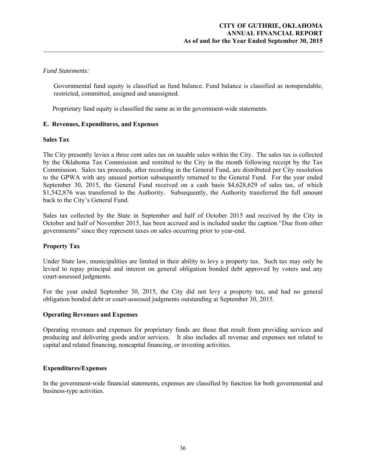# *Fund Statements:*

 $\overline{a}$ 

Governmental fund equity is classified as fund balance. Fund balance is classified as nonspendable, restricted, committed, assigned and unassigned.

Proprietary fund equity is classified the same as in the government-wide statements.

# **E. Revenues, Expenditures, and Expenses**

# **Sales Tax**

The City presently levies a three cent sales tax on taxable sales within the City. The sales tax is collected by the Oklahoma Tax Commission and remitted to the City in the month following receipt by the Tax Commission. Sales tax proceeds, after recording in the General Fund, are distributed per City resolution to the GPWA with any unused portion subsequently returned to the General Fund. For the year ended September 30, 2015, the General Fund received on a cash basis \$4,628,629 of sales tax, of which \$1,542,876 was transferred to the Authority. Subsequently, the Authority transferred the full amount back to the City's General Fund.

Sales tax collected by the State in September and half of October 2015 and received by the City in October and half of November 2015, has been accrued and is included under the caption "Due from other governments" since they represent taxes on sales occurring prior to year-end.

# **Property Tax**

Under State law, municipalities are limited in their ability to levy a property tax. Such tax may only be levied to repay principal and interest on general obligation bonded debt approved by voters and any court-assessed judgments.

For the year ended September 30, 2015, the City did not levy a property tax, and had no general obligation bonded debt or court-assessed judgments outstanding at September 30, 2015.

## **Operating Revenues and Expenses**

Operating revenues and expenses for proprietary funds are those that result from providing services and producing and delivering goods and/or services. It also includes all revenue and expenses not related to capital and related financing, noncapital financing, or investing activities.

# **Expenditures/Expenses**

In the government-wide financial statements, expenses are classified by function for both governmental and business-type activities.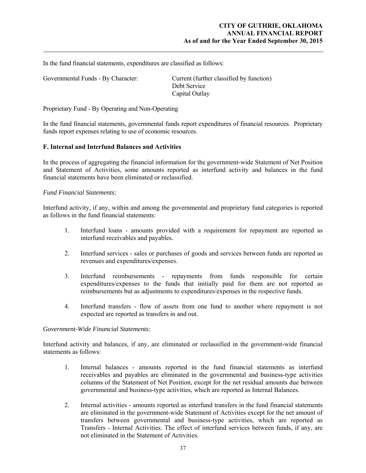In the fund financial statements, expenditures are classified as follows:

| Governmental Funds - By Character: | Current (further classified by function) |
|------------------------------------|------------------------------------------|
|                                    | Debt Service                             |
|                                    | Capital Outlay                           |

Proprietary Fund - By Operating and Non-Operating

In the fund financial statements, governmental funds report expenditures of financial resources. Proprietary funds report expenses relating to use of economic resources.

## **F. Internal and Interfund Balances and Activities**

In the process of aggregating the financial information for the government-wide Statement of Net Position and Statement of Activities, some amounts reported as interfund activity and balances in the fund financial statements have been eliminated or reclassified.

## *Fund Financial Statements:*

 $\overline{a}$ 

Interfund activity, if any, within and among the governmental and proprietary fund categories is reported as follows in the fund financial statements:

- 1. Interfund loans amounts provided with a requirement for repayment are reported as interfund receivables and payables.
- 2. Interfund services sales or purchases of goods and services between funds are reported as revenues and expenditures/expenses.
- 3. Interfund reimbursements repayments from funds responsible for certain expenditures/expenses to the funds that initially paid for them are not reported as reimbursements but as adjustments to expenditures/expenses in the respective funds.
- 4. Interfund transfers flow of assets from one fund to another where repayment is not expected are reported as transfers in and out.

## *Government-Wide Financial Statements:*

Interfund activity and balances, if any, are eliminated or reclassified in the government-wide financial statements as follows:

- 1. Internal balances amounts reported in the fund financial statements as interfund receivables and payables are eliminated in the governmental and business-type activities columns of the Statement of Net Position, except for the net residual amounts due between governmental and business-type activities, which are reported as Internal Balances.
- 2. Internal activities amounts reported as interfund transfers in the fund financial statements are eliminated in the government-wide Statement of Activities except for the net amount of transfers between governmental and business-type activities, which are reported as Transfers - Internal Activities. The effect of interfund services between funds, if any, are not eliminated in the Statement of Activities.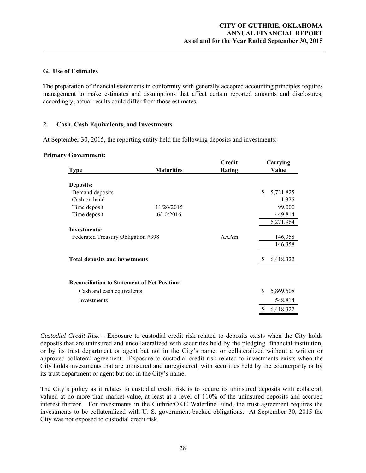## **G. Use of Estimates**

 $\overline{a}$ 

The preparation of financial statements in conformity with generally accepted accounting principles requires management to make estimates and assumptions that affect certain reported amounts and disclosures; accordingly, actual results could differ from those estimates.

## **2. Cash, Cash Equivalents, and Investments**

At September 30, 2015, the reporting entity held the following deposits and investments:

### **Primary Government:**

|                                                     |                   | <b>Credit</b> | Carrying        |  |  |  |
|-----------------------------------------------------|-------------------|---------------|-----------------|--|--|--|
| <b>Type</b>                                         | <b>Maturities</b> | Rating        | Value           |  |  |  |
| <b>Deposits:</b>                                    |                   |               |                 |  |  |  |
| Demand deposits                                     |                   |               | \$<br>5,721,825 |  |  |  |
| Cash on hand                                        |                   |               | 1,325           |  |  |  |
| Time deposit                                        | 11/26/2015        |               | 99,000          |  |  |  |
| Time deposit                                        | 6/10/2016         |               | 449,814         |  |  |  |
|                                                     |                   |               | 6,271,964       |  |  |  |
| <b>Investments:</b>                                 |                   |               |                 |  |  |  |
| Federated Treasury Obligation #398                  |                   | AAAm          | 146,358         |  |  |  |
|                                                     |                   |               | 146,358         |  |  |  |
| <b>Total deposits and investments</b>               |                   |               | 6,418,322       |  |  |  |
|                                                     |                   |               |                 |  |  |  |
| <b>Reconciliation to Statement of Net Position:</b> |                   |               |                 |  |  |  |
| Cash and cash equivalents                           |                   |               | \$<br>5,869,508 |  |  |  |
| Investments                                         |                   |               | 548,814         |  |  |  |
|                                                     |                   |               | 6,418,322<br>S  |  |  |  |

*Custodial Credit Risk –* Exposure to custodial credit risk related to deposits exists when the City holds deposits that are uninsured and uncollateralized with securities held by the pledging financial institution, or by its trust department or agent but not in the City's name: or collateralized without a written or approved collateral agreement. Exposure to custodial credit risk related to investments exists when the City holds investments that are uninsured and unregistered, with securities held by the counterparty or by its trust department or agent but not in the City's name.

The City's policy as it relates to custodial credit risk is to secure its uninsured deposits with collateral, valued at no more than market value, at least at a level of 110% of the uninsured deposits and accrued interest thereon. For investments in the Guthrie/OKC Waterline Fund, the trust agreement requires the investments to be collateralized with U. S. government-backed obligations. At September 30, 2015 the City was not exposed to custodial credit risk.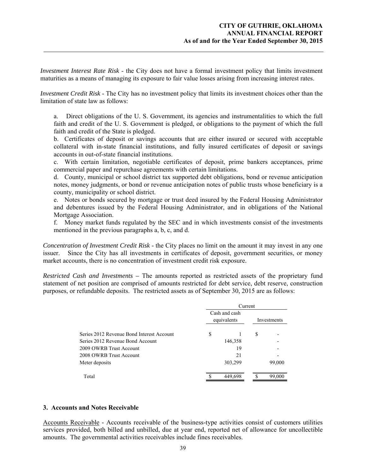*Investment Interest Rate Risk* - the City does not have a formal investment policy that limits investment maturities as a means of managing its exposure to fair value losses arising from increasing interest rates.

*Investment Credit Risk* - The City has no investment policy that limits its investment choices other than the limitation of state law as follows:

a. Direct obligations of the U. S. Government, its agencies and instrumentalities to which the full faith and credit of the U. S. Government is pledged, or obligations to the payment of which the full faith and credit of the State is pledged.

b. Certificates of deposit or savings accounts that are either insured or secured with acceptable collateral with in-state financial institutions, and fully insured certificates of deposit or savings accounts in out-of-state financial institutions.

c. With certain limitation, negotiable certificates of deposit, prime bankers acceptances, prime commercial paper and repurchase agreements with certain limitations.

d. County, municipal or school district tax supported debt obligations, bond or revenue anticipation notes, money judgments, or bond or revenue anticipation notes of public trusts whose beneficiary is a county, municipality or school district.

e. Notes or bonds secured by mortgage or trust deed insured by the Federal Housing Administrator and debentures issued by the Federal Housing Administrator, and in obligations of the National Mortgage Association.

f. Money market funds regulated by the SEC and in which investments consist of the investments mentioned in the previous paragraphs a, b, c, and d.

*Concentration of Investment Credit Risk* - the City places no limit on the amount it may invest in any one issuer. Since the City has all investments in certificates of deposit, government securities, or money market accounts, there is no concentration of investment credit risk exposure.

*Restricted Cash and Investments –* The amounts reported as restricted assets of the proprietary fund statement of net position are comprised of amounts restricted for debt service, debt reserve, construction purposes, or refundable deposits. The restricted assets as of September 30, 2015 are as follows:

|                                           | Current                      |             |    |        |  |  |
|-------------------------------------------|------------------------------|-------------|----|--------|--|--|
|                                           | Cash and cash<br>equivalents | Investments |    |        |  |  |
| Series 2012 Revenue Bond Interest Account | S                            |             | \$ |        |  |  |
| Series 2012 Revenue Bond Account          |                              | 146,358     |    |        |  |  |
| 2009 OWRB Trust Account                   |                              | 19          |    |        |  |  |
| 2008 OWRB Trust Account                   |                              | 21          |    |        |  |  |
| Meter deposits                            |                              | 303,299     |    | 99,000 |  |  |
| Total                                     |                              | 449.698     |    | 99,000 |  |  |

## **3. Accounts and Notes Receivable**

 $\overline{a}$ 

Accounts Receivable - Accounts receivable of the business-type activities consist of customers utilities services provided, both billed and unbilled, due at year end, reported net of allowance for uncollectible amounts. The governmental activities receivables include fines receivables.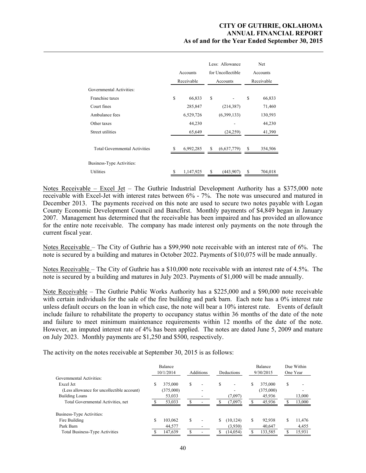| Governmental Activities:             |    | Accounts<br>Receivable |    | Less: Allowance<br>for Uncollectible<br>Accounts | Net<br>Accounts<br>Receivable |         |  |
|--------------------------------------|----|------------------------|----|--------------------------------------------------|-------------------------------|---------|--|
| Franchise taxes                      | \$ | 66,833                 | \$ |                                                  | \$                            | 66,833  |  |
| Court fines                          |    | 285,847                |    | (214, 387)                                       |                               | 71,460  |  |
| Ambulance fees                       |    | 6,529,726              |    | (6,399,133)                                      |                               | 130,593 |  |
| Other taxes                          |    | 44,230                 |    |                                                  |                               | 44,230  |  |
| Street utilities                     |    | 65,649                 |    | (24,259)                                         |                               | 41,390  |  |
| <b>Total Governmental Activities</b> | S  | 6,992,285              | \$ | (6,637,779)                                      | S                             | 354,506 |  |
| Business-Type Activities:            |    |                        |    |                                                  |                               |         |  |
| Utilities                            | S  | 1,147,925              | \$ | (443,907)                                        | \$                            | 704,018 |  |

 $\overline{a}$ 

Notes Receivable – Excel Jet – The Guthrie Industrial Development Authority has a \$375,000 note receivable with Excel-Jet with interest rates between 6% - 7%. The note was unsecured and matured in December 2013. The payments received on this note are used to secure two notes payable with Logan County Economic Development Council and Bancfirst. Monthly payments of \$4,849 began in January 2007. Management has determined that the receivable has been impaired and has provided an allowance for the entire note receivable. The company has made interest only payments on the note through the current fiscal year.

Notes Receivable – The City of Guthrie has a \$99,990 note receivable with an interest rate of 6%. The note is secured by a building and matures in October 2022. Payments of \$10,075 will be made annually.

Notes Receivable – The City of Guthrie has a \$10,000 note receivable with an interest rate of 4.5%. The note is secured by a building and matures in July 2023. Payments of \$1,000 will be made annually.

Note Receivable – The Guthrie Public Works Authority has a \$225,000 and a \$90,000 note receivable with certain individuals for the sale of the fire building and park barn. Each note has a 0% interest rate unless default occurs on the loan in which case, the note will bear a 10% interest rate. Events of default include failure to rehabilitate the property to occupancy status within 36 months of the date of the note and failure to meet minimum maintenance requirements within 12 months of the date of the note. However, an imputed interest rate of 4% has been applied. The notes are dated June 5, 2009 and mature on July 2023. Monthly payments are \$1,250 and \$500, respectively.

The activity on the notes receivable at September 30, 2015 is as follows:

|                                            |   | Balance<br>10/1/2014 |   | Additions |    | Deductions |    | Balance<br>9/30/2015 |    | Due Within<br>One Year   |
|--------------------------------------------|---|----------------------|---|-----------|----|------------|----|----------------------|----|--------------------------|
| Governmental Activities:                   |   |                      |   |           |    |            |    |                      |    |                          |
| Excel Jet                                  | S | 375,000              | S |           | \$ | ٠          | S  | 375,000              | S  | $\overline{\phantom{0}}$ |
| (Less allowance for uncollectible account) |   | (375,000)            |   |           |    | -          |    | (375,000)            |    | $\overline{\phantom{a}}$ |
| <b>Building Loans</b>                      |   | 53,033               |   |           |    | (7,097)    |    | 45,936               |    | 13,000                   |
| Total Governmental Activities, net         |   | 53,033               |   |           | S  | (7,097)    |    | 45,936               |    | 13,000                   |
| Business-Type Activities:                  |   |                      |   |           |    |            |    |                      |    |                          |
| Fire Building                              | S | 103,062              | S |           | S  | (10, 124)  | \$ | 92,938               | \$ | 11,476                   |
| Park Barn                                  |   | 44,577               |   |           |    | (3,930)    |    | 40,647               |    | 4,455                    |
| Total Business-Type Activities             |   | 147,639              |   |           | S  | (14, 054)  |    | 133,585              | S  | 15,931                   |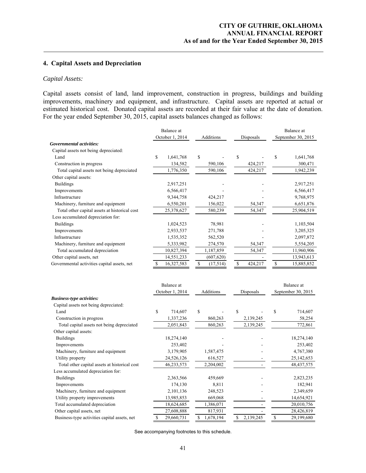### **4. Capital Assets and Depreciation**

#### *Capital Assets:*

 $\overline{a}$ 

Capital assets consist of land, land improvement, construction in progress, buildings and building improvements, machinery and equipment, and infrastructure. Capital assets are reported at actual or estimated historical cost. Donated capital assets are recorded at their fair value at the date of donation. For the year ended September 30, 2015, capital assets balances changed as follows:

|                                               | Balance at |                 |    |            |    |           | Balance at         |                    |  |  |
|-----------------------------------------------|------------|-----------------|----|------------|----|-----------|--------------------|--------------------|--|--|
|                                               |            | October 1, 2014 |    | Additions  |    | Disposals | September 30, 2015 |                    |  |  |
| <b>Governmental activities:</b>               |            |                 |    |            |    |           |                    |                    |  |  |
| Capital assets not being depreciated:         |            |                 |    |            |    |           |                    |                    |  |  |
| Land                                          | \$         | 1,641,768       | \$ |            | \$ |           | \$                 | 1,641,768          |  |  |
| Construction in progress                      |            | 134,582         |    | 590,106    |    | 424,217   |                    | 300,471            |  |  |
| Total capital assets not being depreciated    |            | 1,776,350       |    | 590,106    |    | 424,217   |                    | 1,942,239          |  |  |
| Other capital assets:                         |            |                 |    |            |    |           |                    |                    |  |  |
| <b>Buildings</b>                              |            | 2,917,251       |    |            |    |           |                    | 2,917,251          |  |  |
| Improvements                                  |            | 6,566,417       |    |            |    |           |                    | 6,566,417          |  |  |
| Infrastructure                                |            | 9,344,758       |    | 424,217    |    |           |                    | 9,768,975          |  |  |
| Machinery, furniture and equipment            |            | 6,550,201       |    | 156,022    |    | 54,347    |                    | 6,651,876          |  |  |
| Total other capital assets at historical cost |            | 25,378,627      |    | 580,239    |    | 54,347    |                    | 25,904,519         |  |  |
| Less accumulated depreciation for:            |            |                 |    |            |    |           |                    |                    |  |  |
| <b>Buildings</b>                              |            | 1,024,523       |    | 78,981     |    |           |                    | 1,103,504          |  |  |
| Improvements                                  |            | 2,933,537       |    | 271,788    |    |           |                    | 3,205,325          |  |  |
| Infrastructure                                |            | 1,535,352       |    | 562,520    |    |           |                    | 2,097,872          |  |  |
| Machinery, furniture and equipment            |            | 5,333,982       |    | 274,570    |    | 54,347    |                    | 5,554,205          |  |  |
| Total accumulated depreciation                |            | 10,827,394      |    | 1,187,859  |    | 54,347    |                    | 11,960,906         |  |  |
| Other capital assets, net                     |            | 14,551,233      |    | (607, 620) |    |           |                    | 13,943,613         |  |  |
| Governmental activities capital assets, net   | \$.        | 16,327,583      | \$ | (17, 514)  | \$ | 424,217   | \$                 | 15,885,852         |  |  |
| <b>Business-type activities:</b>              |            | October 1, 2014 |    | Additions  |    | Disposals |                    | September 30, 2015 |  |  |
| Capital assets not being depreciated:         |            |                 |    |            |    |           |                    |                    |  |  |
| Land                                          | \$         | 714,607         | \$ |            | \$ |           | \$                 | 714,607            |  |  |
| Construction in progress                      |            | 1,337,236       |    | 860,263    |    | 2,139,245 |                    | 58,254             |  |  |
| Total capital assets not being depreciated    |            | 2,051,843       |    | 860,263    |    | 2,139,245 |                    | 772,861            |  |  |
| Other capital assets:                         |            |                 |    |            |    |           |                    |                    |  |  |
| <b>Buildings</b>                              |            | 18,274,140      |    |            |    |           |                    | 18,274,140         |  |  |
| Improvements                                  |            | 253,402         |    |            |    |           |                    | 253,402            |  |  |
| Machinery, furniture and equipment            |            | 3,179,905       |    | 1,587,475  |    |           |                    | 4,767,380          |  |  |
| Utility property                              |            | 24,526,126      |    | 616,527    |    |           |                    | 25, 142, 653       |  |  |
| Total other capital assets at historical cost |            | 46,233,573      |    | 2,204,002  |    |           |                    | 48, 437, 575       |  |  |
| Less accumulated depreciation for:            |            |                 |    |            |    |           |                    |                    |  |  |
| <b>Buildings</b>                              |            | 2,363,566       |    | 459,669    |    |           |                    | 2,823,235          |  |  |
| Improvements                                  |            | 174,130         |    | 8,811      |    |           |                    | 182,941            |  |  |
| Machinery, furniture and equipment            |            | 2,101,136       |    | 248,523    |    |           |                    | 2,349,659          |  |  |
| Utility property improvements                 |            | 13,985,853      |    | 669,068    |    |           |                    | 14,654,921         |  |  |
| Total accumulated depreciation                |            | 18,624,685      |    | 1,386,071  |    |           |                    | 20,010,756         |  |  |
| Other capital assets, net                     |            | 27,608,888      |    | 817,931    |    |           |                    | 28,426,819         |  |  |
| Business-type activities capital assets, net  | \$         | 29,660,731      | S  | 1,678,194  | \$ | 2,139,245 | \$                 | 29,199,680         |  |  |

See accompanying footnotes to this schedule.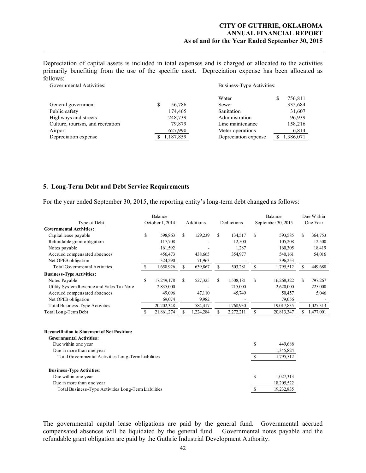Depreciation of capital assets is included in total expenses and is charged or allocated to the activities primarily benefiting from the use of the specific asset. Depreciation expense has been allocated as follows:

Governmental Activities:

 $\overline{a}$ 

| Business-Type Activities: |  |
|---------------------------|--|
|---------------------------|--|

|                                  |             | Water                | 756,811   |
|----------------------------------|-------------|----------------------|-----------|
| General government               | 56,786<br>S | Sewer                | 335,684   |
| Public safety                    | 174,465     | Sanitation           | 31,607    |
| Highways and streets             | 248,739     | Administration       | 96,939    |
| Culture, tourism, and recreation | 79,879      | Line maintenance     | 158,216   |
| Airport                          | 627,990     | Meter operations     | 6,814     |
| Depreciation expense             | 1,187,859   | Depreciation expense | 1,386,071 |

## **5. Long-Term Debt and Debt Service Requirements**

For the year ended September 30, 2015, the reporting entity's long-term debt changed as follows:

| Balance                                             |    |                 |     |           | Balance |            | Due Within |                    |     |           |
|-----------------------------------------------------|----|-----------------|-----|-----------|---------|------------|------------|--------------------|-----|-----------|
| Type of Debt                                        |    | October 1, 2014 |     | Additions |         | Deductions |            | September 30, 2015 |     | One Year  |
| <b>Governmental Activities:</b>                     |    |                 |     |           |         |            |            |                    |     |           |
| Capital lease payable                               | \$ | 598,863         | \$. | 129,239   | \$.     | 134,517    | \$.        | 593,585            | \$. | 364,753   |
| Refundable grant obligation                         |    | 117,708         |     |           |         | 12,500     |            | 105,208            |     | 12,500    |
| Notes payable                                       |    | 161,592         |     |           |         | 1,287      |            | 160,305            |     | 18,419    |
| Accrued compensated absences                        |    | 456,473         |     | 438,665   |         | 354,977    |            | 540,161            |     | 54,016    |
| Net OPEB obligation                                 |    | 324,290         |     | 71,963    |         |            |            | 396,253            |     |           |
| <b>Total Governmental Activities</b>                | -S | 1,658,926       | S   | 639,867   | \$      | 503,281    | \$         | 1,795,512          | S   | 449,688   |
| <b>Business-Type Activities:</b>                    |    |                 |     |           |         |            |            |                    |     |           |
| Notes Payable                                       | S  | 17,249,178      | \$  | 527,325   | \$.     | 1,508,181  | \$         | 16,268,322         | S   | 797,267   |
| Utility System Revenue and Sales Tax Note           |    | 2,835,000       |     |           |         | 215,000    |            | 2,620,000          |     | 225,000   |
| Accrued compensated absences                        |    | 49,096          |     | 47,110    |         | 45,749     |            | 50,457             |     | 5,046     |
| Net OPEB obligation                                 |    | 69,074          |     | 9,982     |         |            |            | 79,056             |     |           |
| Total Business-Type Activities                      |    | 20,202,348      |     | 584,417   |         | 1,768,930  |            | 19,017,835         |     | 1,027,313 |
| Total Long-Term Debt                                |    | 21,861,274      | S   | 1,224,284 | S       | 2,272,211  | \$         | 20,813,347         |     | 1,477,001 |
| <b>Reconciliation to Statement of Net Position:</b> |    |                 |     |           |         |            |            |                    |     |           |
| <b>Governmental Activities:</b>                     |    |                 |     |           |         |            | \$         |                    |     |           |
| Due within one year                                 |    |                 |     |           |         |            |            | 449,688            |     |           |
| Due in more than one year                           |    |                 |     |           |         |            |            | 1,345,824          |     |           |
| Total Governmental Activities Long-Term Liabilities |    |                 |     |           |         |            |            | 1,795,512          |     |           |
|                                                     |    |                 |     |           |         |            |            |                    |     |           |

| <b>Business-Type Activities:</b>                     |            |
|------------------------------------------------------|------------|
| Due within one year                                  | 1.027.313  |
| Due in more than one year                            | 18,205,522 |
| Total Business-Type Activities Long-Term Liabilities | 19.232.835 |
|                                                      |            |

The governmental capital lease obligations are paid by the general fund. Governmental accrued compensated absences will be liquidated by the general fund. Governmental notes payable and the refundable grant obligation are paid by the Guthrie Industrial Development Authority.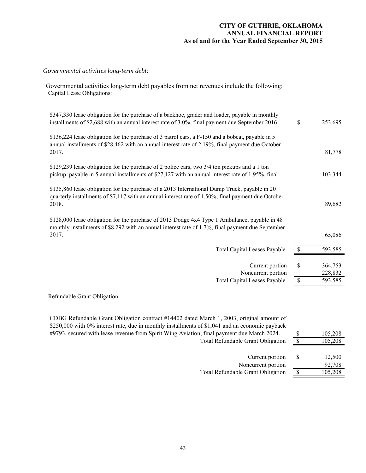*Governmental activities long-term debt:* 

 $\overline{a}$ 

 Governmental activities long-term debt payables from net revenues include the following: Capital Lease Obligations: \$347,330 lease obligation for the purchase of a backhoe, grader and loader, payable in monthly installments of \$2,688 with an annual interest rate of 3.0%, final payment due September 2016. \$ 253,695 \$136,224 lease obligation for the purchase of 3 patrol cars, a F-150 and a bobcat, payable in 5 annual installments of \$28,462 with an annual interest rate of 2.19%, final payment due October 2017. 81,778 \$129,239 lease obligation for the purchase of 2 police cars, two 3/4 ton pickups and a 1 ton pickup, payable in 5 annual installments of \$27,127 with an annual interest rate of 1.95%, final 103,344 \$135,860 lease obligation for the purchase of a 2013 International Dump Truck, payable in 20 quarterly installments of \$7,117 with an annual interest rate of 1.50%, final payment due October 2018. 89,682 \$128,000 lease obligation for the purchase of 2013 Dodge 4x4 Type 1 Ambulance, payable in 48 monthly installments of \$8,292 with an annual interest rate of 1.7%, final payment due September 2017. 65,086 Total Capital Leases Payable  $\frac{1}{10}$  593,585 Current portion  $$364,753$ Noncurrent portion 228,832 Total Capital Leases Payable  $\overline{\text{S}}$  593,585

Refundable Grant Obligation:

| CDBG Refundable Grant Obligation contract #14402 dated March 1, 2003, original amount of        |         |
|-------------------------------------------------------------------------------------------------|---------|
| \$250,000 with 0% interest rate, due in monthly installments of \$1,041 and an economic payback |         |
| #9793, secured with lease revenue from Spirit Wing Aviation, final payment due March 2024.      | 105,208 |
| Total Refundable Grant Obligation                                                               | 105,208 |
|                                                                                                 |         |
| Current portion                                                                                 | 12,500  |
| Noncurrent portion                                                                              | 92,708  |
| Total Refundable Grant Obligation                                                               | 105,208 |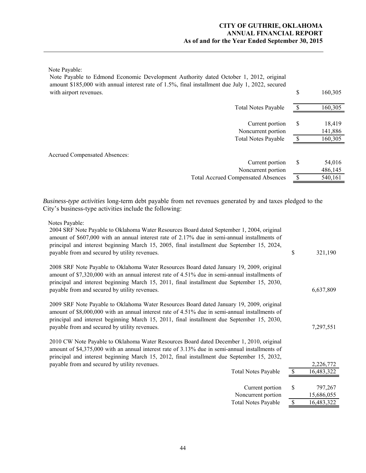Note Payable:

 $\overline{a}$ 

Note Payable to Edmond Economic Development Authority dated October 1, 2012, original amount \$185,000 with annual interest rate of 1.5%, final installment due July 1, 2022, secured with airport revenues.  $\qquad$  160,305

|                               | <b>Total Notes Payable</b>                |               | 160,305 |
|-------------------------------|-------------------------------------------|---------------|---------|
|                               |                                           |               |         |
|                               | Current portion                           | <sup>\$</sup> | 18,419  |
|                               | Noncurrent portion                        |               | 141,886 |
|                               | <b>Total Notes Payable</b>                |               | 160,305 |
|                               |                                           |               |         |
| Accrued Compensated Absences: |                                           |               |         |
|                               | Current portion                           | \$            | 54,016  |
|                               | Noncurrent portion                        |               | 486,145 |
|                               | <b>Total Accrued Compensated Absences</b> |               | 540,161 |

*Business-type activities* long-term debt payable from net revenues generated by and taxes pledged to the City's business-type activities include the following:

Notes Payable:

| 2004 SRF Note Payable to Oklahoma Water Resources Board dated September 1, 2004, original<br>amount of \$607,000 with an annual interest rate of 2.17% due in semi-annual installments of                                                                                                                                                 |               |            |
|-------------------------------------------------------------------------------------------------------------------------------------------------------------------------------------------------------------------------------------------------------------------------------------------------------------------------------------------|---------------|------------|
| principal and interest beginning March 15, 2005, final installment due September 15, 2024,                                                                                                                                                                                                                                                |               |            |
| payable from and secured by utility revenues.                                                                                                                                                                                                                                                                                             | S             | 321,190    |
| 2008 SRF Note Payable to Oklahoma Water Resources Board dated January 19, 2009, original<br>amount of \$7,320,000 with an annual interest rate of 4.51% due in semi-annual installments of<br>principal and interest beginning March 15, 2011, final installment due September 15, 2030,                                                  |               |            |
| payable from and secured by utility revenues.                                                                                                                                                                                                                                                                                             |               | 6,637,809  |
| 2009 SRF Note Payable to Oklahoma Water Resources Board dated January 19, 2009, original<br>amount of \$8,000,000 with an annual interest rate of 4.51% due in semi-annual installments of<br>principal and interest beginning March 15, 2011, final installment due September 15, 2030,<br>payable from and secured by utility revenues. |               | 7,297,551  |
| 2010 CW Note Payable to Oklahoma Water Resources Board dated December 1, 2010, original<br>amount of \$4,375,000 with an annual interest rate of 3.13% due in semi-annual installments of<br>principal and interest beginning March 15, 2012, final installment due September 15, 2032,                                                   |               |            |
| payable from and secured by utility revenues.                                                                                                                                                                                                                                                                                             |               | 2,226,772  |
| <b>Total Notes Payable</b>                                                                                                                                                                                                                                                                                                                | -S            | 16,483,322 |
| Current portion                                                                                                                                                                                                                                                                                                                           | \$            | 797,267    |
| Noncurrent portion                                                                                                                                                                                                                                                                                                                        |               | 15,686,055 |
| <b>Total Notes Payable</b>                                                                                                                                                                                                                                                                                                                | $\mathcal{S}$ | 16,483,322 |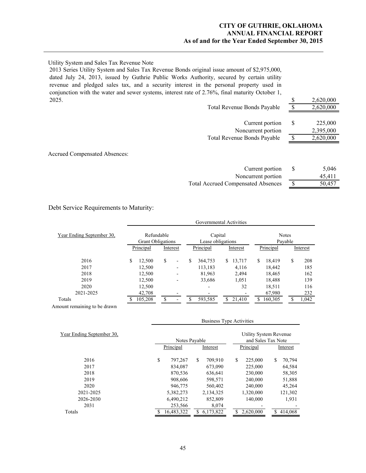| Utility System and Sales Tax Revenue Note<br>2013 Series Utility System and Sales Tax Revenue Bonds original issue amount of \$2,975,000,<br>dated July 24, 2013, issued by Guthrie Public Works Authority, secured by certain utility<br>revenue and pledged sales tax, and a security interest in the personal property used in<br>conjunction with the water and sewer systems, interest rate of 2.76%, final maturity October 1, |   |                                   |
|--------------------------------------------------------------------------------------------------------------------------------------------------------------------------------------------------------------------------------------------------------------------------------------------------------------------------------------------------------------------------------------------------------------------------------------|---|-----------------------------------|
| 2025.                                                                                                                                                                                                                                                                                                                                                                                                                                | S | 2,620,000                         |
| Total Revenue Bonds Payable                                                                                                                                                                                                                                                                                                                                                                                                          |   | 2,620,000                         |
| Current portion<br>Noncurrent portion<br>Total Revenue Bonds Payable                                                                                                                                                                                                                                                                                                                                                                 | S | 225,000<br>2,395,000<br>2,620,000 |
|                                                                                                                                                                                                                                                                                                                                                                                                                                      |   |                                   |
| Accrued Compensated Absences:                                                                                                                                                                                                                                                                                                                                                                                                        |   |                                   |
| Current portion                                                                                                                                                                                                                                                                                                                                                                                                                      | S | 5,046                             |
| Noncurrent portion                                                                                                                                                                                                                                                                                                                                                                                                                   |   | 45,411                            |
| <b>Total Accrued Compensated Absences</b>                                                                                                                                                                                                                                                                                                                                                                                            |   | 50,457                            |

Debt Service Requirements to Maturity:

 $\overline{a}$ 

|                           | Governmental Activities |                                                                        |                                   |                          |    |                          |    |          |                         |         |    |       |  |
|---------------------------|-------------------------|------------------------------------------------------------------------|-----------------------------------|--------------------------|----|--------------------------|----|----------|-------------------------|---------|----|-------|--|
| Year Ending September 30, |                         | Refundable<br>Capital<br>Lease obligations<br><b>Grant Obligations</b> |                                   |                          |    |                          |    |          | <b>Notes</b><br>Pavable |         |    |       |  |
|                           |                         | Principal                                                              | Principal<br>Interest<br>Interest |                          |    | Principal                |    | Interest |                         |         |    |       |  |
| 2016                      | \$                      | 12,500                                                                 | \$                                | $\overline{\phantom{a}}$ | \$ | 364,753                  | \$ | 13,717   | \$                      | 18.419  | \$ | 208   |  |
| 2017                      |                         | 12,500                                                                 |                                   | -                        |    | 113,183                  |    | 4,116    |                         | 18.442  |    | 185   |  |
| 2018                      |                         | 12,500                                                                 |                                   | ۰                        |    | 81,963                   |    | 2,494    |                         | 18,465  |    | 162   |  |
| 2019                      |                         | 12,500                                                                 |                                   | -                        |    | 33,686                   |    | 1,051    |                         | 18,488  |    | 139   |  |
| 2020                      |                         | 12,500                                                                 |                                   |                          |    | $\overline{\phantom{a}}$ |    | 32       |                         | 18,511  |    | 116   |  |
| 2021-2025                 |                         | 42,708                                                                 |                                   | -                        |    | $\overline{\phantom{0}}$ |    |          |                         | 67,980  |    | 232   |  |
| Totals                    |                         | 105,208                                                                |                                   |                          |    | 593,585                  | S  | 21,410   | S                       | 160,305 |    | 1,042 |  |

| Amount remaining to be drawn |  |  |
|------------------------------|--|--|
|------------------------------|--|--|

|                           | <b>Business Type Activities</b> |                                                               |   |           |    |           |    |          |  |  |  |
|---------------------------|---------------------------------|---------------------------------------------------------------|---|-----------|----|-----------|----|----------|--|--|--|
| Year Ending September 30, |                                 | Utility System Revenue<br>and Sales Tax Note<br>Notes Payable |   |           |    |           |    |          |  |  |  |
|                           |                                 | Principal                                                     |   | Interest  |    | Principal |    | Interest |  |  |  |
| 2016                      | \$                              | 797,267                                                       | S | 709,910   | \$ | 225,000   | \$ | 70,794   |  |  |  |
| 2017                      |                                 | 834,087                                                       |   | 673,090   |    | 225,000   |    | 64,584   |  |  |  |
| 2018                      |                                 | 870,536                                                       |   | 636,641   |    | 230,000   |    | 58,305   |  |  |  |
| 2019                      |                                 | 908,606                                                       |   | 598,571   |    | 240,000   |    | 51,888   |  |  |  |
| 2020                      |                                 | 946,775                                                       |   | 560,402   |    | 240,000   |    | 45,264   |  |  |  |
| 2021-2025                 |                                 | 5,382,273                                                     |   | 2,134,325 |    | 1,320,000 |    | 121,302  |  |  |  |
| 2026-2030                 |                                 | 6,490,212                                                     |   | 852,809   |    | 140,000   |    | 1,931    |  |  |  |
| 2031                      |                                 | 253,566                                                       |   | 8,074     |    |           |    |          |  |  |  |
| Totals                    |                                 | 16,483,322                                                    |   | 6,173,822 |    | 2,620,000 |    | 414,068  |  |  |  |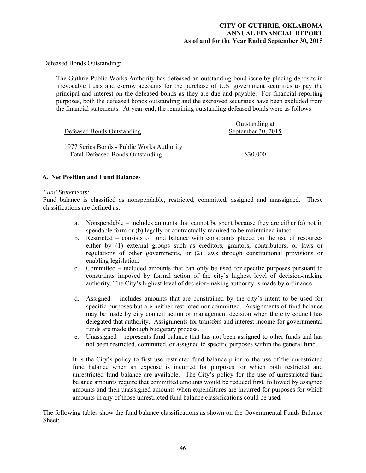## Defeased Bonds Outstanding:

 $\overline{a}$ 

The Guthrie Public Works Authority has defeased an outstanding bond issue by placing deposits in irrevocable trusts and escrow accounts for the purchase of U.S. government securities to pay the principal and interest on the defeased bonds as they are due and payable. For financial reporting purposes, both the defeased bonds outstanding and the escrowed securities have been excluded from the financial statements. At year-end, the remaining outstanding defeased bonds were as follows:

|                                            | Outstanding at     |
|--------------------------------------------|--------------------|
| Defeased Bonds Outstanding:                | September 30, 2015 |
| 1977 Series Bonds - Public Works Authority |                    |
| <b>Total Defeased Bonds Outstanding</b>    | \$30,000           |

## **6. Net Position and Fund Balances**

### *Fund Statements:*

Fund balance is classified as nonspendable, restricted, committed, assigned and unassigned. These classifications are defined as:

- a. Nonspendable includes amounts that cannot be spent because they are either (a) not in spendable form or (b) legally or contractually required to be maintained intact.
- b. Restricted consists of fund balance with constraints placed on the use of resources either by (1) external groups such as creditors, grantors, contributors, or laws or regulations of other governments, or (2) laws through constitutional provisions or enabling legislation.
- c. Committed included amounts that can only be used for specific purposes pursuant to constraints imposed by formal action of the city's highest level of decision-making authority. The City's highest level of decision-making authority is made by ordinance.
- d. Assigned includes amounts that are constrained by the city's intent to be used for specific purposes but are neither restricted nor committed. Assignments of fund balance may be made by city council action or management decision when the city council has delegated that authority. Assignments for transfers and interest income for governmental funds are made through budgetary process.
- e. Unassigned represents fund balance that has not been assigned to other funds and has not been restricted, committed, or assigned to specific purposes within the general fund.

It is the City's policy to first use restricted fund balance prior to the use of the unrestricted fund balance when an expense is incurred for purposes for which both restricted and unrestricted fund balance are available. The City's policy for the use of unrestricted fund balance amounts require that committed amounts would be reduced first, followed by assigned amounts and then unassigned amounts when expenditures are incurred for purposes for which amounts in any of those unrestricted fund balance classifications could be used.

The following tables show the fund balance classifications as shown on the Governmental Funds Balance Sheet: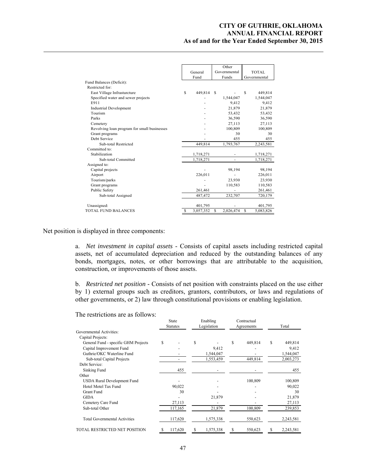|                                             |    |                         |    | Other     |              |           |  |  |
|---------------------------------------------|----|-------------------------|----|-----------|--------------|-----------|--|--|
|                                             |    | Governmental<br>General |    |           |              | TOTAL     |  |  |
|                                             |    | Fund<br>Funds           |    |           | Governmental |           |  |  |
| Fund Balances (Deficit):                    |    |                         |    |           |              |           |  |  |
| Restricted for:                             |    |                         |    |           |              |           |  |  |
| East Village Infrasturcture                 | \$ | 449,814                 | £. |           | \$.          | 449,814   |  |  |
| Specified water and sewer projects          |    |                         |    | 1,544,047 |              | 1,544,047 |  |  |
| E911                                        |    |                         |    | 9.412     |              | 9,412     |  |  |
| <b>Industrial Development</b>               |    |                         |    | 21,879    |              | 21,879    |  |  |
| Tourism                                     |    |                         |    | 53,432    |              | 53,432    |  |  |
| Parks                                       |    |                         |    | 36,590    |              | 36,590    |  |  |
| Cemetery                                    |    |                         |    | 27,113    |              | 27,113    |  |  |
| Revolving loan program for small businesses |    |                         |    | 100,809   |              | 100,809   |  |  |
| Grant programs                              |    |                         |    | 30        |              | 30        |  |  |
| Debt Service                                |    |                         |    | 455       |              | 455       |  |  |
| Sub-total Restricted                        |    | 449.814                 |    | 1,793,767 |              | 2,243,581 |  |  |
| Committed to:                               |    |                         |    |           |              |           |  |  |
| Stabilization                               |    | 1,718,271               |    |           |              | 1,718,271 |  |  |
| Sub-total Committed                         |    | 1,718,271               |    |           |              | 1,718,271 |  |  |
| Assigned to:                                |    |                         |    |           |              |           |  |  |
| Capital projects                            |    |                         |    | 98,194    |              | 98,194    |  |  |
| Airport                                     |    | 226,011                 |    |           |              | 226,011   |  |  |
| Tourism/parks                               |    |                         |    | 23.930    |              | 23,930    |  |  |
| Grant programs                              |    |                         |    | 110,583   |              | 110,583   |  |  |
| Public Safety                               |    | 261,461                 |    | ٠         |              | 261,461   |  |  |
| Sub-total Assigned                          |    | 487,472                 |    | 232,707   |              | 720,179   |  |  |
|                                             |    |                         |    |           |              |           |  |  |
| Unassigned:                                 |    | 401,795                 |    |           |              | 401,795   |  |  |
| <b>TOTAL FUND BALANCES</b>                  | S  | 3,057,352               | \$ | 2,026,474 | S            | 5,083,826 |  |  |

Net position is displayed in three components:

 $\overline{a}$ 

 a. *Net investment in capital assets* - Consists of capital assets including restricted capital assets, net of accumulated depreciation and reduced by the outstanding balances of any bonds, mortgages, notes, or other borrowings that are attributable to the acquisition, construction, or improvements of those assets.

 b. *Restricted net position* - Consists of net position with constraints placed on the use either by 1) external groups such as creditors, grantors, contributors, or laws and regulations of other governments, or 2) law through constitutional provisions or enabling legislation.

The restrictions are as follows:

|                                      | <b>State</b><br><b>Statutes</b> |         | Enabling<br>Legislation |           | Contractual<br>Agreements |         |   | Total     |
|--------------------------------------|---------------------------------|---------|-------------------------|-----------|---------------------------|---------|---|-----------|
| Governmental Activities:             |                                 |         |                         |           |                           |         |   |           |
| Capital Projects:                    |                                 |         |                         |           |                           |         |   |           |
| General Fund - specific GHM Projects | S                               |         | \$                      |           | \$                        | 449,814 | S | 449,814   |
| Capital Improvement Fund             |                                 |         |                         | 9,412     |                           |         |   | 9,412     |
| Guthrie/OKC Waterline Fund           |                                 |         |                         | 1,544,047 |                           |         |   | 1,544,047 |
| Sub-total Capital Projects           |                                 |         |                         | 1,553,459 |                           | 449,814 |   | 2,003,273 |
| Debt Service:                        |                                 |         |                         |           |                           |         |   |           |
| Sinking Fund                         |                                 | 455     |                         |           |                           |         |   | 455       |
| Other                                |                                 |         |                         |           |                           |         |   |           |
| USDA Rural Development Fund          |                                 |         |                         |           |                           | 100,809 |   | 100,809   |
| Hotel Motel Tax Fund                 |                                 | 90,022  |                         |           |                           |         |   | 90,022    |
| <b>Grant Fund</b>                    |                                 | 30      |                         |           |                           |         |   | 30        |
| <b>GIDA</b>                          |                                 |         |                         | 21,879    |                           |         |   | 21,879    |
| Cemetery Care Fund                   |                                 | 27,113  |                         |           |                           |         |   | 27,113    |
| Sub-total Other                      |                                 | 117,165 |                         | 21,879    |                           | 100,809 |   | 239,853   |
| <b>Total Governmental Activities</b> |                                 | 117,620 |                         | 1,575,338 |                           | 550,623 |   | 2,243,581 |
| TOTAL RESTRICTED NET POSITION        | S                               | 117,620 |                         | 1,575,338 | S                         | 550,623 | S | 2,243,581 |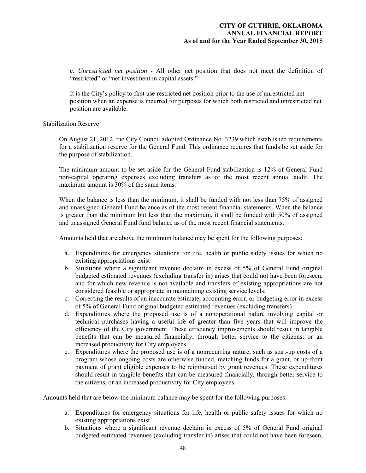c. *Unrestricted net position* - All other net position that does not meet the definition of "restricted" or "net investment in capital assets."

It is the City's policy to first use restricted net position prior to the use of unrestricted net position when an expense is incurred for purposes for which both restricted and unrestricted net position are available.

## Stabilization Reserve

 $\overline{a}$ 

On August 21, 2012, the City Council adopted Ordinance No. 3239 which established requirements for a stabilization reserve for the General Fund. This ordinance requires that funds be set aside for the purpose of stabilization.

The minimum amount to be set aside for the General Fund stabilization is 12% of General Fund non-capital operating expenses excluding transfers as of the most recent annual audit. The maximum amount is 30% of the same items.

When the balance is less than the minimum, it shall be funded with not less than 75% of assigned and unassigned General Fund balance as of the most recent financial statements. When the balance is greater than the minimum but less than the maximum, it shall be funded with 50% of assigned and unassigned General Fund fund balance as of the most recent financial statements.

Amounts held that are above the minimum balance may be spent for the following purposes:

- a. Expenditures for emergency situations for life, health or public safety issues for which no existing appropriations exist
- b. Situations where a significant revenue declaim in excess of 5% of General Fund original budgeted estimated revenues (excluding transfer in) arises that could not have been foreseen, and for which new revenue is not available and transfers of existing appropriations are not considered feasible or appropriate in maintaining existing service levels;
- c. Correcting the results of an inaccurate estimate, accounting error, or budgeting error in excess of 5% of General Fund original budgeted estimated revenues (excluding transfers)
- d. Expenditures where the proposed use is of a nonoperational nature involving capital or technical purchases having a useful life of greater than five years that will improve the efficiency of the City government. These efficiency improvements should result in tangible benefits that can be measured financially, through better service to the citizens, or an increased productivity for City employees.
- e. Expenditures where the proposed use is of a nonrecurring nature, such as start-up costs of a program whose ongoing costs are otherwise funded, matching funds for a grant, or up-front payment of grant eligible expenses to be reimbursed by grant revenues. These expenditures should result in tangible benefits that can be measured financially, through better service to the citizens, or an increased productivity for City employees.

Amounts held that are below the minimum balance may be spent for the following purposes:

- a. Expenditures for emergency situations for life, health or public safety issues for which no existing appropriations exist
- b. Situations where a significant revenue declaim in excess of 5% of General Fund original budgeted estimated revenues (excluding transfer in) arises that could not have been foreseen,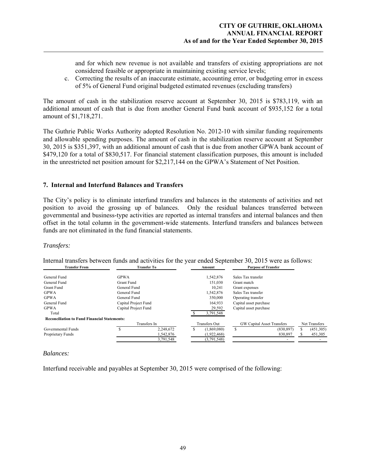and for which new revenue is not available and transfers of existing appropriations are not considered feasible or appropriate in maintaining existing service levels;

c. Correcting the results of an inaccurate estimate, accounting error, or budgeting error in excess of 5% of General Fund original budgeted estimated revenues (excluding transfers)

The amount of cash in the stabilization reserve account at September 30, 2015 is \$783,119, with an additional amount of cash that is due from another General Fund bank account of \$935,152 for a total amount of \$1,718,271.

The Guthrie Public Works Authority adopted Resolution No. 2012-10 with similar funding requirements and allowable spending purposes. The amount of cash in the stabilization reserve account at September 30, 2015 is \$351,397, with an additional amount of cash that is due from another GPWA bank account of \$479,120 for a total of \$830,517. For financial statement classification purposes, this amount is included in the unrestricted net position amount for \$2,217,144 on the GPWA's Statement of Net Position.

## **7. Internal and Interfund Balances and Transfers**

The City's policy is to eliminate interfund transfers and balances in the statements of activities and net position to avoid the grossing up of balances. Only the residual balances transferred between governmental and business-type activities are reported as internal transfers and internal balances and then offset in the total column in the government-wide statements. Interfund transfers and balances between funds are not eliminated in the fund financial statements.

### *Transfers:*

 $\overline{a}$ 

| <b>Transfer From</b>                                |                      | <b>Transfer To</b><br>Amount |  |               |                        | <b>Purpose of Transfer</b> |   |               |
|-----------------------------------------------------|----------------------|------------------------------|--|---------------|------------------------|----------------------------|---|---------------|
| General Fund                                        | <b>GPWA</b>          |                              |  | 1,542,876     | Sales Tax transfer     |                            |   |               |
| General Fund                                        | Grant Fund           |                              |  | 151.030       | Grant match            |                            |   |               |
| <b>Grant Fund</b>                                   | General Fund         |                              |  | 10.241        | Grant expenses         |                            |   |               |
| <b>GPWA</b>                                         | General Fund         |                              |  | 1,542,876     | Sales Tax transfer     |                            |   |               |
| <b>GPWA</b>                                         | General Fund         |                              |  | 350,000       | Operating transfer     |                            |   |               |
| General Fund                                        | Capital Project Fund |                              |  | 164,933       | Capital asset purchase |                            |   |               |
| <b>GPWA</b>                                         | Capital Project Fund |                              |  | 29,592        | Capital asset purchase |                            |   |               |
| Total                                               |                      |                              |  | 3,791,548     |                        |                            |   |               |
| <b>Reconciliation to Fund Financial Statements:</b> |                      |                              |  |               |                        |                            |   |               |
|                                                     |                      | Transfers In                 |  | Transfers Out |                        | GW Capital Asset Transfers |   | Net Transfers |
| Governmental Funds                                  |                      | 2,248,672                    |  | (1,869,080)   | S                      | (830, 897)                 | S | (451, 305)    |
| Proprietary Funds                                   |                      | 1,542,876                    |  | (1,922,468)   |                        | 830,897                    |   | 451,305       |
|                                                     |                      | 3,791,548                    |  | (3,791,548)   |                        |                            |   |               |

Internal transfers between funds and activities for the year ended September 30, 2015 were as follows:

### *Balances:*

Interfund receivable and payables at September 30, 2015 were comprised of the following: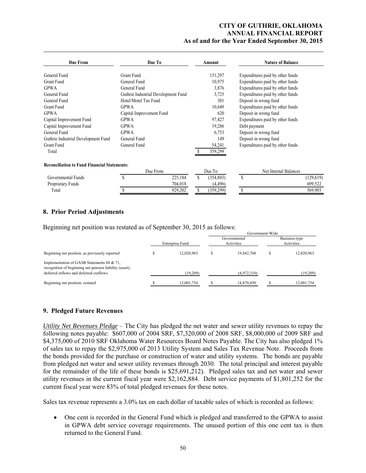| Due From                                            | Due To                              | Amount  | <b>Nature of Balance</b>         |
|-----------------------------------------------------|-------------------------------------|---------|----------------------------------|
| General Fund                                        | Grant Fund                          | 151,297 | Expenditures paid by other funds |
| Grant Fund                                          | General Fund                        | 10.975  | Expenditures paid by other funds |
| <b>GPWA</b>                                         | General Fund                        | 3,876   | Expenditures paid by other funds |
| General Fund                                        | Guthrie Industrial Development Fund | 3,725   | Expenditures paid by other funds |
| General Fund                                        | Hotel/Motel Tax Fund                | 301     | Deposit in wrong fund            |
| Grant Fund                                          | <b>GPWA</b>                         | 10.649  | Expenditures paid by other funds |
| <b>GPWA</b>                                         | Capital Improvement Fund            | 620     | Deposit in wrong fund            |
| Capital Improvement Fund                            | <b>GPWA</b>                         | 97.427  | Expenditures paid by other funds |
| Capital Improvement Fund                            | <b>GPWA</b>                         | 19,286  | Debt payment                     |
| General Fund                                        | <b>GPWA</b>                         | 6,753   | Deposit in wrong fund            |
| Guthrie Industrial Development Fund                 | General Fund                        | 149     | Deposit in wrong fund            |
| Grant Fund                                          | General Fund                        | 54,241  | Expenditures paid by other funds |
| Total                                               |                                     | 359,299 |                                  |
| <b>Reconciliation to Fund Financial Statements:</b> |                                     |         |                                  |

|                    | Due From | Due To     | Net Internal Balances |
|--------------------|----------|------------|-----------------------|
| Governmental Funds | 225,184  | (354, 803) | (129, 619)            |
| Proprietary Funds  | 704.018  | (4.496)    | 699.522               |
| Total              | 929.202  | (359, 299) | 569,903               |

# **8. Prior Period Adjustments**

 $\overline{a}$ 

Beginning net position was restated as of September 30, 2015 as follows:

|                                                                                                       | Government-Wide |                 |   |                            |   |                             |  |  |  |  |
|-------------------------------------------------------------------------------------------------------|-----------------|-----------------|---|----------------------------|---|-----------------------------|--|--|--|--|
|                                                                                                       |                 | Enterprise Fund |   | Governmental<br>Activities |   | Business-type<br>Activities |  |  |  |  |
| Beginning net position, as previously reported                                                        |                 | 12.020.963      | D | 19,842,760                 | ъ | 12,020,963                  |  |  |  |  |
| Implementation of GASB Statements 68 & 71,<br>recognition of beginning net pension liability (asset), |                 |                 |   |                            |   |                             |  |  |  |  |
| deferred inflows and deferred outflows                                                                |                 | (19,209)        |   | (4,972,310)                |   | (19,209)                    |  |  |  |  |
| Beginning net position, restated                                                                      |                 | 12.001.754      |   | 14,870,450                 |   | 12,001,754                  |  |  |  |  |

## **9. Pledged Future Revenues**

*Utility Net Revenues Pledge* – The City has pledged the net water and sewer utility revenues to repay the following notes payable: \$607,000 of 2004 SRF, \$7,320,000 of 2008 SRF, \$8,000,000 of 2009 SRF and \$4,375,000 of 2010 SRF Oklahoma Water Resources Board Notes Payable. The City has also pledged 1% of sales tax to repay the \$2,975,000 of 2013 Utility System and Sales Tax Revenue Note. Proceeds from the bonds provided for the purchase or construction of water and utility systems. The bonds are payable from pledged net water and sewer utility revenues through 2030. The total principal and interest payable for the remainder of the life of these bonds is \$25,691,212). Pledged sales tax and net water and sewer utility revenues in the current fiscal year were \$2,162,884. Debt service payments of \$1,801,252 for the current fiscal year were 83% of total pledged revenues for these notes.

Sales tax revenue represents a 3.0% tax on each dollar of taxable sales of which is recorded as follows:

 One cent is recorded in the General Fund which is pledged and transferred to the GPWA to assist in GPWA debt service coverage requirements. The unused portion of this one cent tax is then returned to the General Fund.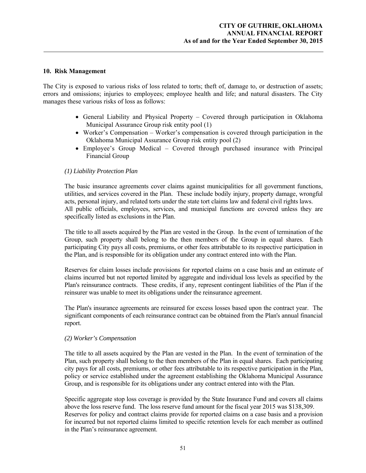## **10. Risk Management**

 $\overline{a}$ 

The City is exposed to various risks of loss related to torts; theft of, damage to, or destruction of assets; errors and omissions; injuries to employees; employee health and life; and natural disasters. The City manages these various risks of loss as follows:

- General Liability and Physical Property Covered through participation in Oklahoma Municipal Assurance Group risk entity pool (1)
- Worker's Compensation Worker's compensation is covered through participation in the Oklahoma Municipal Assurance Group risk entity pool (2)
- Employee's Group Medical Covered through purchased insurance with Principal Financial Group

## *(1) Liability Protection Plan*

The basic insurance agreements cover claims against municipalities for all government functions, utilities, and services covered in the Plan. These include bodily injury, property damage, wrongful acts, personal injury, and related torts under the state tort claims law and federal civil rights laws. All public officials, employees, services, and municipal functions are covered unless they are specifically listed as exclusions in the Plan.

 The title to all assets acquired by the Plan are vested in the Group. In the event of termination of the Group, such property shall belong to the then members of the Group in equal shares. Each participating City pays all costs, premiums, or other fees attributable to its respective participation in the Plan, and is responsible for its obligation under any contract entered into with the Plan.

 Reserves for claim losses include provisions for reported claims on a case basis and an estimate of claims incurred but not reported limited by aggregate and individual loss levels as specified by the Plan's reinsurance contracts. These credits, if any, represent contingent liabilities of the Plan if the reinsurer was unable to meet its obligations under the reinsurance agreement.

 The Plan's insurance agreements are reinsured for excess losses based upon the contract year. The significant components of each reinsurance contract can be obtained from the Plan's annual financial report.

### *(2) Worker's Compensation*

The title to all assets acquired by the Plan are vested in the Plan. In the event of termination of the Plan, such property shall belong to the then members of the Plan in equal shares. Each participating city pays for all costs, premiums, or other fees attributable to its respective participation in the Plan, policy or service established under the agreement establishing the Oklahoma Municipal Assurance Group, and is responsible for its obligations under any contract entered into with the Plan.

Specific aggregate stop loss coverage is provided by the State Insurance Fund and covers all claims above the loss reserve fund. The loss reserve fund amount for the fiscal year 2015 was \$138,309. Reserves for policy and contract claims provide for reported claims on a case basis and a provision for incurred but not reported claims limited to specific retention levels for each member as outlined in the Plan's reinsurance agreement.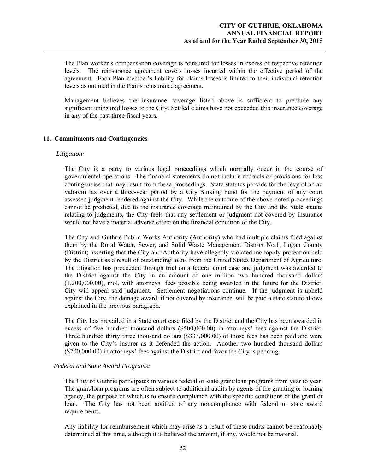The Plan worker's compensation coverage is reinsured for losses in excess of respective retention levels. The reinsurance agreement covers losses incurred within the effective period of the agreement. Each Plan member's liability for claims losses is limited to their individual retention levels as outlined in the Plan's reinsurance agreement.

Management believes the insurance coverage listed above is sufficient to preclude any significant uninsured losses to the City. Settled claims have not exceeded this insurance coverage in any of the past three fiscal years.

## **11. Commitments and Contingencies**

### *Litigation:*

 $\overline{a}$ 

The City is a party to various legal proceedings which normally occur in the course of governmental operations. The financial statements do not include accruals or provisions for loss contingencies that may result from these proceedings. State statutes provide for the levy of an ad valorem tax over a three-year period by a City Sinking Fund for the payment of any court assessed judgment rendered against the City. While the outcome of the above noted proceedings cannot be predicted, due to the insurance coverage maintained by the City and the State statute relating to judgments, the City feels that any settlement or judgment not covered by insurance would not have a material adverse effect on the financial condition of the City.

The City and Guthrie Public Works Authority (Authority) who had multiple claims filed against them by the Rural Water, Sewer, and Solid Waste Management District No.1, Logan County (District) asserting that the City and Authority have allegedly violated monopoly protection held by the District as a result of outstanding loans from the United States Department of Agriculture. The litigation has proceeded through trial on a federal court case and judgment was awarded to the District against the City in an amount of one million two hundred thousand dollars (1,200,000.00), mol, with attorneys' fees possible being awarded in the future for the District. City will appeal said judgment. Settlement negotiations continue. If the judgment is upheld against the City, the damage award, if not covered by insurance, will be paid a state statute allows explained in the previous paragraph.

The City has prevailed in a State court case filed by the District and the City has been awarded in excess of five hundred thousand dollars (\$500,000.00) in attorneys' fees against the District. Three hundred thirty three thousand dollars (\$333,000.00) of those fees has been paid and were given to the City's insurer as it defended the action. Another two hundred thousand dollars (\$200,000.00) in attorneys' fees against the District and favor the City is pending.

### *Federal and State Award Programs:*

The City of Guthrie participates in various federal or state grant/loan programs from year to year. The grant/loan programs are often subject to additional audits by agents of the granting or loaning agency, the purpose of which is to ensure compliance with the specific conditions of the grant or loan. The City has not been notified of any noncompliance with federal or state award requirements.

Any liability for reimbursement which may arise as a result of these audits cannot be reasonably determined at this time, although it is believed the amount, if any, would not be material.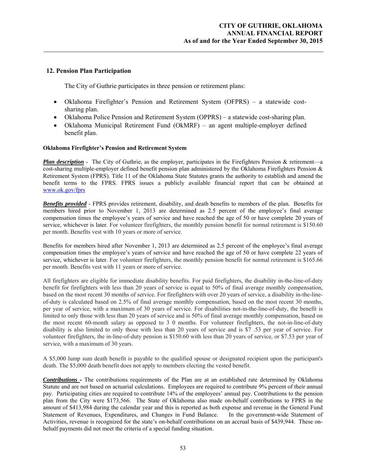## **12. Pension Plan Participation**

 $\overline{a}$ 

The City of Guthrie participates in three pension or retirement plans:

- Oklahoma Firefighter's Pension and Retirement System (OFPRS) a statewide costsharing plan.
- Oklahoma Police Pension and Retirement System (OPPRS) a statewide cost-sharing plan.
- Oklahoma Municipal Retirement Fund (OkMRF) an agent multiple-employer defined benefit plan.

### **Oklahoma Firefighter's Pension and Retirement System**

*Plan description* - The City of Guthrie, as the employer, participates in the Firefighters Pension & retirement—a cost-sharing multiple-employer defined benefit pension plan administered by the Oklahoma Firefighters Pension & Retirement System (FPRS). Title 11 of the Oklahoma State Statutes grants the authority to establish and amend the benefit terms to the FPRS. FPRS issues a publicly available financial report that can be obtained at www.ok.gov/fprs

*Benefits provided* - FPRS provides retirement, disability, and death benefits to members of the plan. Benefits for members hired prior to November 1, 2013 are determined as 2.5 percent of the employee's final average compensation times the employee's years of service and have reached the age of 50 or have complete 20 years of service, whichever is later. For volunteer firefighters, the monthly pension benefit for normal retirement is \$150.60 per month. Benefits vest with 10 years or more of service.

Benefits for members hired after November 1, 2013 are determined as 2.5 percent of the employee's final average compensation times the employee's years of service and have reached the age of 50 or have complete 22 years of service, whichever is later. For volunteer firefighters, the monthly pension benefit for normal retirement is \$165.66 per month. Benefits vest with 11 years or more of service.

All firefighters are eligible for immediate disability benefits. For paid firefighters, the disability in-the-line-of-duty benefit for firefighters with less than 20 years of service is equal to 50% of final average monthly compensation, based on the most recent 30 months of service. For firefighters with over 20 years of service, a disability in-the-lineof-duty is calculated based on 2.5% of final average monthly compensation, based on the most recent 30 months, per year of service, with a maximum of 30 years of service. For disabilities not-in-the-line-of-duty, the benefit is limited to only those with less than 20 years of service and is 50% of final average monthly compensation, based on the most recent 60-month salary as opposed to 3 0 months. For volunteer firefighters, the not-in-line-of-duty disability is also limited to only those with less than 20 years of service and is \$7 .53 per year of service. For volunteer firefighters, the in-line-of-duty pension is \$150.60 with less than 20 years of service, or \$7.53 per year of service, with a maximum of 30 years.

A \$5,000 lump sum death benefit is payable to the qualified spouse or designated recipient upon the participant's death. The \$5,000 death benefit does not apply to members electing the vested benefit.

*Contributions* **-** The contributions requirements of the Plan are at an established rate determined by Oklahoma Statute and are not based on actuarial calculations. Employees are required to contribute 9% percent of their annual pay. Participating cities are required to contribute 14% of the employees' annual pay. Contributions to the pension plan from the City were \$173,566. The State of Oklahoma also made on-behalf contributions to FPRS in the amount of \$413,984 during the calendar year and this is reported as both expense and revenue in the General Fund<br>Statement of Revenues, Expenditures, and Changes in Fund Balance. In the government-wide Statement of Statement of Revenues, Expenditures, and Changes in Fund Balance. Activities, revenue is recognized for the state's on-behalf contributions on an accrual basis of \$439,944. These onbehalf payments did not meet the criteria of a special funding situation.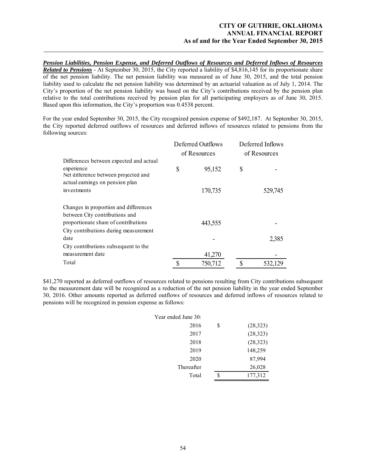*Pension Liabilities, Pension Expense, and Deferred Outflows of Resources and Deferred Inflows of Resources Related to Pensions -* At September 30, 2015, the City reported a liability of \$4,816,145 for its proportionate share of the net pension liability. The net pension liability was measured as of June 30, 2015, and the total pension liability used to calculate the net pension liability was determined by an actuarial valuation as of July 1, 2014. The City's proportion of the net pension liability was based on the City's contributions received by the pension plan relative to the total contributions received by pension plan for all participating employers as of June 30, 2015. Based upon this information, the City's proportion was 0.4538 percent.

 $\overline{a}$ 

For the year ended September 30, 2015, the City recognized pension expense of \$492,187. At September 30, 2015, the City reported deferred outflows of resources and deferred inflows of resources related to pensions from the following sources:

|                                                                                                                                                          | Deferred Outflows<br>of Resources | Deferred Inflows<br>of Resources |
|----------------------------------------------------------------------------------------------------------------------------------------------------------|-----------------------------------|----------------------------------|
| Differences between expected and actual<br>experience<br>Net difference between projected and<br>actual earnings on pension plan                         | \$<br>95,152                      | \$                               |
| investments                                                                                                                                              | 170,735                           | 529,745                          |
| Changes in proportion and differences<br>between City contributions and<br>proportionate share of contributions<br>City contributions during measurement | 443,555                           |                                  |
| date                                                                                                                                                     |                                   | 2,385                            |
| City contributions subsequent to the                                                                                                                     |                                   |                                  |
| measurement date                                                                                                                                         | 41,270                            |                                  |
| Total                                                                                                                                                    | \$<br>750,712                     | 532.129                          |

\$41,270 reported as deferred outflows of resources related to pensions resulting from City contributions subsequent to the measurement date will be recognized as a reduction of the net pension liability in the year ended September 30, 2016. Other amounts reported as deferred outflows of resources and deferred inflows of resources related to pensions will be recognized in pension expense as follows:

| Year ended June 30: |    |           |
|---------------------|----|-----------|
| 2016                | \$ | (28, 323) |
| 2017                |    | (28, 323) |
| 2018                |    | (28, 323) |
| 2019                |    | 148,259   |
| 2020                |    | 87,994    |
| Thereafter          |    | 26,028    |
| Total               | ς  | 177,312   |
|                     |    |           |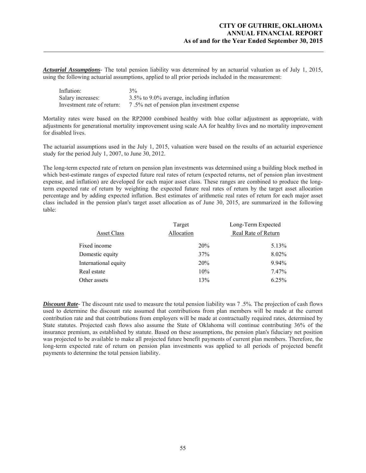*Actuarial Assumptions-* The total pension liability was determined by an actuarial valuation as of July 1, 2015, using the following actuarial assumptions, applied to all prior periods included in the measurement:

| Inflation:                 | 3%                                          |
|----------------------------|---------------------------------------------|
| Salary increases:          | 3.5% to 9.0% average, including inflation   |
| Investment rate of return: | 7.5% net of pension plan investment expense |

 $\overline{a}$ 

Mortality rates were based on the RP2000 combined healthy with blue collar adjustment as appropriate, with adjustments for generational mortality improvement using scale AA for healthy lives and no mortality improvement for disabled lives.

The actuarial assumptions used in the July 1, 2015, valuation were based on the results of an actuarial experience study for the period July 1, 2007, to June 30, 2012.

The long-term expected rate of return on pension plan investments was determined using a building block method in which best-estimate ranges of expected future real rates of return (expected returns, net of pension plan investment expense, and inflation) are developed for each major asset class. These ranges are combined to produce the longterm expected rate of return by weighting the expected future real rates of return by the target asset allocation percentage and by adding expected inflation. Best estimates of arithmetic real rates of return for each major asset class included in the pension plan's target asset allocation as of June 30, 2015, are summarized in the following table:

|                      | Target     | Long-Term Expected  |
|----------------------|------------|---------------------|
| Asset Class          | Allocation | Real Rate of Return |
| Fixed income         | 20%        | 5.13%               |
| Domestic equity      | 37%        | 8.02%               |
| International equity | 20%        | 9.94%               |
| Real estate          | 10%        | 7.47%               |
| Other assets         | 13%        | 6.25%               |

*Discount Rate-* The discount rate used to measure the total pension liability was 7 .5%. The projection of cash flows used to determine the discount rate assumed that contributions from plan members will be made at the current contribution rate and that contributions from employers will be made at contractually required rates, determined by State statutes. Projected cash flows also assume the State of Oklahoma will continue contributing 36% of the insurance premium, as established by statute. Based on these assumptions, the pension plan's fiduciary net position was projected to be available to make all projected future benefit payments of current plan members. Therefore, the long-term expected rate of return on pension plan investments was applied to all periods of projected benefit payments to determine the total pension liability.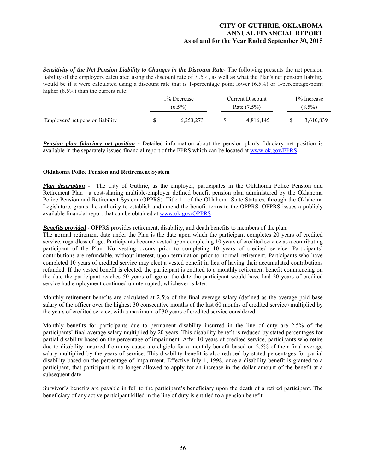*Sensitivity of the Net Pension Liability to Changes in the Discount Rate-* The following presents the net pension liability of the employers calculated using the discount rate of 7.5%, as well as what the Plan's net pension liability would be if it were calculated using a discount rate that is 1-percentage point lower (6.5%) or 1-percentage-point higher (8.5%) than the current rate:

|                                  | 1% Decrease |           | Current Discount |             | 1% Increase |           |
|----------------------------------|-------------|-----------|------------------|-------------|-------------|-----------|
|                                  |             | $(6.5\%)$ |                  | Rate (7.5%) |             | $(8.5\%)$ |
| Employers' net pension liability |             | 6.253.273 |                  | 4.816.145   |             | 3.610.839 |

*Pension plan fiduciary net position -* Detailed information about the pension plan's fiduciary net position is available in the separately issued financial report of the FPRS which can be located at www.ok.gov/FPRS .

### **Oklahoma Police Pension and Retirement System**

 $\overline{a}$ 

*Plan description* - The City of Guthrie, as the employer, participates in the Oklahoma Police Pension and Retirement Plan—a cost-sharing multiple-employer defined benefit pension plan administered by the Oklahoma Police Pension and Retirement System (OPPRS). Title 11 of the Oklahoma State Statutes, through the Oklahoma Legislature, grants the authority to establish and amend the benefit terms to the OPPRS. OPPRS issues a publicly available financial report that can be obtained at www.ok.gov/OPPRS

*Benefits provided* - OPPRS provides retirement, disability, and death benefits to members of the plan.

The normal retirement date under the Plan is the date upon which the participant completes 20 years of credited service, regardless of age. Participants become vested upon completing 10 years of credited service as a contributing participant of the Plan. No vesting occurs prior to completing 10 years of credited service. Participants' contributions are refundable, without interest, upon termination prior to normal retirement. Participants who have completed 10 years of credited service may elect a vested benefit in lieu of having their accumulated contributions refunded. If the vested benefit is elected, the participant is entitled to a monthly retirement benefit commencing on the date the participant reaches 50 years of age or the date the participant would have had 20 years of credited service had employment continued uninterrupted, whichever is later.

Monthly retirement benefits are calculated at 2.5% of the final average salary (defined as the average paid base salary of the officer over the highest 30 consecutive months of the last 60 months of credited service) multiplied by the years of credited service, with a maximum of 30 years of credited service considered.

Monthly benefits for participants due to permanent disability incurred in the line of duty are 2.5% of the participants' final average salary multiplied by 20 years. This disability benefit is reduced by stated percentages for partial disability based on the percentage of impairment. After 10 years of credited service, participants who retire due to disability incurred from any cause are eligible for a monthly benefit based on 2.5% of their final average salary multiplied by the years of service. This disability benefit is also reduced by stated percentages for partial disability based on the percentage of impairment. Effective July 1, 1998, once a disability benefit is granted to a participant, that participant is no longer allowed to apply for an increase in the dollar amount of the benefit at a subsequent date.

Survivor's benefits are payable in full to the participant's beneficiary upon the death of a retired participant. The beneficiary of any active participant killed in the line of duty is entitled to a pension benefit.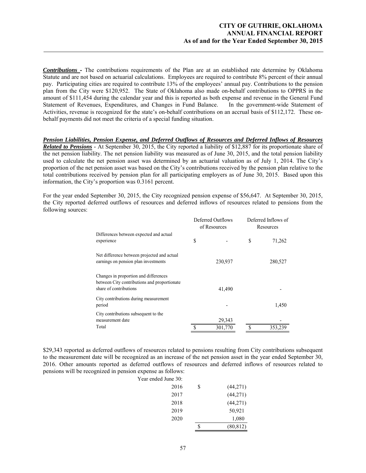*Contributions* **-** The contributions requirements of the Plan are at an established rate determine by Oklahoma Statute and are not based on actuarial calculations. Employees are required to contribute 8% percent of their annual pay. Participating cities are required to contribute 13% of the employees' annual pay. Contributions to the pension plan from the City were \$120,952. The State of Oklahoma also made on-behalf contributions to OPPRS in the amount of \$111,454 during the calendar year and this is reported as both expense and revenue in the General Fund Statement of Revenues, Expenditures, and Changes in Fund Balance. In the government-wide Statement of Activities, revenue is recognized for the state's on-behalf contributions on an accrual basis of \$112,172. These onbehalf payments did not meet the criteria of a special funding situation.

 $\overline{a}$ 

#### *Pension Liabilities, Pension Expense, and Deferred Outflows of Resources and Deferred Inflows of Resources*

*Related to Pensions -* At September 30, 2015, the City reported a liability of \$12,887 for its proportionate share of the net pension liability. The net pension liability was measured as of June 30, 2015, and the total pension liability used to calculate the net pension asset was determined by an actuarial valuation as of July 1, 2014. The City's proportion of the net pension asset was based on the City's contributions received by the pension plan relative to the total contributions received by pension plan for all participating employers as of June 30, 2015. Based upon this information, the City's proportion was 0.3161 percent.

For the year ended September 30, 2015, the City recognized pension expense of \$56,647. At September 30, 2015, the City reported deferred outflows of resources and deferred inflows of resources related to pensions from the following sources:

|                                                                                                                 | Deferred Outflows<br>of Resources | Deferred Inflows of<br>Resources |
|-----------------------------------------------------------------------------------------------------------------|-----------------------------------|----------------------------------|
| Differences between expected and actual<br>experience                                                           | \$                                | \$<br>71,262                     |
| Net difference between projected and actual<br>earnings on pension plan investments                             | 230,937                           | 280,527                          |
| Changes in proportion and differences<br>between City contributions and proportionate<br>share of contributions | 41,490                            |                                  |
| City contributions during measurement<br>period                                                                 |                                   | 1,450                            |
| City contributions subsequent to the<br>measurement date                                                        | 29,343                            |                                  |
| Total                                                                                                           | 301,770                           | 353,239                          |

\$29,343 reported as deferred outflows of resources related to pensions resulting from City contributions subsequent to the measurement date will be recognized as an increase of the net pension asset in the year ended September 30, 2016. Other amounts reported as deferred outflows of resources and deferred inflows of resources related to pensions will be recognized in pension expense as follows:

| Year ended June 30: |                |
|---------------------|----------------|
| 2016                | \$<br>(44,271) |
| 2017                | (44,271)       |
| 2018                | (44,271)       |
| 2019                | 50,921         |
| 2020                | 1,080          |
|                     | (80, 812)      |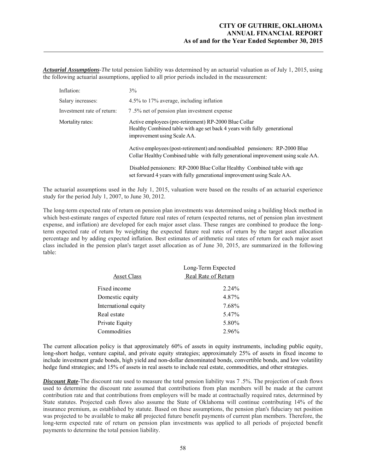*Actuarial Assumptions-The* total pension liability was determined by an actuarial valuation as of July 1, 2015, using the following actuarial assumptions, applied to all prior periods included in the measurement:

 $\overline{a}$ 

| Inflation:                 | $3\%$                                                                                                                                                            |
|----------------------------|------------------------------------------------------------------------------------------------------------------------------------------------------------------|
| Salary increases:          | 4.5% to 17% average, including inflation                                                                                                                         |
| Investment rate of return: | 7.5% net of pension plan investment expense                                                                                                                      |
| Mortality rates:           | Active employees (pre-retirement) RP-2000 Blue Collar<br>Healthy Combined table with age set back 4 years with fully generational<br>improvement using Scale AA. |
|                            | Active employees (post-retirement) and nondisabled pensioners: RP-2000 Blue<br>Collar Healthy Combined table with fully generational improvement using scale AA. |
|                            | Disabled pensioners: RP-2000 Blue Collar Healthy Combined table with age<br>set forward 4 years with fully generational improvement using Scale AA.              |

The actuarial assumptions used in the July 1, 2015, valuation were based on the results of an actuarial experience study for the period July 1, 2007, to June 30, 2012.

The long-term expected rate of return on pension plan investments was determined using a building block method in which best-estimate ranges of expected future real rates of return (expected returns, net of pension plan investment expense, and inflation) are developed for each major asset class. These ranges are combined to produce the longterm expected rate of return by weighting the expected future real rates of return by the target asset allocation percentage and by adding expected inflation. Best estimates of arithmetic real rates of return for each major asset class included in the pension plan's target asset allocation as of June 30, 2015, are summarized in the following table:

|                      | Long-Term Expected  |
|----------------------|---------------------|
| Asset Class          | Real Rate of Return |
| Fixed income         | $2.24\%$            |
| Domestic equity      | 4.87%               |
| International equity | 7.68%               |
| Real estate          | 5.47%               |
| Private Equity       | 5.80%               |
| Commodities          | 2.96%               |

The current allocation policy is that approximately 60% of assets in equity instruments, including public equity, long-short hedge, venture capital, and private equity strategies; approximately 25% of assets in fixed income to include investment grade bonds, high yield and non-dollar denominated bonds, convertible bonds, and low volatility hedge fund strategies; and 15% of assets in real assets to include real estate, commodities, and other strategies.

*Discount Rate-*The discount rate used to measure the total pension liability was 7 .5%. The projection of cash flows used to determine the discount rate assumed that contributions from plan members will be made at the current contribution rate and that contributions from employers will be made at contractually required rates, determined by State statutes. Projected cash flows also assume the State of Oklahoma will continue contributing 14% of the insurance premium, as established by statute. Based on these assumptions, the pension plan's fiduciary net position was projected to be available to make all projected future benefit payments of current plan members. Therefore, the long-term expected rate of return on pension plan investments was applied to all periods of projected benefit payments to determine the total pension liability.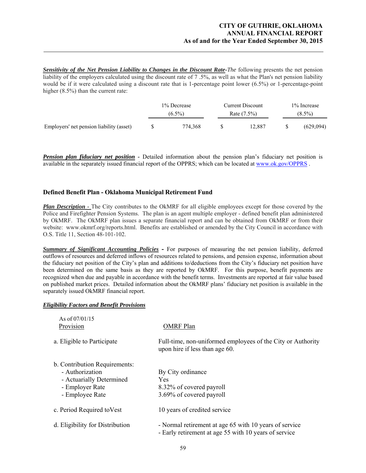*Sensitivity of the Net Pension Liability to Changes in the Discount Rate-The* following presents the net pension liability of the employers calculated using the discount rate of 7.5%, as well as what the Plan's net pension liability would be if it were calculated using a discount rate that is 1-percentage point lower (6.5%) or 1-percentage-point higher (8.5%) than the current rate:

|                                          |  | 1\% Decrease<br>$(6.5\%)$ |  | <b>Current Discount</b> | 1% Increase<br>$(8.5\%)$ |           |
|------------------------------------------|--|---------------------------|--|-------------------------|--------------------------|-----------|
|                                          |  |                           |  | Rate $(7.5\%)$          |                          |           |
| Employers' net pension liability (asset) |  | 774.368                   |  | 12.887                  |                          | (629,094) |

*Pension plan fiduciary net position -* Detailed information about the pension plan's fiduciary net position is available in the separately issued financial report of the OPPRS; which can be located at www.ok.gov/OPPRS .

## **Defined Benefit Plan - Oklahoma Municipal Retirement Fund**

*Plan Description -* The City contributes to the OkMRF for all eligible employees except for those covered by the Police and Firefighter Pension Systems. The plan is an agent multiple employer - defined benefit plan administered by OkMRF. The OkMRF plan issues a separate financial report and can be obtained from OkMRF or from their website: www.okmrf.org/reports.html. Benefits are established or amended by the City Council in accordance with O.S. Title 11, Section 48-101-102.

*Summary of Significant Accounting Policies* **-** For purposes of measuring the net pension liability, deferred outflows of resources and deferred inflows of resources related to pensions, and pension expense, information about the fiduciary net position of the City's plan and additions to/deductions from the City's fiduciary net position have been determined on the same basis as they are reported by OkMRF. For this purpose, benefit payments are recognized when due and payable in accordance with the benefit terms. Investments are reported at fair value based on published market prices. Detailed information about the OkMRF plans' fiduciary net position is available in the separately issued OkMRF financial report.

### *Eligibility Factors and Benefit Provisions*

 $\overline{a}$ 

| As of $07/01/15$<br>Provision                                                                                      | <b>OMRF</b> Plan                                                                                                |
|--------------------------------------------------------------------------------------------------------------------|-----------------------------------------------------------------------------------------------------------------|
| a. Eligible to Participate                                                                                         | Full-time, non-uniformed employees of the City or Authority<br>upon hire if less than age 60.                   |
| b. Contribution Requirements:<br>- Authorization<br>- Actuarially Determined<br>- Employer Rate<br>- Employee Rate | By City ordinance<br><b>Yes</b><br>8.32% of covered payroll<br>3.69% of covered payroll                         |
| c. Period Required to Vest                                                                                         | 10 years of credited service                                                                                    |
| d. Eligibility for Distribution                                                                                    | - Normal retirement at age 65 with 10 years of service<br>- Early retirement at age 55 with 10 years of service |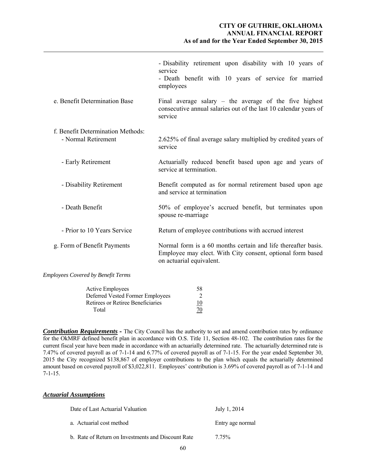|                                                          | - Disability retirement upon disability with 10 years of<br>service<br>- Death benefit with 10 years of service for married<br>employees                |
|----------------------------------------------------------|---------------------------------------------------------------------------------------------------------------------------------------------------------|
| e. Benefit Determination Base                            | Final average salary $-$ the average of the five highest<br>consecutive annual salaries out of the last 10 calendar years of<br>service                 |
| f. Benefit Determination Methods:<br>- Normal Retirement | 2.625% of final average salary multiplied by credited years of<br>service                                                                               |
| - Early Retirement                                       | Actuarially reduced benefit based upon age and years of<br>service at termination.                                                                      |
| - Disability Retirement                                  | Benefit computed as for normal retirement based upon age<br>and service at termination                                                                  |
| - Death Benefit                                          | 50% of employee's accrued benefit, but terminates upon<br>spouse re-marriage                                                                            |
| - Prior to 10 Years Service                              | Return of employee contributions with accrued interest                                                                                                  |
| g. Form of Benefit Payments                              | Normal form is a 60 months certain and life thereafter basis.<br>Employee may elect. With City consent, optional form based<br>on actuarial equivalent. |

## *Employees Covered by Benefit Terms*

 $\overline{a}$ 

| <b>Active Employees</b>           | 58        |
|-----------------------------------|-----------|
| Deferred Vested Former Employees  |           |
| Retirees or Retiree Beneficiaries | <u>10</u> |
| Total                             |           |

*Contribution Requirements* **-** The City Council has the authority to set and amend contribution rates by ordinance for the OkMRF defined benefit plan in accordance with O.S. Title 11, Section 48-102. The contribution rates for the current fiscal year have been made in accordance with an actuarially determined rate. The actuarially determined rate is 7.47% of covered payroll as of 7-1-14 and 6.77% of covered payroll as of 7-1-15. For the year ended September 30, 2015 the City recognized \$138,867 of employer contributions to the plan which equals the actuarially determined amount based on covered payroll of \$3,022,811. Employees' contribution is 3.69% of covered payroll as of 7-1-14 and 7-1-15.

## *Actuarial Assumptions*

| Date of Last Actuarial Valuation                   | July 1, 2014     |
|----------------------------------------------------|------------------|
| a. Actuarial cost method                           | Entry age normal |
| b. Rate of Return on Investments and Discount Rate | 7 75%            |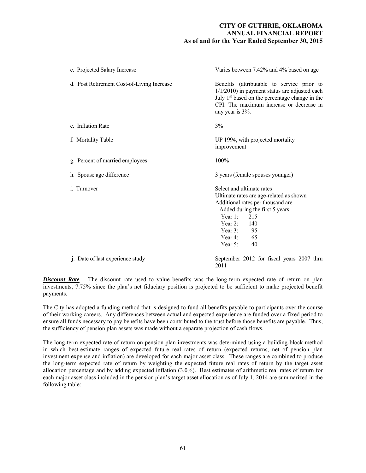| c. Projected Salary Increase               | Varies between 7.42% and 4% based on age                                                                                                                                                                                                        |
|--------------------------------------------|-------------------------------------------------------------------------------------------------------------------------------------------------------------------------------------------------------------------------------------------------|
| d. Post Retirement Cost-of-Living Increase | Benefits (attributable to service prior to<br>$1/1/2010$ ) in payment status are adjusted each<br>July 1 <sup>st</sup> based on the percentage change in the<br>CPI. The maximum increase or decrease in<br>any year is 3%.                     |
| e. Inflation Rate                          | 3%                                                                                                                                                                                                                                              |
| f. Mortality Table                         | UP 1994, with projected mortality<br>improvement                                                                                                                                                                                                |
| g. Percent of married employees            | 100%                                                                                                                                                                                                                                            |
| h. Spouse age difference                   | 3 years (female spouses younger)                                                                                                                                                                                                                |
| <i>i</i> . Turnover                        | Select and ultimate rates<br>Ultimate rates are age-related as shown<br>Additional rates per thousand are<br>Added during the first 5 years:<br>Year $1$ :<br>215<br>Year $2$ :<br>140<br>Year $3$ :<br>95<br>Year 4:<br>65<br>Year $5$ :<br>40 |
| j. Date of last experience study           | September 2012 for fiscal years 2007 thru<br>2011                                                                                                                                                                                               |

 $\overline{a}$ 

*Discount Rate* – The discount rate used to value benefits was the long-term expected rate of return on plan investments, 7.75% since the plan's net fiduciary position is projected to be sufficient to make projected benefit payments.

The City has adopted a funding method that is designed to fund all benefits payable to participants over the course of their working careers. Any differences between actual and expected experience are funded over a fixed period to ensure all funds necessary to pay benefits have been contributed to the trust before those benefits are payable. Thus, the sufficiency of pension plan assets was made without a separate projection of cash flows.

The long-term expected rate of return on pension plan investments was determined using a building-block method in which best-estimate ranges of expected future real rates of return (expected returns, net of pension plan investment expense and inflation) are developed for each major asset class. These ranges are combined to produce the long-term expected rate of return by weighting the expected future real rates of return by the target asset allocation percentage and by adding expected inflation (3.0%). Best estimates of arithmetic real rates of return for each major asset class included in the pension plan's target asset allocation as of July 1, 2014 are summarized in the following table: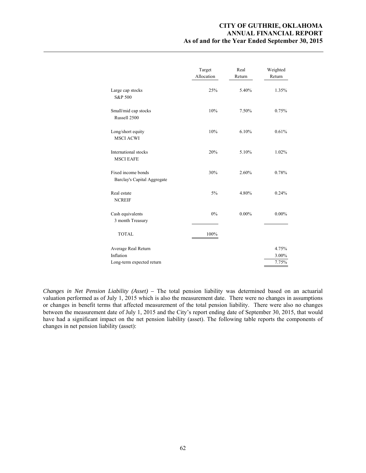|                                                               | Target<br>Allocation | Real<br>Return | Weighted<br>Return      |
|---------------------------------------------------------------|----------------------|----------------|-------------------------|
| Large cap stocks<br>S&P 500                                   | 25%                  | 5.40%          | 1.35%                   |
| Small/mid cap stocks<br><b>Russell 2500</b>                   | 10%                  | 7.50%          | 0.75%                   |
| Long/short equity<br><b>MSCI ACWI</b>                         | 10%                  | 6.10%          | 0.61%                   |
| International stocks<br><b>MSCI EAFE</b>                      | 20%                  | 5.10%          | 1.02%                   |
| Fixed income bonds<br>Barclay's Capital Aggregate             | 30%                  | 2.60%          | 0.78%                   |
| Real estate<br><b>NCREIF</b>                                  | $5\%$                | 4.80%          | 0.24%                   |
| Cash equivalents<br>3 month Treasury                          | 0%                   | $0.00\%$       | $0.00\%$                |
| <b>TOTAL</b>                                                  | 100%                 |                |                         |
| Average Real Return<br>Inflation<br>Long-term expected return |                      |                | 4.75%<br>3.00%<br>7.75% |

 $\overline{a}$ 

*Changes in Net Pension Liability (Asset) –* The total pension liability was determined based on an actuarial valuation performed as of July 1, 2015 which is also the measurement date. There were no changes in assumptions or changes in benefit terms that affected measurement of the total pension liability. There were also no changes between the measurement date of July 1, 2015 and the City's report ending date of September 30, 2015, that would have had a significant impact on the net pension liability (asset). The following table reports the components of changes in net pension liability (asset):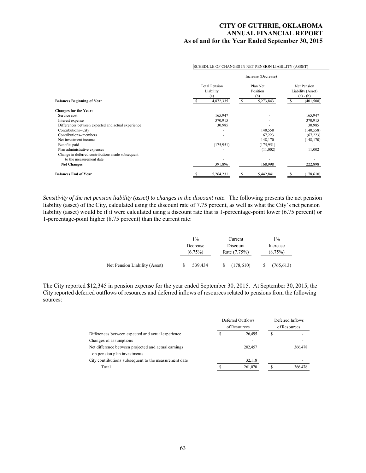|                                                    |                                                       | SCHEDULE OF CHANGES IN NET PENSION LIABILITY (ASSET) |                                                                      |  |
|----------------------------------------------------|-------------------------------------------------------|------------------------------------------------------|----------------------------------------------------------------------|--|
|                                                    | Increase (Decrease)                                   |                                                      |                                                                      |  |
| <b>Balances Beginning of Year</b>                  | <b>Total Pension</b><br>Liability<br>(a)<br>4,872,335 | Plan Net<br>Position<br>(b)<br>5,273,843<br>S        | Net Pension<br>Liability (Asset)<br>$(a) - (b)$<br>(401, 508)<br>\$. |  |
|                                                    |                                                       |                                                      |                                                                      |  |
| <b>Changes for the Year:</b>                       |                                                       |                                                      |                                                                      |  |
| Service cost                                       | 165,947                                               |                                                      | 165,947                                                              |  |
| Interest expense                                   | 370,915                                               | ٠                                                    | 370,915                                                              |  |
| Differences between expected and actual experience | 30,985                                                |                                                      | 30,985                                                               |  |
| Contributions--City                                |                                                       | 140,558                                              | (140, 558)                                                           |  |
| Contributions--members                             |                                                       | 67,223                                               | (67, 223)                                                            |  |
| Net investment income                              |                                                       | 148,170                                              | (148, 170)                                                           |  |
| Benefits paid                                      | (175, 951)                                            | (175, 951)                                           |                                                                      |  |
| Plan administrative expenses                       |                                                       | (11,002)                                             | 11,002                                                               |  |
| Change in deferred contributions made subsequent   |                                                       |                                                      |                                                                      |  |
| to the measurement date                            |                                                       |                                                      |                                                                      |  |
| <b>Net Changes</b>                                 | 391,896                                               | 168,998                                              | 222,898                                                              |  |
| <b>Balances End of Year</b>                        | 5,264,231                                             | 5,442,841                                            | (178, 610)                                                           |  |

 $\overline{a}$ 

*Sensitivity of the net pension liability (asset) to changes in the discount rate.* The following presents the net pension liability (asset) of the City, calculated using the discount rate of 7.75 percent, as well as what the City's net pension liability (asset) would be if it were calculated using a discount rate that is 1-percentage-point lower (6.75 percent) or 1-percentage-point higher (8.75 percent) than the current rate:

|                               | $1\%$      | Current      | $1\%$      |
|-------------------------------|------------|--------------|------------|
|                               | Decrease   | Discount     | Increase   |
|                               | $(6.75\%)$ | Rate (7.75%) | $(8.75\%)$ |
| Net Pension Liability (Asset) | 539.434    | (178,610)    | (765, 613) |

The City reported \$12,345 in pension expense for the year ended September 30, 2015. At September 30, 2015, the City reported deferred outflows of resources and deferred inflows of resources related to pensions from the following sources:

| Deferred Outflows<br>of Resources |         | Deferred Inflows<br>of Resources |         |
|-----------------------------------|---------|----------------------------------|---------|
|                                   |         |                                  |         |
|                                   |         |                                  |         |
|                                   | 202,457 |                                  | 366,478 |
|                                   |         |                                  |         |
|                                   | 32,118  |                                  |         |
|                                   | 261,070 |                                  | 366,478 |
|                                   |         |                                  |         |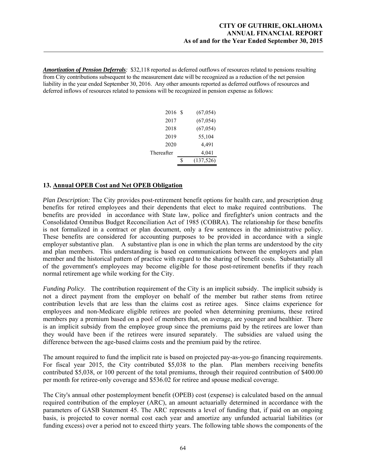*Amortization of Pension Deferrals:* \$32,118 reported as deferred outflows of resources related to pensions resulting from City contributions subsequent to the measurement date will be recognized as a reduction of the net pension liability in the year ended September 30, 2016. Any other amounts reported as deferred outflows of resources and deferred inflows of resources related to pensions will be recognized in pension expense as follows:

| 2016 \$    | (67, 054)        |
|------------|------------------|
| 2017       | (67, 054)        |
| 2018       | (67, 054)        |
| 2019       | 55,104           |
| 2020       | 4,491            |
| Thereafter | 4,041            |
|            | \$<br>(137, 526) |

# **13. Annual OPEB Cost and Net OPEB Obligation**

 $\overline{a}$ 

*Plan Description:* The City provides post-retirement benefit options for health care, and prescription drug benefits for retired employees and their dependents that elect to make required contributions. The benefits are provided in accordance with State law, police and firefighter's union contracts and the Consolidated Omnibus Budget Reconciliation Act of 1985 (COBRA). The relationship for these benefits is not formalized in a contract or plan document, only a few sentences in the administrative policy. These benefits are considered for accounting purposes to be provided in accordance with a single employer substantive plan. A substantive plan is one in which the plan terms are understood by the city and plan members. This understanding is based on communications between the employers and plan member and the historical pattern of practice with regard to the sharing of benefit costs. Substantially all of the government's employees may become eligible for those post-retirement benefits if they reach normal retirement age while working for the City.

*Funding Policy.* The contribution requirement of the City is an implicit subsidy. The implicit subsidy is not a direct payment from the employer on behalf of the member but rather stems from retiree contribution levels that are less than the claims cost as retiree ages. Since claims experience for employees and non-Medicare eligible retirees are pooled when determining premiums, these retired members pay a premium based on a pool of members that, on average, are younger and healthier. There is an implicit subsidy from the employee group since the premiums paid by the retirees are lower than they would have been if the retirees were insured separately. The subsidies are valued using the difference between the age-based claims costs and the premium paid by the retiree.

The amount required to fund the implicit rate is based on projected pay-as-you-go financing requirements. For fiscal year 2015, the City contributed \$5,038 to the plan. Plan members receiving benefits contributed \$5,038, or 100 percent of the total premiums, through their required contribution of \$400.00 per month for retiree-only coverage and \$536.02 for retiree and spouse medical coverage.

The City's annual other postemployment benefit (OPEB) cost (expense) is calculated based on the annual required contribution of the employer (ARC), an amount actuarially determined in accordance with the parameters of GASB Statement 45. The ARC represents a level of funding that, if paid on an ongoing basis, is projected to cover normal cost each year and amortize any unfunded actuarial liabilities (or funding excess) over a period not to exceed thirty years. The following table shows the components of the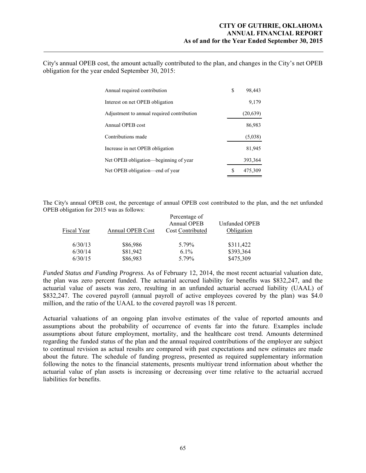City's annual OPEB cost, the amount actually contributed to the plan, and changes in the City's net OPEB obligation for the year ended September 30, 2015:

 $\overline{a}$ 

| Annual required contribution               | S | 98,443   |
|--------------------------------------------|---|----------|
| Interest on net OPEB obligation            |   | 9,179    |
| Adjustment to annual required contribution |   | (20,639) |
| Annual OPEB cost                           |   | 86,983   |
| Contributions made                         |   | (5,038)  |
| Increase in net OPEB obligation            |   | 81,945   |
| Net OPEB obligation—beginning of year      |   | 393,364  |
| Net OPEB obligation—end of year            | S | 475,309  |

The City's annual OPEB cost, the percentage of annual OPEB cost contributed to the plan, and the net unfunded OPEB obligation for 2015 was as follows:

|             |                  | Percentage of    |               |
|-------------|------------------|------------------|---------------|
|             |                  | Annual OPEB      | Unfunded OPEB |
| Fiscal Year | Annual OPEB Cost | Cost Contributed | Obligation    |
| 6/30/13     | \$86,986         | 5.79%            | \$311,422     |
| 6/30/14     | \$81,942         | $6.1\%$          | \$393,364     |
| 6/30/15     | \$86,983         | 5.79%            | \$475,309     |

*Funded Status and Funding Progress*. As of February 12, 2014, the most recent actuarial valuation date, the plan was zero percent funded. The actuarial accrued liability for benefits was \$832,247, and the actuarial value of assets was zero, resulting in an unfunded actuarial accrued liability (UAAL) of \$832,247. The covered payroll (annual payroll of active employees covered by the plan) was \$4.0 million, and the ratio of the UAAL to the covered payroll was 18 percent.

Actuarial valuations of an ongoing plan involve estimates of the value of reported amounts and assumptions about the probability of occurrence of events far into the future. Examples include assumptions about future employment, mortality, and the healthcare cost trend. Amounts determined regarding the funded status of the plan and the annual required contributions of the employer are subject to continual revision as actual results are compared with past expectations and new estimates are made about the future. The schedule of funding progress, presented as required supplementary information following the notes to the financial statements, presents multiyear trend information about whether the actuarial value of plan assets is increasing or decreasing over time relative to the actuarial accrued liabilities for benefits.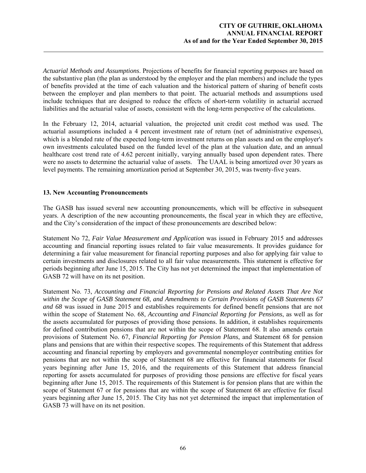*Actuarial Methods and Assumptions*. Projections of benefits for financial reporting purposes are based on the substantive plan (the plan as understood by the employer and the plan members) and include the types of benefits provided at the time of each valuation and the historical pattern of sharing of benefit costs between the employer and plan members to that point. The actuarial methods and assumptions used include techniques that are designed to reduce the effects of short-term volatility in actuarial accrued liabilities and the actuarial value of assets, consistent with the long-term perspective of the calculations.

In the February 12, 2014, actuarial valuation, the projected unit credit cost method was used. The actuarial assumptions included a 4 percent investment rate of return (net of administrative expenses), which is a blended rate of the expected long-term investment returns on plan assets and on the employer's own investments calculated based on the funded level of the plan at the valuation date, and an annual healthcare cost trend rate of 4.62 percent initially, varying annually based upon dependent rates. There were no assets to determine the actuarial value of assets. The UAAL is being amortized over 30 years as level payments. The remaining amortization period at September 30, 2015, was twenty-five years.

# **13. New Accounting Pronouncements**

 $\overline{a}$ 

The GASB has issued several new accounting pronouncements, which will be effective in subsequent years. A description of the new accounting pronouncements, the fiscal year in which they are effective, and the City's consideration of the impact of these pronouncements are described below:

Statement No 72, *Fair Value Measurement and Application* was issued in February 2015 and addresses accounting and financial reporting issues related to fair value measurements. It provides guidance for determining a fair value measurement for financial reporting purposes and also for applying fair value to certain investments and disclosures related to all fair value measurements. This statement is effective for periods beginning after June 15, 2015. The City has not yet determined the impact that implementation of GASB 72 will have on its net position.

Statement No. 73, *Accounting and Financial Reporting for Pensions and Related Assets That Are Not within the Scope of GASB Statement 68, and Amendments to Certain Provisions of GASB Statements 67 and 68* was issued in June 2015 and establishes requirements for defined benefit pensions that are not within the scope of Statement No. 68, *Accounting and Financial Reporting for Pensions*, as well as for the assets accumulated for purposes of providing those pensions. In addition, it establishes requirements for defined contribution pensions that are not within the scope of Statement 68. It also amends certain provisions of Statement No. 67, *Financial Reporting for Pension Plans*, and Statement 68 for pension plans and pensions that are within their respective scopes. The requirements of this Statement that address accounting and financial reporting by employers and governmental nonemployer contributing entities for pensions that are not within the scope of Statement 68 are effective for financial statements for fiscal years beginning after June 15, 2016, and the requirements of this Statement that address financial reporting for assets accumulated for purposes of providing those pensions are effective for fiscal years beginning after June 15, 2015. The requirements of this Statement is for pension plans that are within the scope of Statement 67 or for pensions that are within the scope of Statement 68 are effective for fiscal years beginning after June 15, 2015. The City has not yet determined the impact that implementation of GASB 73 will have on its net position.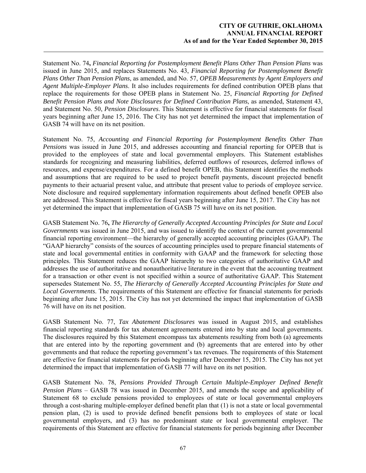Statement No. 74**,** *Financial Reporting for Postemployment Benefit Plans Other Than Pension Plans* was issued in June 2015, and replaces Statements No. 43, *Financial Reporting for Postemployment Benefit Plans Other Than Pension Plans*, as amended, and No. 57, *OPEB Measurements by Agent Employers and Agent Multiple-Employer Plans*. It also includes requirements for defined contribution OPEB plans that replace the requirements for those OPEB plans in Statement No. 25, *Financial Reporting for Defined Benefit Pension Plans and Note Disclosures for Defined Contribution Plans*, as amended, Statement 43, and Statement No. 50, *Pension Disclosures*. This Statement is effective for financial statements for fiscal years beginning after June 15, 2016. The City has not yet determined the impact that implementation of GASB 74 will have on its net position.

 $\overline{a}$ 

Statement No. 75, *Accounting and Financial Reporting for Postemployment Benefits Other Than Pensions* was issued in June 2015, and addresses accounting and financial reporting for OPEB that is provided to the employees of state and local governmental employers. This Statement establishes standards for recognizing and measuring liabilities, deferred outflows of resources, deferred inflows of resources, and expense/expenditures. For a defined benefit OPEB, this Statement identifies the methods and assumptions that are required to be used to project benefit payments, discount projected benefit payments to their actuarial present value, and attribute that present value to periods of employee service. Note disclosure and required supplementary information requirements about defined benefit OPEB also are addressed. This Statement is effective for fiscal years beginning after June 15, 2017. The City has not yet determined the impact that implementation of GASB 75 will have on its net position.

GASB Statement No. 76**,** *The Hierarchy of Generally Accepted Accounting Principles for State and Local Governments* was issued in June 2015, and was issued to identify the context of the current governmental financial reporting environment—the hierarchy of generally accepted accounting principles (GAAP). The "GAAP hierarchy" consists of the sources of accounting principles used to prepare financial statements of state and local governmental entities in conformity with GAAP and the framework for selecting those principles. This Statement reduces the GAAP hierarchy to two categories of authoritative GAAP and addresses the use of authoritative and nonauthoritative literature in the event that the accounting treatment for a transaction or other event is not specified within a source of authoritative GAAP. This Statement supersedes Statement No. 55, *The Hierarchy of Generally Accepted Accounting Principles for State and Local Governments*. The requirements of this Statement are effective for financial statements for periods beginning after June 15, 2015. The City has not yet determined the impact that implementation of GASB 76 will have on its net position.

GASB Statement No. 77, *Tax Abatement Disclosures* was issued in August 2015, and establishes financial reporting standards for tax abatement agreements entered into by state and local governments. The disclosures required by this Statement encompass tax abatements resulting from both (a) agreements that are entered into by the reporting government and (b) agreements that are entered into by other governments and that reduce the reporting government's tax revenues. The requirements of this Statement are effective for financial statements for periods beginning after December 15, 2015. The City has not yet determined the impact that implementation of GASB 77 will have on its net position.

GASB Statement No. 78, *Pensions Provided Through Certain Multiple-Employer Defined Benefit Pension Plans* – GASB 78 was issued in December 2015, and amends the scope and applicability of Statement 68 to exclude pensions provided to employees of state or local governmental employers through a cost-sharing multiple-employer defined benefit plan that (1) is not a state or local governmental pension plan, (2) is used to provide defined benefit pensions both to employees of state or local governmental employers, and (3) has no predominant state or local governmental employer. The requirements of this Statement are effective for financial statements for periods beginning after December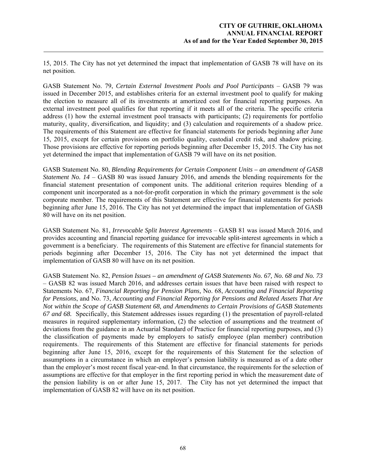15, 2015. The City has not yet determined the impact that implementation of GASB 78 will have on its net position.

 $\overline{a}$ 

GASB Statement No. 79, *Certain External Investment Pools and Pool Participants - GASB 79* was issued in December 2015, and establishes criteria for an external investment pool to qualify for making the election to measure all of its investments at amortized cost for financial reporting purposes. An external investment pool qualifies for that reporting if it meets all of the criteria. The specific criteria address (1) how the external investment pool transacts with participants; (2) requirements for portfolio maturity, quality, diversification, and liquidity; and (3) calculation and requirements of a shadow price. The requirements of this Statement are effective for financial statements for periods beginning after June 15, 2015, except for certain provisions on portfolio quality, custodial credit risk, and shadow pricing. Those provisions are effective for reporting periods beginning after December 15, 2015. The City has not yet determined the impact that implementation of GASB 79 will have on its net position.

GASB Statement No. 80, *Blending Requirements for Certain Component Units – an amendment of GASB Statement No. 14* – GASB 80 was issued January 2016, and amends the blending requirements for the financial statement presentation of component units. The additional criterion requires blending of a component unit incorporated as a not-for-profit corporation in which the primary government is the sole corporate member. The requirements of this Statement are effective for financial statements for periods beginning after June 15, 2016. The City has not yet determined the impact that implementation of GASB 80 will have on its net position.

GASB Statement No. 81, *Irrevocable Split Interest Agreements* – GASB 81 was issued March 2016, and provides accounting and financial reporting guidance for irrevocable split-interest agreements in which a government is a beneficiary. The requirements of this Statement are effective for financial statements for periods beginning after December 15, 2016. The City has not yet determined the impact that implementation of GASB 80 will have on its net position.

GASB Statement No. 82, *Pension Issues – an amendment of GASB Statements No. 67, No. 68 and No. 73*  – GASB 82 was issued March 2016, and addresses certain issues that have been raised with respect to Statements No. 67, *Financial Reporting for Pension Plans,* No. 68, *Accounting and Financial Reporting for Pensions*, and No. 73, *Accounting and Financial Reporting for Pensions and Related Assets That Are Not within the Scope of GASB Statement 68, and Amendments to Certain Provisions of GASB Statements 67 and 68.* Specifically, this Statement addresses issues regarding (1) the presentation of payroll-related measures in required supplementary information, (2) the selection of assumptions and the treatment of deviations from the guidance in an Actuarial Standard of Practice for financial reporting purposes, and (3) the classification of payments made by employers to satisfy employee (plan member) contribution requirements. The requirements of this Statement are effective for financial statements for periods beginning after June 15, 2016, except for the requirements of this Statement for the selection of assumptions in a circumstance in which an employer's pension liability is measured as of a date other than the employer's most recent fiscal year-end. In that circumstance, the requirements for the selection of assumptions are effective for that employer in the first reporting period in which the measurement date of the pension liability is on or after June 15, 2017. The City has not yet determined the impact that implementation of GASB 82 will have on its net position.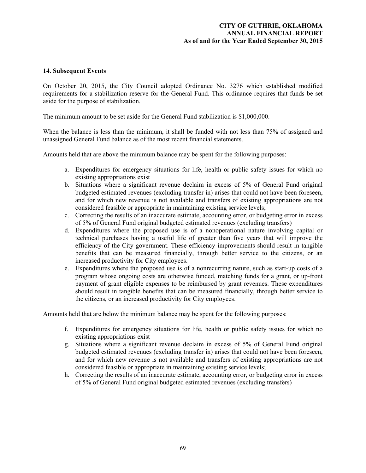## **14. Subsequent Events**

 $\overline{a}$ 

On October 20, 2015, the City Council adopted Ordinance No. 3276 which established modified requirements for a stabilization reserve for the General Fund. This ordinance requires that funds be set aside for the purpose of stabilization.

The minimum amount to be set aside for the General Fund stabilization is \$1,000,000.

When the balance is less than the minimum, it shall be funded with not less than 75% of assigned and unassigned General Fund balance as of the most recent financial statements.

Amounts held that are above the minimum balance may be spent for the following purposes:

- a. Expenditures for emergency situations for life, health or public safety issues for which no existing appropriations exist
- b. Situations where a significant revenue declaim in excess of 5% of General Fund original budgeted estimated revenues (excluding transfer in) arises that could not have been foreseen, and for which new revenue is not available and transfers of existing appropriations are not considered feasible or appropriate in maintaining existing service levels;
- c. Correcting the results of an inaccurate estimate, accounting error, or budgeting error in excess of 5% of General Fund original budgeted estimated revenues (excluding transfers)
- d. Expenditures where the proposed use is of a nonoperational nature involving capital or technical purchases having a useful life of greater than five years that will improve the efficiency of the City government. These efficiency improvements should result in tangible benefits that can be measured financially, through better service to the citizens, or an increased productivity for City employees.
- e. Expenditures where the proposed use is of a nonrecurring nature, such as start-up costs of a program whose ongoing costs are otherwise funded, matching funds for a grant, or up-front payment of grant eligible expenses to be reimbursed by grant revenues. These expenditures should result in tangible benefits that can be measured financially, through better service to the citizens, or an increased productivity for City employees.

Amounts held that are below the minimum balance may be spent for the following purposes:

- f. Expenditures for emergency situations for life, health or public safety issues for which no existing appropriations exist
- g. Situations where a significant revenue declaim in excess of 5% of General Fund original budgeted estimated revenues (excluding transfer in) arises that could not have been foreseen, and for which new revenue is not available and transfers of existing appropriations are not considered feasible or appropriate in maintaining existing service levels;
- h. Correcting the results of an inaccurate estimate, accounting error, or budgeting error in excess of 5% of General Fund original budgeted estimated revenues (excluding transfers)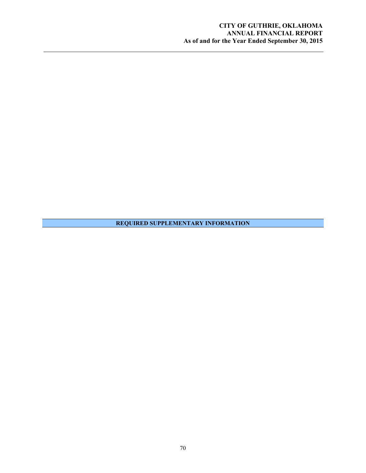**REQUIRED SUPPLEMENTARY INFORMATION** 

 $\overline{a}$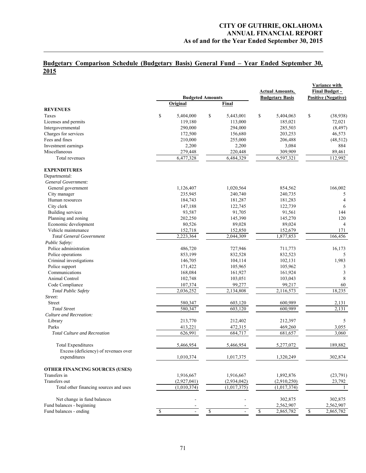# **Budgetary Comparison Schedule (Budgetary Basis) General Fund – Year Ended September 30, 2015**

 $\overline{a}$ 

|                                               | <b>Budgeted Amounts</b>   |                     | <b>Actual Amounts,</b><br><b>Budgetary Basis</b> | Variance with<br><b>Final Budget -</b><br><b>Positive (Negative)</b> |  |
|-----------------------------------------------|---------------------------|---------------------|--------------------------------------------------|----------------------------------------------------------------------|--|
|                                               | Original                  | Final               |                                                  |                                                                      |  |
| <b>REVENUES</b>                               |                           |                     |                                                  |                                                                      |  |
| Taxes                                         | $\mathbb{S}$<br>5,404,000 | \$<br>5,443,001     | \$<br>5,404,063                                  | \$<br>(38,938)                                                       |  |
| Licenses and permits                          | 119,180                   | 113,000             | 185,021                                          | 72,021                                                               |  |
| Intergovernmental                             | 290,000                   | 294,000             | 285,503                                          | (8, 497)                                                             |  |
| Charges for services                          | 172,500                   | 156,680             | 203,253                                          | 46,573                                                               |  |
| Fees and fines                                | 210,000                   | 255,000             | 206,488                                          | (48,512)                                                             |  |
| Investment earnings                           | 2,200                     | 2,200               | 3,084                                            | 884                                                                  |  |
| Miscellaneous                                 | 279,448                   | 220,448             | 309,909                                          | 89,461                                                               |  |
| Total revenues                                | 6,477,328                 | 6,484,329           | $\overline{6,}597,321$                           | 112,992                                                              |  |
| <b>EXPENDITURES</b>                           |                           |                     |                                                  |                                                                      |  |
| Departmental:                                 |                           |                     |                                                  |                                                                      |  |
| General Government:                           |                           |                     |                                                  |                                                                      |  |
| General government                            | 1,126,407                 | 1,020,564           | 854,562                                          | 166,002                                                              |  |
| City manager                                  | 235,945                   | 240,740             | 240,735                                          | 5                                                                    |  |
| Human resources                               | 184,743                   | 181,287             | 181,283                                          | 4                                                                    |  |
| City clerk                                    | 147,188                   | 122,745             | 122,739                                          | 6                                                                    |  |
| <b>Building services</b>                      | 93,587                    | 91,705              | 91,561                                           | 144                                                                  |  |
| Planning and zoning                           | 202,250                   | 145,390             | 145,270                                          | 120                                                                  |  |
| Economic development                          | 80,526                    | 89,028              | 89,024                                           | $\overline{4}$                                                       |  |
| Vehicle maintenance                           | 152,718                   | 152,850             | 152,679                                          | 171                                                                  |  |
| <b>Total General Government</b>               | 2,223,364                 | 2,044,309           | 1,877,853                                        | 166,456                                                              |  |
| Public Safety:                                |                           |                     |                                                  |                                                                      |  |
| Police administration                         | 486,720                   | 727,946             | 711,773                                          | 16,173                                                               |  |
| Police operations                             | 853,199                   | 832,528             | 832,523                                          | 5                                                                    |  |
| Criminal investigations                       | 146,705                   | 104,114             | 102,131                                          | 1,983                                                                |  |
| Police support<br>Communications              | 171,422                   | 105,965             | 105,962                                          | 3<br>3                                                               |  |
| Animal Control                                | 168,084                   | 161,927             | 161,924                                          | 8                                                                    |  |
|                                               | 102,748                   | 103,051             | 103,043                                          | 60                                                                   |  |
| Code Compliance<br><b>Total Public Safety</b> | 107,374<br>2,036,252      | 99,277<br>2,134,808 | 99,217<br>2,116,573                              | 18,235                                                               |  |
| Street:                                       |                           |                     |                                                  |                                                                      |  |
| <b>Street</b>                                 | 580,347                   | 603,120             | 600,989                                          | 2,131                                                                |  |
| <b>Total Street</b>                           | 580,347                   | 603,120             | 600,989                                          | 2,131                                                                |  |
| Culture and Recreation:                       |                           |                     |                                                  |                                                                      |  |
| Library                                       | 213,770                   | 212,402             | 212,397                                          | 5                                                                    |  |
| Parks                                         | 413,221                   | 472,315             | 469,260                                          | 3,055                                                                |  |
| <b>Total Culture and Recreation</b>           | 626,991                   | 684,717             | 681,657                                          | 3,060                                                                |  |
| <b>Total Expenditures</b>                     | 5,466,954                 | 5,466,954           | 5,277,072                                        | 189,882                                                              |  |
| Excess (deficiency) of revenues over          |                           |                     |                                                  |                                                                      |  |
| expenditures                                  | 1,010,374                 | 1,017,375           | 1,320,249                                        | 302,874                                                              |  |
| <b>OTHER FINANCING SOURCES (USES)</b>         |                           |                     |                                                  |                                                                      |  |
| Transfers in                                  | 1,916,667                 | 1,916,667           | 1,892,876                                        | (23,791)                                                             |  |
| Transfers out                                 | (2,927,041)               | (2,934,042)         | (2,910,250)                                      | 23,792                                                               |  |
| Total other financing sources and uses        | (1,010,374)               | (1,017,375)         | (1,017,374)                                      |                                                                      |  |
| Net change in fund balances                   |                           |                     | 302,875                                          | 302,875                                                              |  |
| Fund balances - beginning                     |                           |                     | 2,562,907                                        | 2,562,907                                                            |  |
| Fund balances - ending                        | $\sqrt{3}$                | $\sqrt{\ }$         | $\overline{\mathcal{S}}$<br>2,865,782            | $\sqrt{S}$<br>2,865,782                                              |  |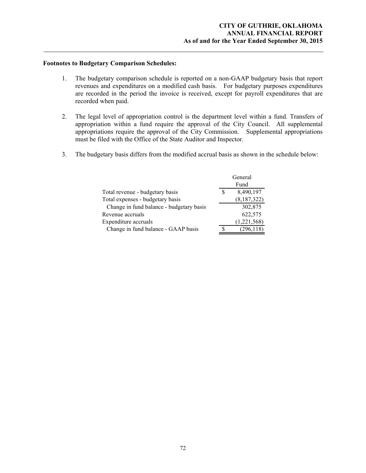#### **Footnotes to Budgetary Comparison Schedules:**

- 1. The budgetary comparison schedule is reported on a non-GAAP budgetary basis that report revenues and expenditures on a modified cash basis. For budgetary purposes expenditures are recorded in the period the invoice is received, except for payroll expenditures that are recorded when paid.
- 2. The legal level of appropriation control is the department level within a fund. Transfers of appropriation within a fund require the approval of the City Council. All supplemental appropriations require the approval of the City Commission. Supplemental appropriations must be filed with the Office of the State Auditor and Inspector.
- 3. The budgetary basis differs from the modified accrual basis as shown in the schedule below:

|                                          | General     |
|------------------------------------------|-------------|
|                                          | Fund        |
| Total revenue - budgetary basis          | 8,490,197   |
| Total expenses - budgetary basis         | (8,187,322) |
| Change in fund balance - budgetary basis | 302,875     |
| Revenue accruals                         | 622,575     |
| Expenditure accruals                     | (1,221,568) |
| Change in fund balance - GAAP basis      | (296.118)   |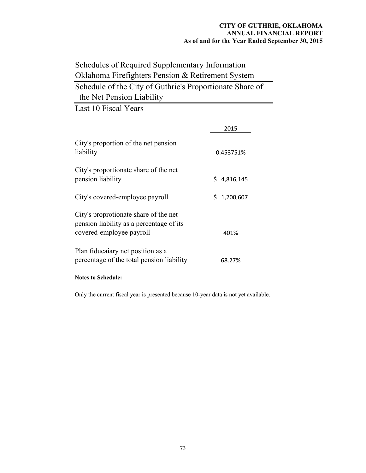# Schedules of Required Supplementary Information Oklahoma Firefighters Pension & Retirement System Schedule of the City of Guthrie's Proportionate Share of the Net Pension Liability

Last 10 Fiscal Years

 $\overline{a}$ 

|                                                                                                               | 2015        |
|---------------------------------------------------------------------------------------------------------------|-------------|
| City's proportion of the net pension<br>liability                                                             | 0.453751%   |
| City's proportionate share of the net<br>pension liability                                                    | \$4,816,145 |
| City's covered-employee payroll                                                                               | \$1,200,607 |
| City's proprotionate share of the net<br>pension liability as a percentage of its<br>covered-employee payroll | 401%        |
| Plan fiducaiary net position as a<br>percentage of the total pension liability                                | 68.27%      |
| <b>Notes to Schedule:</b>                                                                                     |             |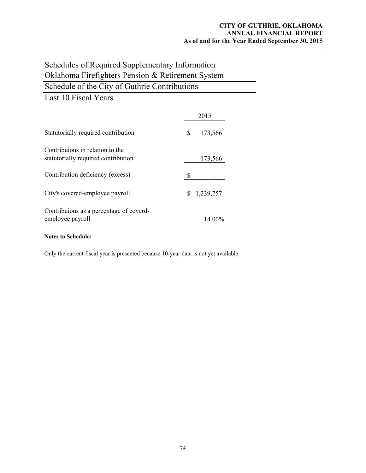# Schedules of Required Supplementary Information Oklahoma Firefighters Pension & Retirement System Schedule of the City of Guthrie Contributions

Last 10 Fiscal Years

 $\overline{a}$ 

|                                                                        |   | 2015      |
|------------------------------------------------------------------------|---|-----------|
| Statutorially required contribution                                    | S | 173,566   |
| Contribuions in relation to the<br>statutorially required contribution |   | 173,566   |
| Contribution deficiency (excess)                                       |   |           |
| City's covered-employee payroll                                        | S | 1,239,757 |
| Contribuions as a percentage of coverd-<br>employee payroll            |   | 14.00%    |

#### **Notes to Schedule:**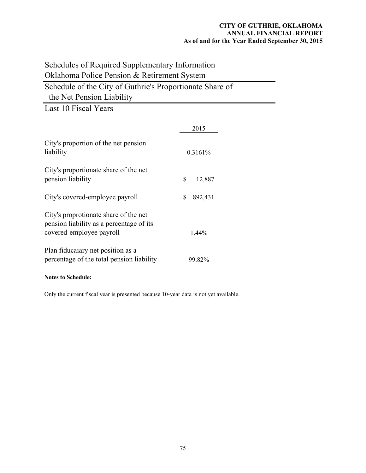Schedules of Required Supplementary Information Oklahoma Police Pension & Retirement System

Schedule of the City of Guthrie's Proportionate Share of the Net Pension Liability

Last 10 Fiscal Years

 $\overline{a}$ 

|                                                                                                               | 2015          |
|---------------------------------------------------------------------------------------------------------------|---------------|
| City's proportion of the net pension<br>liability                                                             | $0.3161\%$    |
| City's proportionate share of the net<br>pension liability                                                    | \$<br>12,887  |
| City's covered-employee payroll                                                                               | \$<br>892,431 |
| City's proprotionate share of the net<br>pension liability as a percentage of its<br>covered-employee payroll | 1.44%         |
| Plan fiducaiary net position as a<br>percentage of the total pension liability                                | 99.82%        |
|                                                                                                               |               |

**Notes to Schedule:**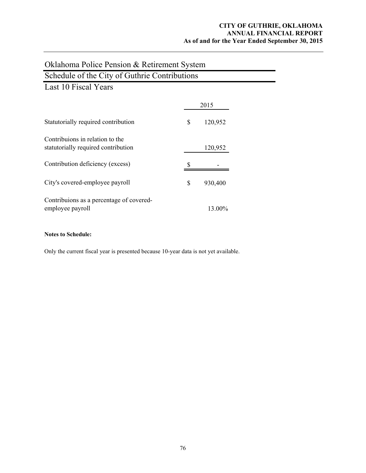# **CITY OF GUTHRIE, OKLAHOMA ANNUAL FINANCIAL REPORT As of and for the Year Ended September 30, 2015**

| Oklahoma Police Pension & Retirement System                            |      |         |  |  |  |  |  |  |
|------------------------------------------------------------------------|------|---------|--|--|--|--|--|--|
| Schedule of the City of Guthrie Contributions                          |      |         |  |  |  |  |  |  |
| Last 10 Fiscal Years                                                   |      |         |  |  |  |  |  |  |
|                                                                        | 2015 |         |  |  |  |  |  |  |
| Statutorially required contribution                                    | \$   | 120,952 |  |  |  |  |  |  |
| Contribuions in relation to the<br>statutorially required contribution |      | 120,952 |  |  |  |  |  |  |
| Contribution deficiency (excess)                                       |      |         |  |  |  |  |  |  |
| City's covered-employee payroll                                        | \$   | 930,400 |  |  |  |  |  |  |
| Contribuions as a percentage of covered-<br>employee payroll           |      | 13.00%  |  |  |  |  |  |  |

### **Notes to Schedule:**

 $\overline{a}$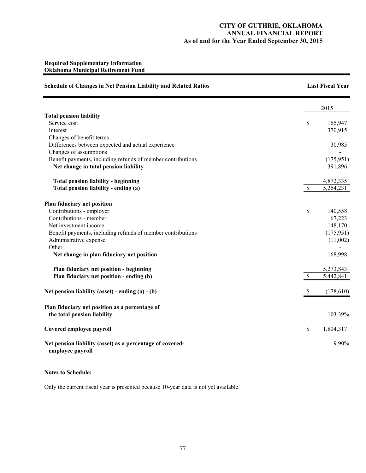#### **Required Supplementary Information Oklahoma Municipal Retirement Fund**

 $\overline{a}$ 

| <b>Schedule of Changes in Net Pension Liability and Related Ratios</b>        | <b>Last Fiscal Year</b> |
|-------------------------------------------------------------------------------|-------------------------|
|                                                                               | 2015                    |
| <b>Total pension liability</b>                                                |                         |
| Service cost                                                                  | \$<br>165,947           |
| Interest                                                                      | 370,915                 |
| Changes of benefit terms                                                      |                         |
| Differences between expected and actual experience                            | 30,985                  |
| Changes of assumptions                                                        |                         |
| Benefit payments, including refunds of member contributions                   | (175, 951)              |
| Net change in total pension liability                                         | 391,896                 |
| <b>Total pension liability - beginning</b>                                    | 4,872,335               |
| Total pension liability - ending (a)                                          | \$<br>5,264,231         |
| Plan fiduciary net position                                                   |                         |
| Contributions - employer                                                      | \$<br>140,558           |
| Contributions - member                                                        | 67,223                  |
| Net investment income                                                         | 148,170                 |
| Benefit payments, including refunds of member contributions                   | (175, 951)              |
| Administrative expense                                                        | (11,002)                |
| Other                                                                         |                         |
| Net change in plan fiduciary net position                                     | 168,998                 |
| Plan fiduciary net position - beginning                                       | 5,273,843               |
| Plan fiduciary net position - ending (b)                                      | \$<br>5,442,841         |
| Net pension liability (asset) - ending $(a) - (b)$                            | \$<br>(178, 610)        |
| Plan fiduciary net position as a percentage of                                |                         |
| the total pension liability                                                   | 103.39%                 |
| Covered employee payroll                                                      | \$<br>1,804,317         |
| Net pension liability (asset) as a percentage of covered-<br>employee payroll | $-9.90\%$               |

#### **Notes to Schedule:**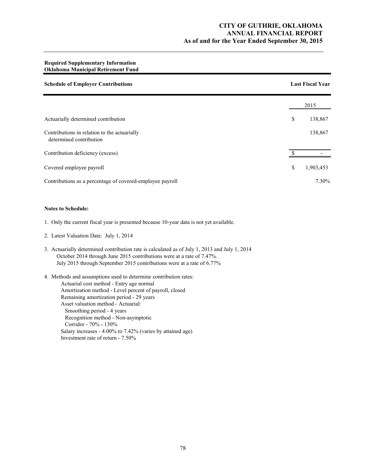| <b>Required Supplementary Information</b><br><b>Oklahoma Municipal Retirement Fund</b>                                                                                                                                                                                                                                                                                                                                |    |                         |
|-----------------------------------------------------------------------------------------------------------------------------------------------------------------------------------------------------------------------------------------------------------------------------------------------------------------------------------------------------------------------------------------------------------------------|----|-------------------------|
| <b>Schedule of Employer Contributions</b>                                                                                                                                                                                                                                                                                                                                                                             |    | <b>Last Fiscal Year</b> |
|                                                                                                                                                                                                                                                                                                                                                                                                                       |    | 2015                    |
| Actuarially determined contribution                                                                                                                                                                                                                                                                                                                                                                                   | \$ | 138,867                 |
| Contributions in relation to the actuarially<br>determined contribution                                                                                                                                                                                                                                                                                                                                               |    | 138,867                 |
| Contribution deficiency (excess)                                                                                                                                                                                                                                                                                                                                                                                      | S  |                         |
| Covered employee payroll                                                                                                                                                                                                                                                                                                                                                                                              | \$ | 1,903,453               |
| Contributions as a percentage of covered-employee payroll                                                                                                                                                                                                                                                                                                                                                             |    | 7.30%                   |
| <b>Notes to Schedule:</b>                                                                                                                                                                                                                                                                                                                                                                                             |    |                         |
| 1. Only the current fiscal year is presented because 10-year data is not yet available.                                                                                                                                                                                                                                                                                                                               |    |                         |
| 2. Latest Valuation Date: July 1, 2014                                                                                                                                                                                                                                                                                                                                                                                |    |                         |
| 3. Actuarially determined contribution rate is calculated as of July 1, 2013 and July 1, 2014<br>October 2014 through June 2015 contributions were at a rate of 7.47%.<br>July 2015 through September 2015 contributions were at a rate of 6.77%                                                                                                                                                                      |    |                         |
| 4. Methods and assumptions used to determine contribution rates:<br>Actuarial cost method - Entry age normal<br>Amortization method - Level percent of payroll, closed<br>Remaining amortization period - 29 years<br>Asset valuation method - Actuarial:<br>Smoothing period - 4 years<br>Recognition method - Non-asymptotic<br>Corridor - 70% - 130%<br>Salary increases - 4.00% to 7.42% (varies by attained age) |    |                         |

Investment rate of return - 7.50%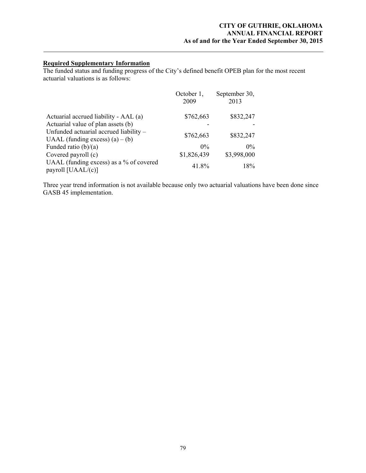#### **Required Supplementary Information**

 $\overline{a}$ 

The funded status and funding progress of the City's defined benefit OPEB plan for the most recent actuarial valuations is as follows:

|                                                               | October 1,<br>2009 | September 30,<br>2013 |
|---------------------------------------------------------------|--------------------|-----------------------|
| Actuarial accrued liability - AAL (a)                         | \$762,663          | \$832,247             |
| Actuarial value of plan assets (b)                            |                    |                       |
| Unfunded actuarial accrued liability -                        | \$762,663          | \$832,247             |
| UAAL (funding excess) $(a) - (b)$                             |                    |                       |
| Funded ratio $(b)/(a)$                                        | $0\%$              | $0\%$                 |
| Covered payroll (c)                                           | \$1,826,439        | \$3,998,000           |
| UAAL (funding excess) as a % of covered<br>payroll [UAAL/(c)] | 41.8%              | 18%                   |
|                                                               |                    |                       |

Three year trend information is not available because only two actuarial valuations have been done since GASB 45 implementation.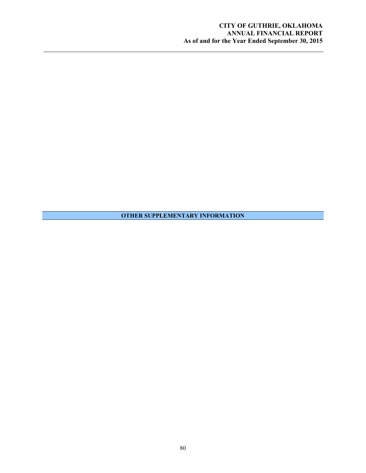**OTHER SUPPLEMENTARY INFORMATION**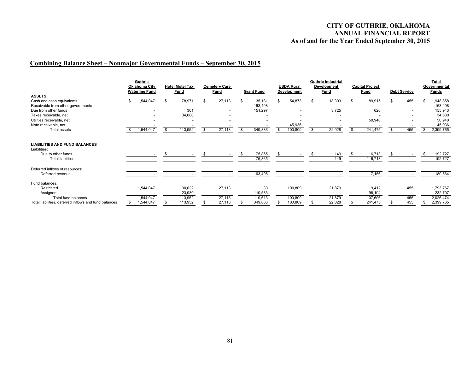### **Combining Balance Sheet – Nonmajor Governmental Funds – September 30, 2015**

|                                                                                                                                                                                                       |   | <b>Guthrie</b><br><b>Oklahoma City</b><br><b>Waterline Fund</b> | <b>Hotel Motel Tax</b><br>Fund           |     | <b>Cemetery Care</b><br>Fund |     | <b>Grant Fund</b>                       | <b>USDA Rural</b><br>Development |     | <b>Guthrie Industrial</b><br><b>Development</b><br>Fund |    | <b>Capital Project</b><br>Fund        |   | <b>Debt Service</b>                           | <b>Total</b><br>Governmental<br><b>Funds</b>                             |
|-------------------------------------------------------------------------------------------------------------------------------------------------------------------------------------------------------|---|-----------------------------------------------------------------|------------------------------------------|-----|------------------------------|-----|-----------------------------------------|----------------------------------|-----|---------------------------------------------------------|----|---------------------------------------|---|-----------------------------------------------|--------------------------------------------------------------------------|
| <b>ASSETS</b><br>Cash and cash equivalents<br>Receivable from other governments<br>Due from other funds<br>Taxes receivable, net<br>Utilities receivable, net<br>Note receivable, net<br>Total assets | S | 1,544,047<br>544,047                                            | \$<br>78,971<br>301<br>34,680<br>113,952 | \$. | 27,113<br>27,113             | . ጽ | 35,181<br>163,408<br>151,297<br>349,886 | 54,873<br>45,936<br>100,809      | -\$ | 18,303<br>3,725<br>22,028                               | \$ | 189,915<br>620<br>50,940<br>241,475   | S | 455<br>455                                    | 948,858<br>163,408<br>155,943<br>34,680<br>50,940<br>45,936<br>2,399,765 |
| <b>LIABILITIES AND FUND BALANCES</b><br>Liabilities:<br>Due to other funds<br><b>Total liabilities</b>                                                                                                |   |                                                                 |                                          | \$. |                              |     | 75,865<br>75,865                        |                                  |     | 149<br>149                                              | -S | 116,713<br>116,713                    |   |                                               | 192,727<br>192,727                                                       |
| Deferred inflows of resources:<br>Deferred revenue                                                                                                                                                    |   |                                                                 |                                          |     |                              |     | 163,408                                 |                                  |     |                                                         |    | 17,156                                |   |                                               | 180,564                                                                  |
| Fund balances:<br>Restricted<br>Assigned<br><b>Total fund balances</b><br>Total liabilities, deferred inflows and fund balances                                                                       |   | 1,544,047<br>,544,047<br>1,544,047                              | 90,022<br>23,930<br>113,952<br>113,952   | \$  | 27,113<br>27,113<br>27,113   |     | 30<br>110,583<br>110,613<br>349,886     | 100,809<br>100,809<br>100,809    |     | 21,879<br>21,879<br>22,028                              |    | 9,412<br>98,194<br>107,606<br>241,475 |   | 455<br>$\overline{\phantom{a}}$<br>455<br>455 | 1,793,767<br>232,707<br>2,026,474<br>2,399,765                           |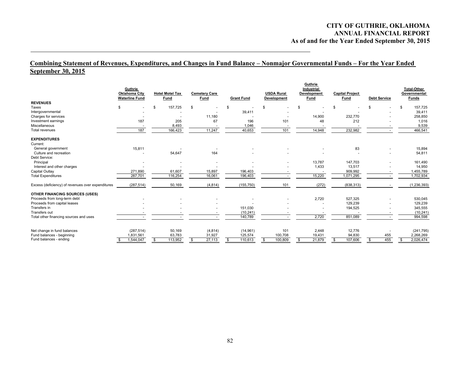## **Combining Statement of Revenues, Expenditures, and Changes in Fund Balance – Nonmajor Governmental Funds – For the Year Ended September 30, 2015**

|                                                   |                       |                        |                          |                   |                   | Guthrie           |                        |                          |                    |
|---------------------------------------------------|-----------------------|------------------------|--------------------------|-------------------|-------------------|-------------------|------------------------|--------------------------|--------------------|
|                                                   | Guthrie               |                        |                          |                   |                   | <b>Industrial</b> |                        |                          | <b>Total-Other</b> |
|                                                   | <b>Oklahoma City</b>  | <b>Hotel Motel Tax</b> | <b>Cemetery Care</b>     |                   | <b>USDA Rural</b> | Development       | <b>Capital Project</b> |                          | Governmental       |
|                                                   | <b>Waterline Fund</b> | Fund                   | Fund                     | <b>Grant Fund</b> | Development       | Fund              | Fund                   | <b>Debt Service</b>      | Funds              |
| <b>REVENUES</b>                                   |                       |                        |                          |                   |                   |                   |                        |                          |                    |
| Taxes                                             | \$                    | 157,725<br>\$          | \$                       | \$                | \$                | \$                | \$                     | \$<br>٠                  | 157,725<br>\$      |
| Intergovernmental                                 |                       |                        |                          | 39,411            |                   |                   |                        |                          | 39,411             |
| Charges for services                              |                       |                        | 11,180                   |                   |                   | 14,900            | 232,770                |                          | 258,850            |
| Investment earnings                               | 187                   | 205                    | 67                       | 196               | 101               | 48                | 212                    |                          | 1,016              |
| Miscellaneous                                     |                       | 8,493                  |                          | 1,046             |                   |                   |                        |                          | 9,539              |
| Total revenues                                    | 187                   | 166,423                | 11,247                   | 40,653            | 101               | 14,948            | 232,982                | $\overline{\phantom{a}}$ | 466,541            |
| <b>EXPENDITURES</b>                               |                       |                        |                          |                   |                   |                   |                        |                          |                    |
| Current:                                          |                       |                        |                          |                   |                   |                   |                        |                          |                    |
| General government                                | 15,811                |                        |                          |                   |                   |                   | 83                     |                          | 15,894             |
| Culture and recreation                            |                       | 54,647                 | 164                      |                   |                   |                   |                        |                          | 54,811             |
| Debt Service:                                     |                       |                        |                          |                   |                   |                   |                        |                          |                    |
| Principal                                         |                       | $\overline{a}$         | $\overline{\phantom{a}}$ |                   |                   | 13,787            | 147.703                | ۰                        | 161,490            |
| Interest and other charges                        |                       |                        |                          |                   |                   | 1,433             | 13,517                 |                          | 14,950             |
| Capital Outlay                                    | 271,890               | 61,607                 | 15,897                   | 196,403           |                   |                   | 909,992                |                          | 1,455,789          |
| <b>Total Expenditures</b>                         | 287,701               | 116,254                | 16,061                   | 196,403           |                   | 15,220            | 1,071,295              |                          | 1,702,934          |
|                                                   |                       |                        |                          |                   |                   |                   |                        |                          |                    |
| Excess (deficiency) of revenues over expenditures | (287, 514)            | 50,169                 | (4, 814)                 | (155, 750)        | 101               | (272)             | (838, 313)             |                          | (1, 236, 393)      |
| OTHER FINANCING SOURCES (USES)                    |                       |                        |                          |                   |                   |                   |                        |                          |                    |
| Proceeds from long-term debt                      |                       |                        |                          |                   |                   | 2,720             | 527.325                |                          | 530,045            |
| Proceeds from capital leases                      |                       |                        |                          |                   |                   |                   | 129,239                |                          | 129,239            |
| Transfers in                                      |                       |                        |                          | 151,030           |                   |                   | 194,525                |                          | 345,555            |
| Transfers out                                     |                       |                        |                          | (10, 241)         |                   |                   |                        |                          | (10, 241)          |
| Total other financing sources and uses            |                       |                        |                          | 140,789           |                   | 2,720             | 851,089                |                          | 994,598            |
|                                                   |                       |                        |                          |                   |                   |                   |                        |                          |                    |
| Net change in fund balances                       | (287, 514)            | 50,169                 | (4, 814)                 | (14, 961)         | 101               | 2,448             | 12,776                 |                          | (241, 795)         |
| Fund balances - beginning                         | 1,831,561             | 63,783                 | 31,927                   | 125,574           | 100,708           | 19,431            | 94,830                 | 455                      | 2,268,269          |
| Fund balances - ending                            | 1,544,047<br>\$       | 113,952<br>\$          | 27,113<br>\$             | 110,613<br>\$     | 100,809<br>\$     | 21,879            | 107,606<br>\$          | 455<br>\$                | 2,026,474<br>\$    |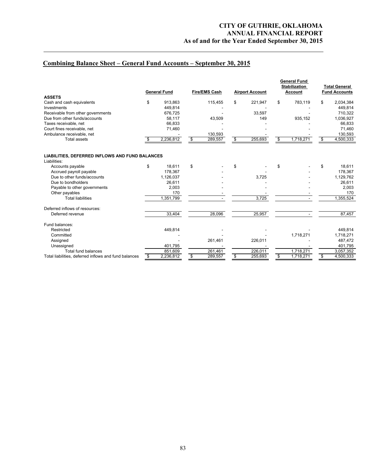# **Combining Balance Sheet – General Fund Accounts – September 30, 2015**

|                                                                 |                     |           |                      |    |                        |                          | <b>General Fund</b>                    |    |                                              |  |
|-----------------------------------------------------------------|---------------------|-----------|----------------------|----|------------------------|--------------------------|----------------------------------------|----|----------------------------------------------|--|
|                                                                 |                     |           | <b>Fire/EMS Cash</b> |    | <b>Airport Account</b> |                          | <b>Stabilization</b><br><b>Account</b> |    | <b>Total General</b><br><b>Fund Accounts</b> |  |
| <b>ASSETS</b>                                                   | <b>General Fund</b> |           |                      |    |                        |                          |                                        |    |                                              |  |
| Cash and cash equivalents                                       | \$                  | 913.863   | 115,455              | \$ | 221,947                | \$                       | 783,119                                | \$ | 2,034,384                                    |  |
| Investments                                                     |                     | 449,814   |                      |    |                        |                          |                                        |    | 449,814                                      |  |
| Receivable from other governments                               |                     | 676.725   |                      |    | 33,597                 |                          |                                        |    | 710.322                                      |  |
| Due from other funds/accounts                                   |                     | 58,117    | 43,509               |    | 149                    |                          | 935,152                                |    | 1,036,927                                    |  |
| Taxes receivable, net                                           |                     | 66,833    |                      |    |                        |                          |                                        |    | 66,833                                       |  |
| Court fines receivable, net                                     |                     | 71,460    |                      |    |                        |                          |                                        |    | 71,460                                       |  |
| Ambulance receivable, net                                       |                     |           | 130,593              |    |                        |                          |                                        |    | 130,593                                      |  |
| <b>Total assets</b>                                             | \$                  | 2,236,812 | \$<br>289,557        | \$ | 255,693                | \$                       | 1,718,271                              | \$ | 4,500,333                                    |  |
| LIABILITIES, DEFERRED INFLOWS AND FUND BALANCES<br>Liabilities: |                     |           |                      |    |                        |                          |                                        |    |                                              |  |
| Accounts payable                                                | \$                  | 18.611    | \$                   | \$ |                        | \$                       |                                        | \$ | 18.611                                       |  |
| Accrued payroll payable                                         |                     | 178,367   |                      |    |                        |                          |                                        |    | 178,367                                      |  |
| Due to other funds/accounts                                     |                     | 1,126,037 |                      |    | 3,725                  |                          |                                        |    | 1,129,762                                    |  |
| Due to bondholders                                              |                     | 26,611    |                      |    |                        |                          |                                        |    | 26,611                                       |  |
| Payable to other governments                                    |                     | 2,003     |                      |    |                        |                          |                                        |    | 2,003                                        |  |
| Other payables                                                  |                     | 170       |                      |    |                        |                          |                                        |    | 170                                          |  |
| <b>Total liabilities</b>                                        |                     | 1,351,799 |                      |    | 3,725                  |                          |                                        |    | 1,355,524                                    |  |
| Deferred inflows of resources:                                  |                     |           |                      |    |                        |                          |                                        |    |                                              |  |
| Deferred revenue                                                |                     | 33,404    | 28.096               |    | 25,957                 |                          |                                        |    | 87,457                                       |  |
| Fund balances:                                                  |                     |           |                      |    |                        |                          |                                        |    |                                              |  |
| Restricted                                                      |                     | 449,814   |                      |    |                        |                          |                                        |    | 449,814                                      |  |
| Committed                                                       |                     |           |                      |    |                        |                          | 1,718,271                              |    | 1,718,271                                    |  |
| Assigned                                                        |                     |           | 261,461              |    | 226,011                |                          |                                        |    | 487,472                                      |  |
| Unassigned                                                      |                     | 401,795   |                      |    |                        |                          |                                        |    | 401,795                                      |  |
| Total fund balances                                             |                     | 851,609   | 261,461              |    | 226,011                |                          | 1,718,271                              |    | 3,057,352                                    |  |
| Total liabilities, deferred inflows and fund balances           | \$                  | 2,236,812 | \$<br>289,557        | \$ | 255,693                | $\overline{\mathcal{S}}$ | 1,718,271                              | \$ | 4,500,333                                    |  |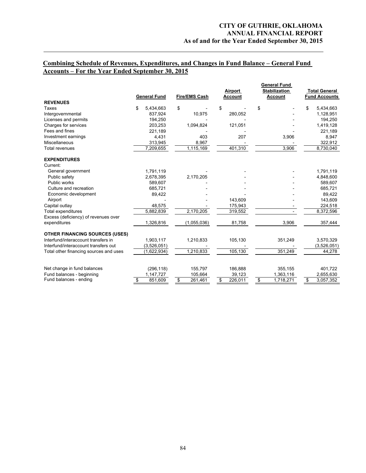# **Combining Schedule of Revenues, Expenditures, and Changes in Fund Balance – General Fund Accounts – For the Year Ended September 30, 2015**

|                                        | <b>General Fund</b> | Fire/EMS Cash | Airport<br><b>Account</b> | <b>General Fund</b><br><b>Stabilization</b><br><b>Account</b> | <b>Total General</b><br><b>Fund Accounts</b> |
|----------------------------------------|---------------------|---------------|---------------------------|---------------------------------------------------------------|----------------------------------------------|
| <b>REVENUES</b>                        |                     |               |                           |                                                               |                                              |
| Taxes                                  | 5,434,663<br>\$     | \$            | \$                        | \$                                                            | \$<br>5,434,663                              |
| Intergovernmental                      | 837,924             | 10,975        | 280,052                   |                                                               | 1,128,951                                    |
| Licenses and permits                   | 194,250             |               |                           |                                                               | 194,250                                      |
| Charges for services                   | 203,253             | 1,094,824     | 121,051                   |                                                               | 1,419,128                                    |
| Fees and fines                         | 221,189             |               |                           |                                                               | 221,189                                      |
| Investment earnings                    | 4,431               | 403           | 207                       | 3,906                                                         | 8,947                                        |
| Miscellaneous                          | 313,945             | 8,967         |                           |                                                               | 322,912                                      |
| <b>Total revenues</b>                  | 7,209,655           | 1,115,169     | 401,310                   | 3,906                                                         | 8,730,040                                    |
| <b>EXPENDITURES</b>                    |                     |               |                           |                                                               |                                              |
| Current:                               |                     |               |                           |                                                               |                                              |
| General government                     | 1,791,119           |               |                           |                                                               | 1,791,119                                    |
| Public safety                          | 2,678,395           | 2,170,205     |                           |                                                               | 4,848,600                                    |
| Public works                           | 589,607             |               |                           |                                                               | 589,607                                      |
| Culture and recreation                 | 685,721             |               |                           |                                                               | 685,721                                      |
| Economic development                   | 89,422              |               |                           |                                                               | 89,422                                       |
| Airport                                |                     |               | 143.609                   |                                                               | 143,609                                      |
| Capital outlay                         | 48,575              |               | 175,943                   |                                                               | 224,518                                      |
| <b>Total expenditures</b>              | 5,882,839           | 2,170,205     | 319,552                   |                                                               | 8,372,596                                    |
| Excess (deficiency) of revenues over   |                     |               |                           |                                                               |                                              |
| expenditures                           | 1,326,816           | (1,055,036)   | 81,758                    | 3,906                                                         | 357,444                                      |
| <b>OTHER FINANCING SOURCES (USES)</b>  |                     |               |                           |                                                               |                                              |
| Interfund/interaccount transfers in    | 1,903,117           | 1,210,833     | 105,130                   | 351,249                                                       | 3,570,329                                    |
| Interfund/interaccount transfers out   | (3,526,051)         |               |                           |                                                               | (3,526,051)                                  |
| Total other financing sources and uses | (1,622,934)         | 1,210,833     | 105,130                   | 351,249                                                       | 44,278                                       |
| Net change in fund balances            | (296, 118)          | 155,797       | 186,888                   | 355,155                                                       | 401,722                                      |
| Fund balances - beginning              | 1,147,727           | 105,664       | 39,123                    | 1,363,116                                                     | 2,655,630                                    |
| Fund balances - ending                 | \$<br>851,609       | 261,461<br>\$ | 226,011<br>\$             | $\boldsymbol{\theta}$<br>1,718,271                            | 3,057,352<br>\$                              |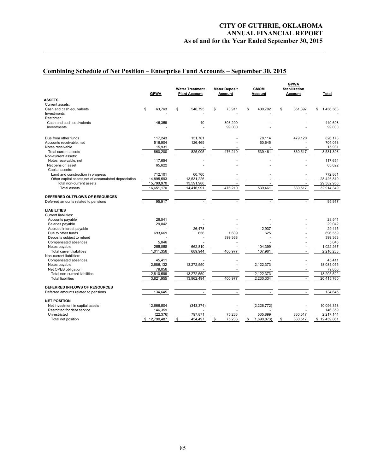# **Combining Schedule of Net Position – Enterprise Fund Accounts – September 30, 2015**

|                                                       | <b>GPWA</b>  | <b>Water Treatment</b><br><b>Plant Account</b> | <b>Meter Deposit</b><br><b>Account</b> | <b>CMOM</b><br>Account | <b>GPWA</b><br><b>Stabilization</b><br><b>Account</b> | Total           |
|-------------------------------------------------------|--------------|------------------------------------------------|----------------------------------------|------------------------|-------------------------------------------------------|-----------------|
| <b>ASSETS</b>                                         |              |                                                |                                        |                        |                                                       |                 |
| Current assets:                                       |              |                                                |                                        |                        |                                                       |                 |
| Cash and cash equivalents                             | \$<br>63,763 | \$<br>546,795                                  | 73,911<br>\$                           | \$<br>400,702          | \$<br>351,397                                         | 1,436,568<br>\$ |
| Investments                                           |              |                                                |                                        |                        |                                                       |                 |
| Restricted:                                           |              |                                                |                                        |                        |                                                       |                 |
| Cash and cash equivalents                             | 146,359      | 40                                             | 303,299                                |                        |                                                       | 449,698         |
| Investments                                           |              |                                                | 99,000                                 |                        |                                                       | 99.000          |
| Due from other funds                                  | 117,243      | 151,701                                        |                                        | 78.114                 | 479,120                                               | 826,178         |
| Accounts receivable, net                              | 516,904      | 126,469                                        |                                        | 60,645                 |                                                       | 704,018         |
| Notes receivable                                      | 15,931       |                                                |                                        |                        |                                                       | 15,931          |
| Total current assets                                  | 860,200      | 825.005                                        | 476.210                                | 539.461                | 830.517                                               | 3,531,393       |
| Non-current assets:                                   |              |                                                |                                        |                        |                                                       |                 |
| Notes receivable, net                                 | 117,654      |                                                |                                        |                        |                                                       | 117,654         |
| Net pension asset                                     | 65,622       |                                                |                                        |                        |                                                       | 65,622          |
| Capital assets:                                       |              |                                                |                                        |                        |                                                       |                 |
| Land and construction in progress                     | 712,101      | 60,760                                         |                                        |                        |                                                       | 772,861         |
| Other capital assets, net of accumulated depreciation | 14,895,593   | 13,531,226                                     |                                        |                        |                                                       | 28,426,819      |
| Total non-current assets                              | 15,790,970   | 13,591,986                                     |                                        |                        |                                                       | 29,382,956      |
| <b>Total assets</b>                                   | 16,651,170   | 14,416,991                                     | 476,210                                | 539,461                | 830,517                                               | 32,914,349      |
| DEFERRED OUTFLOWS OF RESOURCES                        |              |                                                |                                        |                        |                                                       |                 |
| Deferred amounts related to pensions                  | 95.917       | $\sim$                                         |                                        |                        |                                                       | 95.917          |
| <b>LIABILITIES</b>                                    |              |                                                |                                        |                        |                                                       |                 |
| <b>Current liabilities:</b>                           |              |                                                |                                        |                        |                                                       |                 |
| Accounts payable                                      | 28,541       |                                                |                                        |                        |                                                       | 28,541          |
| Salaries payable                                      | 29.042       |                                                |                                        |                        |                                                       | 29.042          |
| Accrued interest payable                              |              | 26.478                                         |                                        | 2.937                  |                                                       | 29.415          |
| Due to other funds                                    | 693,669      | 656                                            | 1,609                                  | 625                    |                                                       | 696,559         |
| Deposits subject to refund                            |              |                                                | 399,368                                |                        |                                                       | 399.368         |
| Compensated absences                                  | 5.046        |                                                |                                        |                        |                                                       | 5,046           |
| Notes payable                                         | 255,058      | 662,810                                        |                                        | 104,399                |                                                       | 1,022,267       |
| <b>Total current liabilities</b>                      | 1,011,356    | 689.944                                        | 400.977                                | 107.961                |                                                       | 2,210,238       |
| Non-current liabilities:                              |              |                                                |                                        |                        |                                                       |                 |
| Compensated absences                                  | 45,411       |                                                |                                        |                        |                                                       | 45.411          |
| Notes payable                                         | 2,686,132    | 13,272,550                                     |                                        | 2,122,373              | $\ddot{\phantom{1}}$                                  | 18,081,055      |
| Net OPEB obligation                                   | 79,056       |                                                |                                        |                        |                                                       | 79,056          |
| Total non-current liabilities                         | 2,810,599    | 13,272,550                                     |                                        | 2,122,373              | $\tilde{\phantom{a}}$                                 | 18,205,522      |
| <b>Total liabilities</b>                              | 3,821,955    | 13.962.494                                     | 400.977                                | 2,230,334              | $\omega$                                              | 20,415,760      |
| DEFERRED INFLOWS OF RESOURCES                         |              |                                                |                                        |                        |                                                       |                 |
| Deferred amounts related to pensions                  | 134,645      |                                                |                                        |                        |                                                       | 134,645         |
| <b>NET POSITION</b>                                   |              |                                                |                                        |                        |                                                       |                 |
| Net investment in capital assets                      | 12,666,504   | (343, 374)                                     |                                        | (2, 226, 772)          |                                                       | 10,096,358      |
| Restricted for debt service                           | 146,359      |                                                |                                        |                        |                                                       | 146,359         |
| Unrestricted                                          | (22, 376)    | 797.871                                        | 75,233                                 | 535,899                | 830.517                                               | 2.217.144       |
| Total net position                                    | \$12,790,487 | \$<br>454,497                                  | \$<br>75,233                           | \$<br>(1,690,873)      | \$<br>830,517                                         | \$12,459,861    |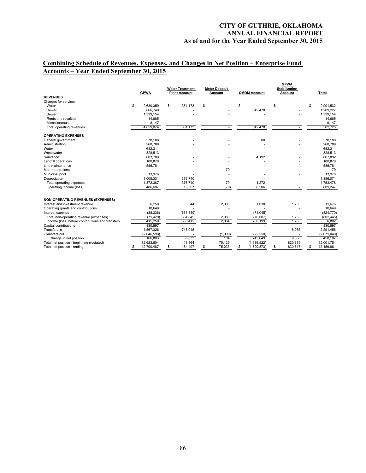# **Combining Schedule of Revenues, Expenses, and Changes in Net Position – Enterprise Fund Accounts – Year Ended September 30, 2015**

|                                                  |                  | <b>Water Treatment</b> |            | <b>Meter Deposit</b> |              |                     |               | <b>GPWA</b><br><b>Stabilization</b> |                  |
|--------------------------------------------------|------------------|------------------------|------------|----------------------|--------------|---------------------|---------------|-------------------------------------|------------------|
|                                                  | <b>GPWA</b>      | <b>Plant Account</b>   |            | <b>Account</b>       |              | <b>CMOM Account</b> |               | <b>Account</b>                      | <b>Total</b>     |
| <b>REVENUES</b>                                  |                  |                        |            |                      |              |                     |               |                                     |                  |
| Charges for services:                            |                  |                        |            |                      |              |                     |               |                                     |                  |
| Water                                            | \$<br>2,630,359  | \$<br>361,173          | \$         |                      | \$           |                     | \$            |                                     | \$<br>2,991,532  |
| Sewer                                            | 866.749          |                        |            |                      |              | 342,478             |               |                                     | 1,209,227        |
| Sewer                                            | 1,339,154        |                        |            |                      |              |                     |               |                                     | 1,339,154        |
| Rents and royalties                              | 14,665           |                        |            |                      |              |                     |               |                                     | 14,665           |
| Miscellaneous                                    | 8,147            |                        |            |                      |              |                     |               |                                     | 8,147            |
| Total operating revenues                         | 4,859,074        | 361,173                |            |                      |              | 342,478             |               |                                     | 5,562,725        |
| <b>OPERATING EXPENSES</b>                        |                  |                        |            |                      |              |                     |               |                                     |                  |
| General government                               | 578,108          |                        |            |                      |              | 80                  |               |                                     | 578,188          |
| Administration                                   | 268,789          |                        |            |                      |              |                     |               |                                     | 268,789          |
| Water                                            | 682,311          |                        |            |                      |              |                     |               |                                     | 682,311          |
| Wastewater                                       | 328.513          |                        |            |                      |              |                     |               |                                     | 328,513          |
| Sanitation                                       | 803.700          |                        |            |                      |              | 4,192               |               |                                     | 807.892          |
| Landfill operations                              | 100,878          |                        |            |                      |              |                     |               |                                     | 100,878          |
| Line maintenance                                 | 586,781          |                        |            |                      |              |                     |               |                                     | 586,781          |
| Meter operations                                 |                  |                        |            | 79                   |              |                     |               |                                     | 79               |
| Municipal pool                                   | 13,976           |                        |            |                      |              |                     |               |                                     | 13,976           |
| Depreciation                                     | 1,009,331        | 376,740                |            |                      |              |                     |               |                                     | 1,386,071        |
| Total operating expenses                         | 4,372,387        | 376,740                |            | 79                   |              | 4,272               |               |                                     | 4,753,478        |
| Operating income (loss)                          | 486,687          | (15, 567)              |            | (79)                 |              | 338,206             |               |                                     | 809,247          |
| <b>NON-OPERATING REVENUES (EXPENSES)</b>         |                  |                        |            |                      |              |                     |               |                                     |                  |
| Interest and investment revenue                  | 6,258            | 544                    |            | 2,083                |              | 1,038               |               | 1,753                               | 11,676           |
| Operating grants and contributions               | 10,649           |                        |            |                      |              |                     |               |                                     | 10,649           |
| Interest expense                                 | (88, 336)        | (665, 389)             |            |                      |              | (71, 045)           |               |                                     | (824, 770)       |
| Total non-operating revenue (expenses)           | (71, 429)        | (664, 845)             |            | 2,083                |              | (70,007)            |               | 1,753                               | (802, 445)       |
| Income (loss) before contributions and transfers | 415,258          | (680, 412)             |            | 2,004                |              | 268,199             |               | 1,753                               | 6,802            |
| Capital contributions                            | 830.897          |                        |            |                      |              |                     |               |                                     | 830,897          |
| Transfers in                                     | 1,567,326        | 716,045                |            |                      |              |                     |               | 8,085                               | 2,291,456        |
| Transfers out                                    | (2,646,598)      |                        |            | (1,900)              |              | (22, 550)           |               |                                     | (2,671,048)      |
| Change in net position                           | 166.883          | 35.633                 |            | 104                  |              | 245.649             |               | 9.838                               | 458.107          |
| Total net position - beginning (restated)        | 12,623,604       | 418,864                |            | 75,129               |              | (1,936,522)         |               | 820,679                             | 12,001,754       |
| Total net position - ending                      | \$<br>12,790,487 | \$<br>454,497          | $\sqrt{2}$ | 75,233               | $\triangleq$ | (1,690,873)         | $\frac{\$}{}$ | 830,517                             | \$<br>12,459,861 |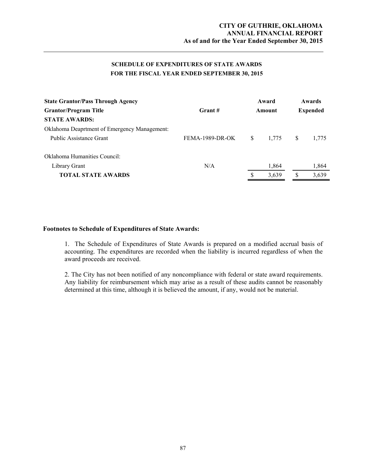# **SCHEDULE OF EXPENDITURES OF STATE AWARDS FOR THE FISCAL YEAR ENDED SEPTEMBER 30, 2015**

| <b>State Grantor/Pass Through Agency</b>            |                 |   | Award  | Awards          |       |  |
|-----------------------------------------------------|-----------------|---|--------|-----------------|-------|--|
| <b>Grantor/Program Title</b>                        | $G$ rant#       |   | Amount | <b>Expended</b> |       |  |
| <b>STATE AWARDS:</b>                                |                 |   |        |                 |       |  |
| <b>Oklahoma Deaprtment of Emergency Management:</b> |                 |   |        |                 |       |  |
| Public Assistance Grant                             | FEMA-1989-DR-OK | S | 1.775  | S               | 1,775 |  |
| Oklahoma Humanities Council:                        |                 |   |        |                 |       |  |
| Library Grant                                       | N/A             |   | 1,864  |                 | 1,864 |  |
| <b>TOTAL STATE AWARDS</b>                           |                 |   | 3,639  | S               | 3,639 |  |

#### **Footnotes to Schedule of Expenditures of State Awards:**

 $\overline{a}$ 

1. The Schedule of Expenditures of State Awards is prepared on a modified accrual basis of accounting. The expenditures are recorded when the liability is incurred regardless of when the award proceeds are received.

2. The City has not been notified of any noncompliance with federal or state award requirements. Any liability for reimbursement which may arise as a result of these audits cannot be reasonably determined at this time, although it is believed the amount, if any, would not be material.